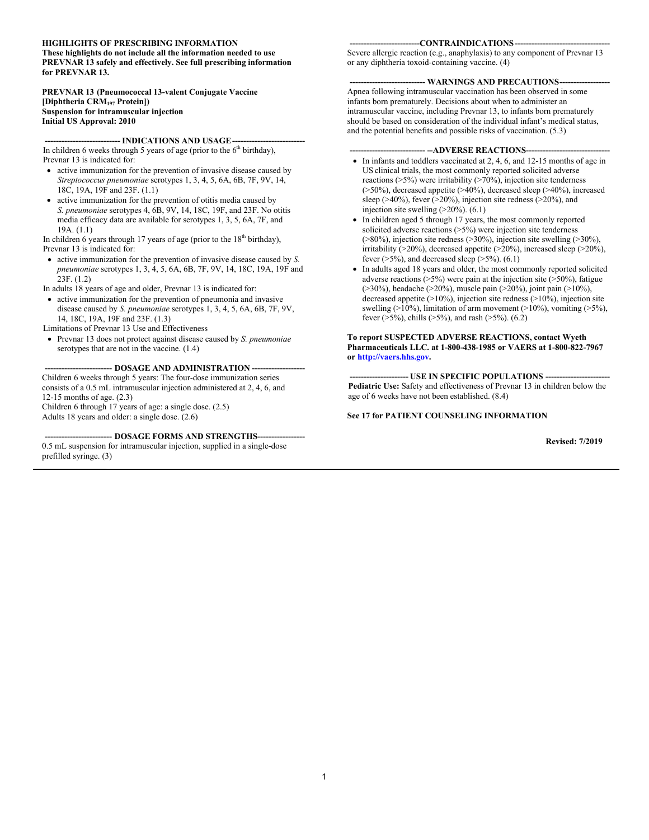#### **HIGHLIGHTS OF PRESCRIBING INFORMATION**

**These highlights do not include all the information needed to use PREVNAR 13 safely and effectively. See full prescribing information for PREVNAR 13.**

#### **PREVNAR 13 (Pneumococcal 13-valent Conjugate Vaccine [Diphtheria CRM<sup>197</sup> Protein]) Suspension for intramuscular injection Initial US Approval: 2010**

#### - **INDICATIONS AND USAGE--**

In children 6 weeks through 5 years of age (prior to the  $6<sup>th</sup>$  birthday), Prevnar 13 is indicated for:

- active immunization for the prevention of invasive disease caused by *Streptococcus pneumoniae* serotypes 1, 3, 4, 5, 6A, 6B, 7F, 9V, 14, 18C, 19A, 19F and 23F. (1.1)
- active immunization for the prevention of otitis media caused by *S. pneumoniae* serotypes 4, 6B, 9V, 14, 18C, 19F, and 23F. No otitis media efficacy data are available for serotypes 1, 3, 5, 6A, 7F, and 19A. (1.1)

In children 6 years through 17 years of age (prior to the  $18<sup>th</sup>$  birthday), Prevnar 13 is indicated for:

- active immunization for the prevention of invasive disease caused by *S. pneumoniae* serotypes 1, 3, 4, 5, 6A, 6B, 7F, 9V, 14, 18C, 19A, 19F and 23F. (1.2)
- In adults 18 years of age and older, Prevnar 13 is indicated for:
- active immunization for the prevention of pneumonia and invasive disease caused by *S. pneumoniae* serotypes 1, 3, 4, 5, 6A, 6B, 7F, 9V, 14, 18C, 19A, 19F and 23F. (1.3)

Limitations of Prevnar 13 Use and Effectiveness

 Prevnar 13 does not protect against disease caused by *S. pneumoniae*  serotypes that are not in the vaccine. (1.4)

#### **------------------------ DOSAGE AND ADMINISTRATION -------------------**

Children 6 weeks through 5 years: The four-dose immunization series consists of a 0.5 mL intramuscular injection administered at 2, 4, 6, and 12-15 months of age. (2.3)

Children 6 through 17 years of age: a single dose. (2.5) Adults 18 years and older: a single dose. (2.6)

-- **DOSAGE FORMS AND STRENGTHS--**0.5 mL suspension for intramuscular injection, supplied in a single-dose prefilled syringe. (3)

#### -CONTRAINDICATIONS---

Severe allergic reaction (e.g., anaphylaxis) to any component of Prevnar 13 or any diphtheria toxoid-containing vaccine. (4)

#### --- WARNINGS AND PRECAUTIONS---

Apnea following intramuscular vaccination has been observed in some infants born prematurely. Decisions about when to administer an intramuscular vaccine, including Prevnar 13, to infants born prematurely should be based on consideration of the individual infant's medical status, and the potential benefits and possible risks of vaccination. (5.3)

#### --**-ADVERSE REACTIONS--**

- In infants and toddlers vaccinated at 2, 4, 6, and 12-15 months of age in US clinical trials, the most commonly reported solicited adverse reactions (>5%) were irritability (>70%), injection site tenderness (>50%), decreased appetite (>40%), decreased sleep (>40%), increased sleep (>40%), fever (>20%), injection site redness (>20%), and injection site swelling (>20%). (6.1)
- In children aged 5 through 17 years, the most commonly reported solicited adverse reactions  $($ >5%) were injection site tenderness (>80%), injection site redness (>30%), injection site swelling (>30%), irritability (>20%), decreased appetite (>20%), increased sleep (>20%), fever  $($ >5%), and decreased sleep  $($ >5%).  $(6.1)$
- In adults aged 18 years and older, the most commonly reported solicited adverse reactions  $(5\%)$  were pain at the injection site  $(50\%)$ , fatigue (>30%), headache (>20%), muscle pain (>20%), joint pain (>10%), decreased appetite (>10%), injection site redness (>10%), injection site swelling ( $>10\%$ ), limitation of arm movement ( $>10\%$ ), vomiting ( $>5\%$ ), fever ( $>5\%$ ), chills ( $>5\%$ ), and rash ( $>5\%$ ). (6.2)

#### **To report SUSPECTED ADVERSE REACTIONS, contact Wyeth Pharmaceuticals LLC. at 1-800-438-1985 or VAERS at 1-800-822-7967 or [http://vaers.hhs.gov.](http://vaers.hhs.gov/)**

**--------------------- USE IN SPECIFIC POPULATIONS ----------------------- Pediatric Use:** Safety and effectiveness of Prevnar 13 in children below the age of 6 weeks have not been established. (8.4)

#### **See 17 for PATIENT COUNSELING INFORMATION**

**Revised: 7/2019**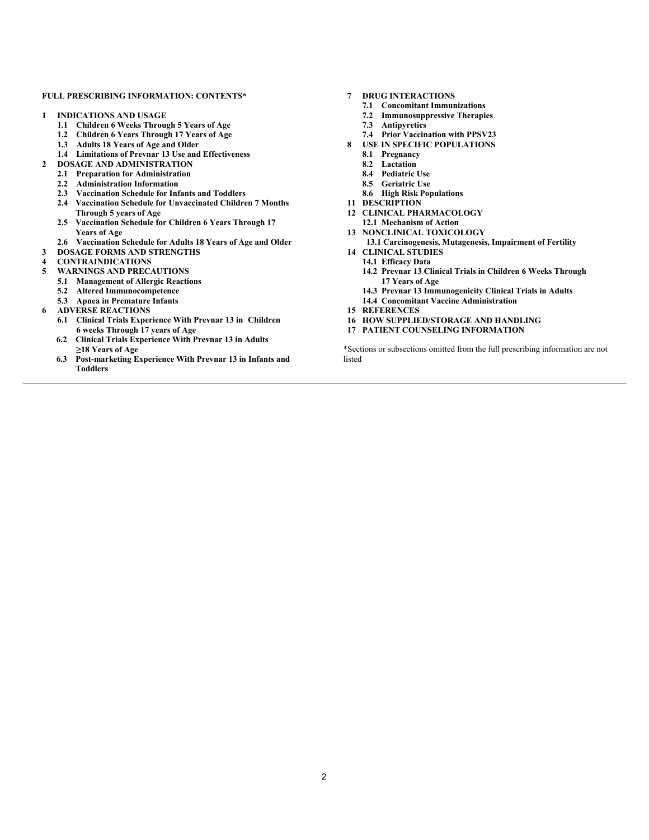#### **FULL PRESCRIBING INFORMATION: CONTENTS\***

- **1 INDICATIONS AND USAGE**
	- **1.1 Children 6 Weeks Through 5 Years of Age**
	- **1.2 Children 6 Years Through 17 Years of Age**
	- **1.3 Adults 18 Years of Age and Older**
	- **1.4 Limitations of Prevnar 13 Use and Effectiveness**
- **2 DOSAGE AND ADMINISTRATION**
	- **2.1 Preparation for Administration**
	- **2.2 Administration Information**
	- **2.3 Vaccination Schedule for Infants and Toddlers**
	- **2.4 Vaccination Schedule for Unvaccinated Children 7 Months Through 5 years of Age**
	- **2.5 Vaccination Schedule for Children 6 Years Through 17 Years of Age**
	- **2.6 Vaccination Schedule for Adults 18 Years of Age and Older**
- **3 DOSAGE FORMS AND STRENGTHS**
- **4 CONTRAINDICATIONS**
- **5 WARNINGS AND PRECAUTIONS**
	- **5.1 Management of Allergic Reactions**
	- **5.2 Altered Immunocompetence**
	- **5.3 Apnea in Premature Infants**
- **6 ADVERSE REACTIONS**
	- **6.1 Clinical Trials Experience With Prevnar 13 in Children 6 weeks Through 17 years of Age**
	- **6.2 Clinical Trials Experience With Prevnar 13 in Adults ≥18 Years of Age**
	- **6.3 Post-marketing Experience With Prevnar 13 in Infants and Toddlers**
- **7 DRUG INTERACTIONS**
	- **7.1 Concomitant Immunizations**
	- **7.2 Immunosuppressive Therapies**
	- **7.3 Antipyretics**
	- **7.4 Prior Vaccination with PPSV23**
- **8 USE IN SPECIFIC POPULATIONS**
	- **8.1 Pregnancy**
	- **8.2 Lactation**
	- **8.4 Pediatric Use**
	- **8.5 Geriatric Use**
	- **8.6 High Risk Populations**
- **11 DESCRIPTION**
- **12 CLINICAL PHARMACOLOGY**
- **12.1 Mechanism of Action 13 NONCLINICAL TOXICOLOGY**
	- **13.1 Carcinogenesis, Mutagenesis, Impairment of Fertility**
- **14 CLINICAL STUDIES**
	- **14.1 Efficacy Data**
	- **14.2 Prevnar 13 Clinical Trials in Children 6 Weeks Through 17 Years of Age**
	- **14.3 Prevnar 13 Immunogenicity Clinical Trials in Adults 14.4 Concomitant Vaccine Administration**
- **15 REFERENCES**
- **16 HOW SUPPLIED/STORAGE AND HANDLING**
- **17 PATIENT COUNSELING INFORMATION**

\*Sections or subsections omitted from the full prescribing information are not listed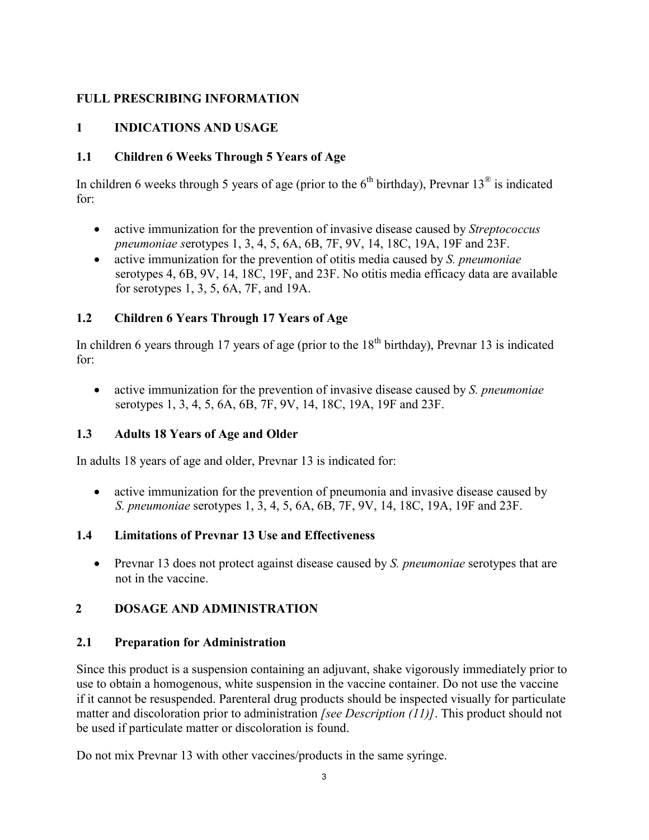# **FULL PRESCRIBING INFORMATION**

# **1 INDICATIONS AND USAGE**

# **1.1 Children 6 Weeks Through 5 Years of Age**

In children 6 weeks through 5 years of age (prior to the  $6<sup>th</sup>$  birthday), Prevnar 13<sup>®</sup> is indicated for:

- active immunization for the prevention of invasive disease caused by *Streptococcus pneumoniae s*erotypes 1, 3, 4, 5, 6A, 6B, 7F, 9V, 14, 18C, 19A, 19F and 23F.
- active immunization for the prevention of otitis media caused by *S. pneumoniae* serotypes 4, 6B, 9V, 14, 18C, 19F, and 23F. No otitis media efficacy data are available for serotypes 1, 3, 5, 6A, 7F, and 19A.

# **1.2 Children 6 Years Through 17 Years of Age**

In children 6 years through 17 years of age (prior to the  $18<sup>th</sup>$  birthday), Prevnar 13 is indicated for:

 active immunization for the prevention of invasive disease caused by *S. pneumoniae*  serotypes 1, 3, 4, 5, 6A, 6B, 7F, 9V, 14, 18C, 19A, 19F and 23F.

# **1.3 Adults 18 Years of Age and Older**

In adults 18 years of age and older, Prevnar 13 is indicated for:

• active immunization for the prevention of pneumonia and invasive disease caused by *S. pneumoniae* serotypes 1, 3, 4, 5, 6A, 6B, 7F, 9V, 14, 18C, 19A, 19F and 23F.

# **1.4 Limitations of Prevnar 13 Use and Effectiveness**

 Prevnar 13 does not protect against disease caused by *S. pneumoniae* serotypes that are not in the vaccine.

# **2 DOSAGE AND ADMINISTRATION**

# **2.1 Preparation for Administration**

Since this product is a suspension containing an adjuvant, shake vigorously immediately prior to use to obtain a homogenous, white suspension in the vaccine container. Do not use the vaccine if it cannot be resuspended. Parenteral drug products should be inspected visually for particulate matter and discoloration prior to administration *[see Description (11)]*. This product should not be used if particulate matter or discoloration is found.

Do not mix Prevnar 13 with other vaccines/products in the same syringe.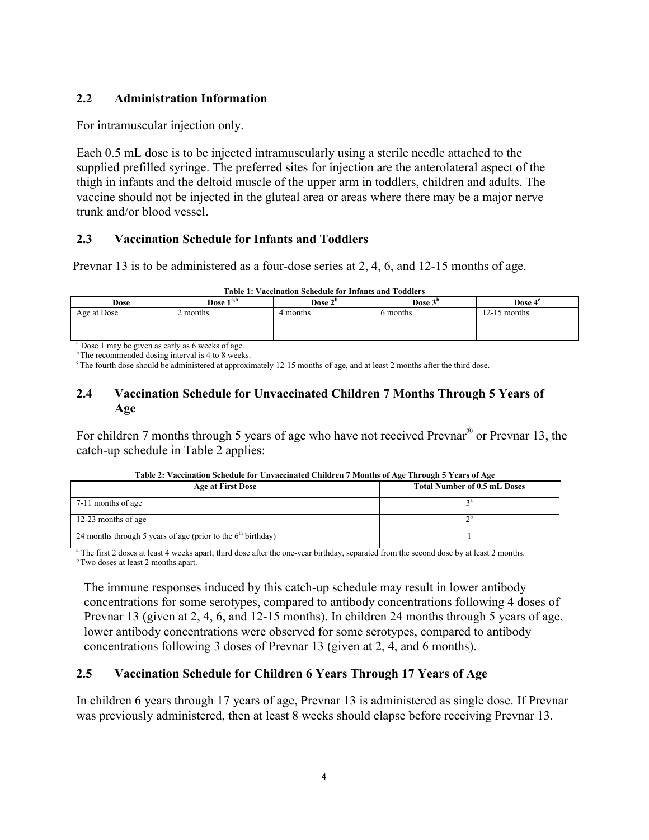## **2.2 Administration Information**

For intramuscular injection only.

Each 0.5 mL dose is to be injected intramuscularly using a sterile needle attached to the supplied prefilled syringe. The preferred sites for injection are the anterolateral aspect of the thigh in infants and the deltoid muscle of the upper arm in toddlers, children and adults. The vaccine should not be injected in the gluteal area or areas where there may be a major nerve trunk and/or blood vessel.

## **2.3 Vaccination Schedule for Infants and Toddlers**

Prevnar 13 is to be administered as a four-dose series at 2, 4, 6, and 12-15 months of age.

|             |             | <b>Table 1: Vaccination Schedule for Infants and Toddlers</b> |                     |                     |
|-------------|-------------|---------------------------------------------------------------|---------------------|---------------------|
| <b>Dose</b> | Dose $1a,b$ | Dose $2b$                                                     | Dose 3 <sup>b</sup> | Dose 4 <sup>c</sup> |
| Age at Dose | 2 months    | 4 months                                                      | 6 months            | $12-15$ months      |

<sup>a</sup> Dose 1 may be given as early as 6 weeks of age.

<sup>b</sup>The recommended dosing interval is 4 to 8 weeks.

<sup>c</sup> The fourth dose should be administered at approximately 12-15 months of age, and at least 2 months after the third dose.

## **2.4 Vaccination Schedule for Unvaccinated Children 7 Months Through 5 Years of Age**

For children 7 months through 5 years of age who have not received Prevnar<sup>®</sup> or Prevnar 13, the catch-up schedule in Table 2 applies:

| Table 2: Vaccination Schedule for Unvaccinated Children 7 Months of Age Through 5 Years of Age |  |
|------------------------------------------------------------------------------------------------|--|
|                                                                                                |  |

| <b>Age at First Dose</b>                                       | <b>Total Number of 0.5 mL Doses</b> |
|----------------------------------------------------------------|-------------------------------------|
| 7-11 months of age                                             |                                     |
| 12-23 months of age                                            |                                     |
| 24 months through 5 years of age (prior to the $6th$ birthday) |                                     |

The first 2 doses at least 4 weeks apart; third dose after the one-year birthday, separated from the second dose by at least 2 months. <sup>b</sup>Two doses at least 2 months apart.

The immune responses induced by this catch-up schedule may result in lower antibody concentrations for some serotypes, compared to antibody concentrations following 4 doses of Prevnar 13 (given at 2, 4, 6, and 12-15 months). In children 24 months through 5 years of age, lower antibody concentrations were observed for some serotypes, compared to antibody concentrations following 3 doses of Prevnar 13 (given at 2, 4, and 6 months).

# **2.5 Vaccination Schedule for Children 6 Years Through 17 Years of Age**

In children 6 years through 17 years of age, Prevnar 13 is administered as single dose. If Prevnar was previously administered, then at least 8 weeks should elapse before receiving Prevnar 13.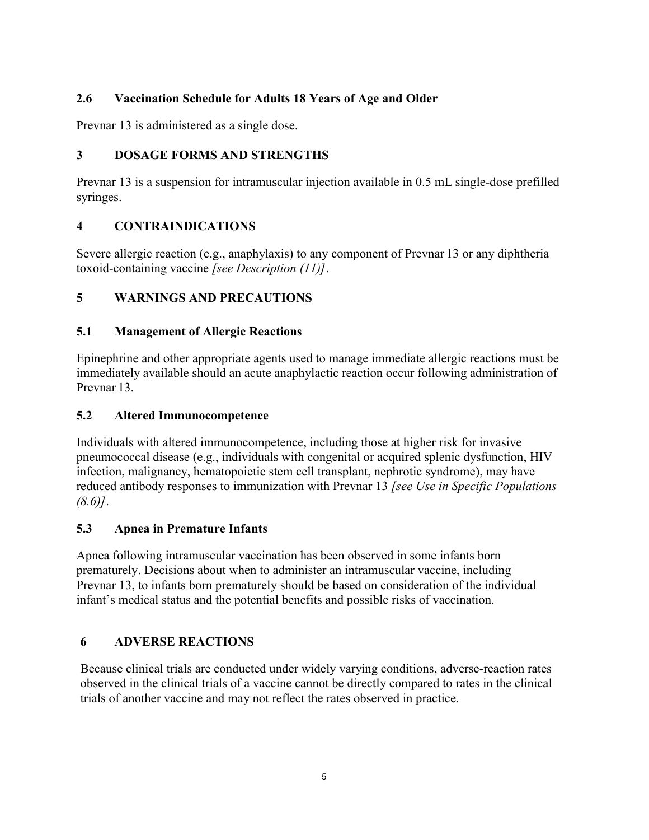# **2.6 Vaccination Schedule for Adults 18 Years of Age and Older**

Prevnar 13 is administered as a single dose.

# **3 DOSAGE FORMS AND STRENGTHS**

Prevnar 13 is a suspension for intramuscular injection available in 0.5 mL single-dose prefilled syringes.

# **4 CONTRAINDICATIONS**

Severe allergic reaction (e.g., anaphylaxis) to any component of Prevnar 13 or any diphtheria toxoid-containing vaccine *[see Description (11)]*.

# **5 WARNINGS AND PRECAUTIONS**

# **5.1 Management of Allergic Reactions**

Epinephrine and other appropriate agents used to manage immediate allergic reactions must be immediately available should an acute anaphylactic reaction occur following administration of Prevnar 13.

# **5.2 Altered Immunocompetence**

Individuals with altered immunocompetence, including those at higher risk for invasive pneumococcal disease (e.g., individuals with congenital or acquired splenic dysfunction, HIV infection, malignancy, hematopoietic stem cell transplant, nephrotic syndrome), may have reduced antibody responses to immunization with Prevnar 13 *[see Use in Specific Populations (8.6)]*.

# **5.3 Apnea in Premature Infants**

Apnea following intramuscular vaccination has been observed in some infants born prematurely. Decisions about when to administer an intramuscular vaccine, including Prevnar 13, to infants born prematurely should be based on consideration of the individual infant's medical status and the potential benefits and possible risks of vaccination.

# **6 ADVERSE REACTIONS**

Because clinical trials are conducted under widely varying conditions, adverse-reaction rates observed in the clinical trials of a vaccine cannot be directly compared to rates in the clinical trials of another vaccine and may not reflect the rates observed in practice.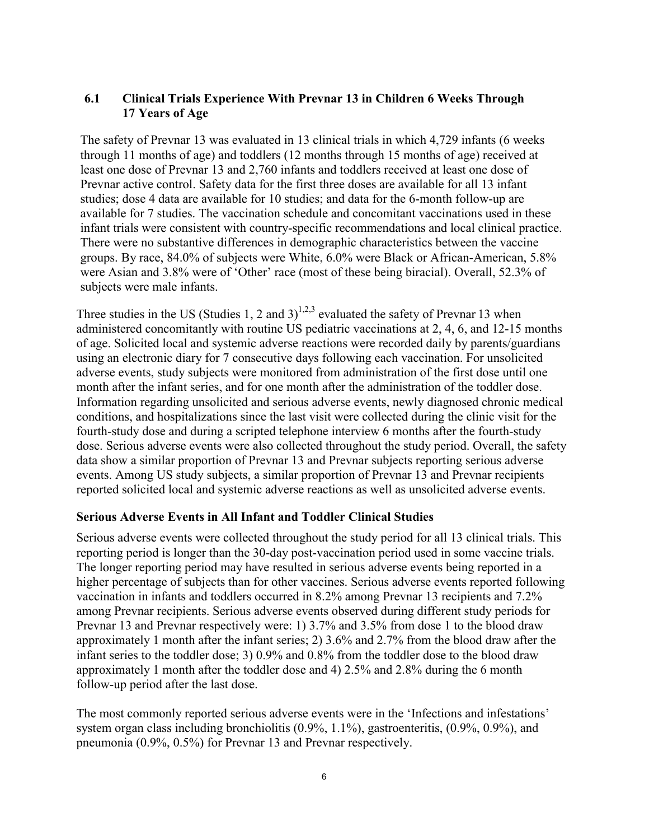## **6.1 Clinical Trials Experience With Prevnar 13 in Children 6 Weeks Through 17 Years of Age**

The safety of Prevnar 13 was evaluated in 13 clinical trials in which 4,729 infants (6 weeks through 11 months of age) and toddlers (12 months through 15 months of age) received at least one dose of Prevnar 13 and 2,760 infants and toddlers received at least one dose of Prevnar active control. Safety data for the first three doses are available for all 13 infant studies; dose 4 data are available for 10 studies; and data for the 6-month follow-up are available for 7 studies. The vaccination schedule and concomitant vaccinations used in these infant trials were consistent with country-specific recommendations and local clinical practice. There were no substantive differences in demographic characteristics between the vaccine groups. By race, 84.0% of subjects were White, 6.0% were Black or African-American, 5.8% were Asian and 3.8% were of 'Other' race (most of these being biracial). Overall, 52.3% of subjects were male infants.

Three studies in the US (Studies 1, 2 and 3)<sup>1,2,3</sup> evaluated the safety of Prevnar 13 when administered concomitantly with routine US pediatric vaccinations at 2, 4, 6, and 12-15 months of age. Solicited local and systemic adverse reactions were recorded daily by parents/guardians using an electronic diary for 7 consecutive days following each vaccination. For unsolicited adverse events, study subjects were monitored from administration of the first dose until one month after the infant series, and for one month after the administration of the toddler dose. Information regarding unsolicited and serious adverse events, newly diagnosed chronic medical conditions, and hospitalizations since the last visit were collected during the clinic visit for the fourth-study dose and during a scripted telephone interview 6 months after the fourth-study dose. Serious adverse events were also collected throughout the study period. Overall, the safety data show a similar proportion of Prevnar 13 and Prevnar subjects reporting serious adverse events. Among US study subjects, a similar proportion of Prevnar 13 and Prevnar recipients reported solicited local and systemic adverse reactions as well as unsolicited adverse events.

### **Serious Adverse Events in All Infant and Toddler Clinical Studies**

Serious adverse events were collected throughout the study period for all 13 clinical trials. This reporting period is longer than the 30-day post-vaccination period used in some vaccine trials. The longer reporting period may have resulted in serious adverse events being reported in a higher percentage of subjects than for other vaccines. Serious adverse events reported following vaccination in infants and toddlers occurred in 8.2% among Prevnar 13 recipients and 7.2% among Prevnar recipients. Serious adverse events observed during different study periods for Prevnar 13 and Prevnar respectively were: 1) 3.7% and 3.5% from dose 1 to the blood draw approximately 1 month after the infant series; 2) 3.6% and 2.7% from the blood draw after the infant series to the toddler dose; 3) 0.9% and 0.8% from the toddler dose to the blood draw approximately 1 month after the toddler dose and 4) 2.5% and 2.8% during the 6 month follow-up period after the last dose.

The most commonly reported serious adverse events were in the 'Infections and infestations' system organ class including bronchiolitis (0.9%, 1.1%), gastroenteritis, (0.9%, 0.9%), and pneumonia (0.9%, 0.5%) for Prevnar 13 and Prevnar respectively.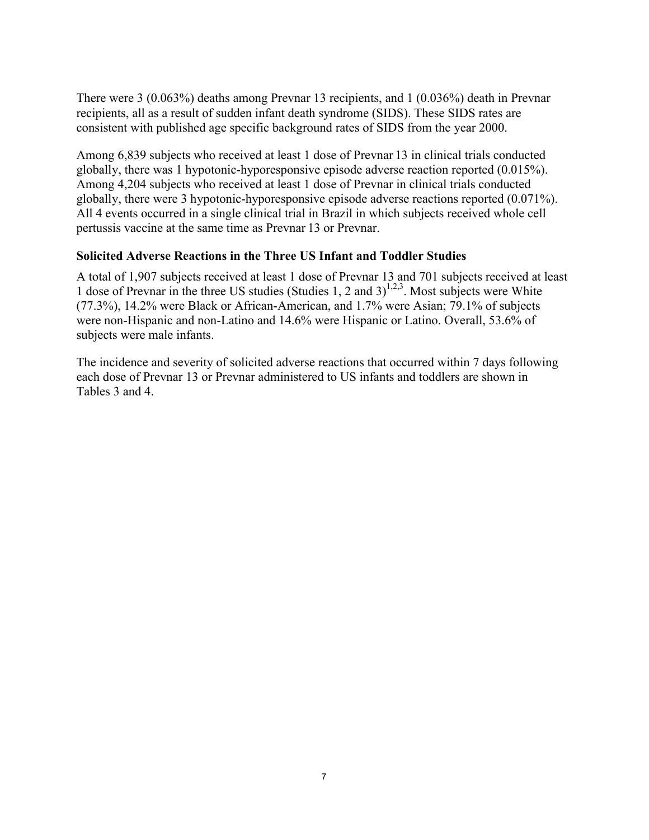There were 3 (0.063%) deaths among Prevnar 13 recipients, and 1 (0.036%) death in Prevnar recipients, all as a result of sudden infant death syndrome (SIDS). These SIDS rates are consistent with published age specific background rates of SIDS from the year 2000.

Among 6,839 subjects who received at least 1 dose of Prevn[ar](#page-40-2) [13](#page-40-0) in clinical trials conducted globally, there was 1 hypotonic-hyporesponsive episode adve[rs](#page-40-1)e reaction reported (0.015%). Among 4,204 subjects who received at least 1 dose of Prevnar in clinical trials conducted globally, there were 3 hypotonic-hyporesponsive episode adverse reactions reported (0.071%). All 4 events occurred in a single clinical trial in Brazil in which subjects received whole cell pertussis vaccine at the same time as Prevnar 13 or Prevnar.

## **Solicited Adverse Reactions in the Three US Infant and Toddler Studies**

A total of 1,907 subjects received at least 1 dose of Prevnar 13 and 701 subjects received at least 1 dose of Prevnar in the three US studies (Studies 1, 2 and 3) $^{1,2,3}$ . Most subjects were White (77.3%), 14.2% were Black or African-American, and 1.7% were Asian; 79.1% of subjects were non-Hispanic and non-Latino and 14.6% were Hispanic or Latino. Overall, 53.6% of subjects were male infants.

The incidence and severity of solicited adverse reactions that occurred within 7 days following each dose of Prevnar 13 or Prevnar administered to US infants and toddlers are shown in Tables 3 and 4.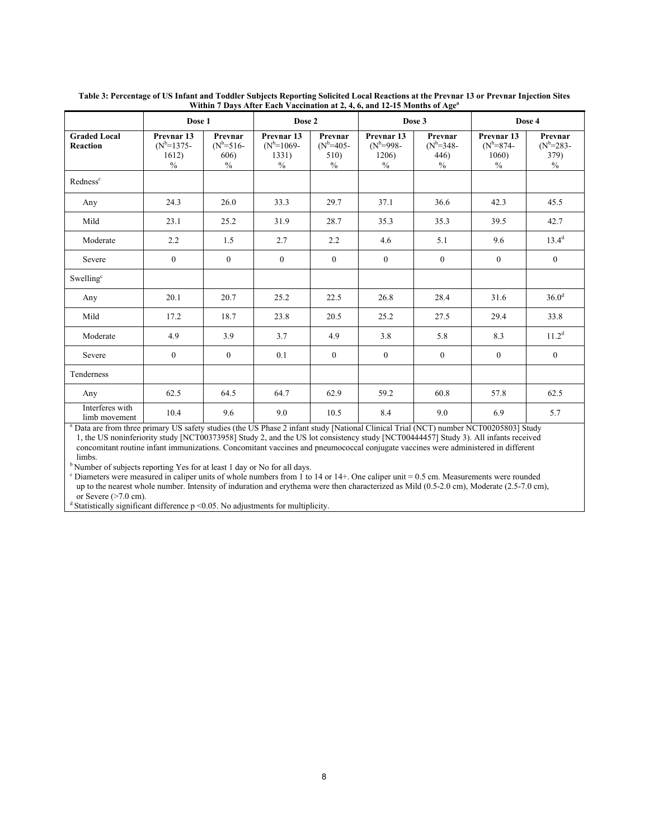|                                        | Dose 1                                                             |                                                 | Dose 2<br>Dose 3                                       |                                                 |                                                                | Dose 4                                          |                                                        |                                           |
|----------------------------------------|--------------------------------------------------------------------|-------------------------------------------------|--------------------------------------------------------|-------------------------------------------------|----------------------------------------------------------------|-------------------------------------------------|--------------------------------------------------------|-------------------------------------------|
| <b>Graded Local</b><br><b>Reaction</b> | Prevnar <sub>13</sub><br>$(N^{b=1375-})$<br>1612)<br>$\frac{0}{0}$ | Prevnar<br>$(N^b=516-$<br>606)<br>$\frac{0}{0}$ | Prevnar <sub>13</sub><br>$(N^b=1069-$<br>1331)<br>$\%$ | Prevnar<br>$(N^b=405-$<br>510)<br>$\frac{0}{0}$ | Prevnar <sub>13</sub><br>$(N^b=998-$<br>1206)<br>$\frac{0}{0}$ | Prevnar<br>$(N^b=348-$<br>446)<br>$\frac{0}{0}$ | Prevnar <sub>13</sub><br>$(N^{b=874}$<br>1060)<br>$\%$ | Prevnar<br>$(N^{b=283-})$<br>379)<br>$\%$ |
| Redness <sup>c</sup>                   |                                                                    |                                                 |                                                        |                                                 |                                                                |                                                 |                                                        |                                           |
| Any                                    | 24.3                                                               | 26.0                                            | 33.3                                                   | 29.7                                            | 37.1                                                           | 36.6                                            | 42.3                                                   | 45.5                                      |
| Mild                                   | 23.1                                                               | 25.2                                            | 31.9                                                   | 28.7                                            | 35.3                                                           | 35.3                                            | 39.5                                                   | 42.7                                      |
| Moderate                               | 2.2                                                                | 1.5                                             | 2.7                                                    | 2.2                                             | 4.6                                                            | 5.1                                             | 9.6                                                    | $13.4^{d}$                                |
| Severe                                 | $\overline{0}$                                                     | $\overline{0}$                                  | $\mathbf{0}$                                           | $\theta$                                        | $\overline{0}$                                                 | $\mathbf{0}$                                    | $\mathbf{0}$                                           | $\overline{0}$                            |
| Swelling <sup>c</sup>                  |                                                                    |                                                 |                                                        |                                                 |                                                                |                                                 |                                                        |                                           |
| Any                                    | 20.1                                                               | 20.7                                            | 25.2                                                   | 22.5                                            | 26.8                                                           | 28.4                                            | 31.6                                                   | 36.0 <sup>d</sup>                         |
| Mild                                   | 17.2                                                               | 18.7                                            | 23.8                                                   | 20.5                                            | 25.2                                                           | 27.5                                            | 29.4                                                   | 33.8                                      |
| Moderate                               | 4.9                                                                | 3.9                                             | 3.7                                                    | 4.9                                             | 3.8                                                            | 5.8                                             | 8.3                                                    | 11.2 <sup>d</sup>                         |
| Severe                                 | $\theta$                                                           | $\theta$                                        | 0.1                                                    | $\theta$                                        | $\mathbf{0}$                                                   | $\mathbf{0}$                                    | $\mathbf{0}$                                           | $\theta$                                  |
| Tenderness                             |                                                                    |                                                 |                                                        |                                                 |                                                                |                                                 |                                                        |                                           |
| Any                                    | 62.5                                                               | 64.5                                            | 64.7                                                   | 62.9                                            | 59.2                                                           | 60.8                                            | 57.8                                                   | 62.5                                      |
| Interferes with<br>limb movement       | 10.4                                                               | 9.6                                             | 9.0                                                    | 10.5                                            | 8.4                                                            | 9.0                                             | 6.9                                                    | 5.7                                       |

**Table 3: Percentage of US Infant and Toddler Subjects Reporting Solicited Local Reactions at the Prevnar 13 or Prevnar Injection Sites Within 7 Days After Each Vaccination at 2, 4, 6, and 12-15 Months of Age<sup>a</sup>**

<sup>a</sup> Data are from three primary US safety studies (the US Phase 2 infant study [National Clinical Trial (NCT) number NCT00205803] Study 1, the US noninferiority study [NCT00373958] Study 2, and the US lot consistency study [NCT00444457] Study 3). All infants received concomitant routine infant immunizations. Concomitant vaccines and pneumococcal conjugate vaccines were administered in different limbs.

<sup>b</sup> Number of subjects reporting Yes for at least 1 day or No for all days.

 $c$  Diameters were measured in caliper units of whole numbers from 1 to 14 or 14+. One caliper unit = 0.5 cm. Measurements were rounded up to the nearest whole number. Intensity of induration and erythema were then characterized as Mild (0.5-2.0 cm), Moderate (2.5-7.0 cm), or Severe (>7.0 cm).

 $d$  Statistically significant difference p <0.05. No adjustments for multiplicity.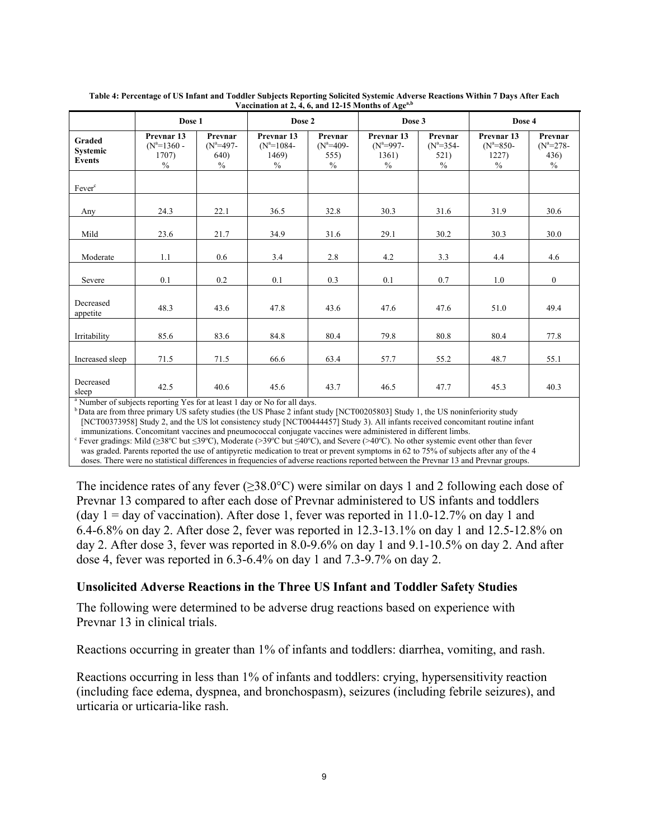|                                            | Dose 1                                                           |                                                | Dose 2                                                 |                                        | Dose 3                                                |                                        | Dose 4                                                |                                        |
|--------------------------------------------|------------------------------------------------------------------|------------------------------------------------|--------------------------------------------------------|----------------------------------------|-------------------------------------------------------|----------------------------------------|-------------------------------------------------------|----------------------------------------|
| Graded<br><b>Systemic</b><br><b>Events</b> | Prevnar <sub>13</sub><br>$(N^a=1360 -$<br>1707)<br>$\frac{0}{0}$ | Prevnar<br>$(N^a=497-$<br><b>640</b> )<br>$\%$ | Prevnar <sub>13</sub><br>$(N^a=1084-$<br>1469)<br>$\%$ | Prevnar<br>$(N^a=409-$<br>555)<br>$\%$ | Prevnar <sub>13</sub><br>$(N^a=997-$<br>1361)<br>$\%$ | Prevnar<br>$(N^a=354-$<br>521)<br>$\%$ | Prevnar <sub>13</sub><br>$(N^a=850-$<br>1227)<br>$\%$ | Prevnar<br>$(N^a=278-$<br>436)<br>$\%$ |
| Fever <sup>c</sup>                         |                                                                  |                                                |                                                        |                                        |                                                       |                                        |                                                       |                                        |
| Any                                        | 24.3                                                             | 22.1                                           | 36.5                                                   | 32.8                                   | 30.3                                                  | 31.6                                   | 31.9                                                  | 30.6                                   |
| Mild                                       | 23.6                                                             | 21.7                                           | 34.9                                                   | 31.6                                   | 29.1                                                  | 30.2                                   | 30.3                                                  | 30.0                                   |
| Moderate                                   | 1.1                                                              | 0.6                                            | 3.4                                                    | 2.8                                    | 4.2                                                   | 3.3                                    | 4.4                                                   | 4.6                                    |
| Severe                                     | 0.1                                                              | 0.2                                            | 0.1                                                    | 0.3                                    | 0.1                                                   | 0.7                                    | 1.0                                                   | $\boldsymbol{0}$                       |
| Decreased<br>appetite                      | 48.3                                                             | 43.6                                           | 47.8                                                   | 43.6                                   | 47.6                                                  | 47.6                                   | 51.0                                                  | 49.4                                   |
| Irritability                               | 85.6                                                             | 83.6                                           | 84.8                                                   | 80.4                                   | 79.8                                                  | 80.8                                   | 80.4                                                  | 77.8                                   |
| Increased sleep                            | 71.5                                                             | 71.5                                           | 66.6                                                   | 63.4                                   | 57.7                                                  | 55.2                                   | 48.7                                                  | 55.1                                   |
| Decreased<br>sleep                         | 42.5                                                             | 40.6                                           | 45.6                                                   | 43.7                                   | 46.5                                                  | 47.7                                   | 45.3                                                  | 40.3                                   |

**Table 4: Percentage of US Infant and Toddler Subjects Reporting Solicited Systemic Adverse Reactions Within 7 Days After Each Vaccination at 2, 4, 6, and 12-15 Months of Agea,b**

Number of subjects reporting Yes for at least 1 day or No for all days.

 $b$ Data are from three primary US safety studies (the US Phase 2 infant study [NCT00205803] Study 1, the US noninferiority study [NCT00373958] Study 2, and the US lot consistency study [NCT00444457] Study 3). All infants received concomitant routine infant

immunizations. Concomitant vaccines and pneumococcal conjugate vaccines were administered in different limbs. <sup>c</sup> Fever gradings: Mild (≥38°C but ≤39°C), Moderate (>39°C but ≤40°C), and Severe (>40°C). No other systemic event other than fever was graded. Parents reported the use of antipyretic medication to treat or prevent symptoms in 62 to 75% of subjects after any of the 4

doses. There were no statistical differences in frequencies of adverse reactions reported between the Prevnar 13 and Prevnar groups.

The incidence rates of any fever ( $>38.0^{\circ}$ C) were similar on days 1 and 2 following each dose of Prevnar 13 compared to after each dose of Prevnar administered to US infants and toddlers (day  $1 =$  day of vaccination). After dose 1, fever was reported in 11.0-12.7% on day 1 and 6.4-6.8% on day 2. After dose 2, fever was reported in 12.3-13.1% on day 1 and 12.5-12.8% on day 2. After dose 3, fever was reported in 8.0-9.6% on day 1 and 9.1-10.5% on day 2. And after dose 4, fever was reported in 6.3-6.4% on day 1 and 7.3-9.7% on day 2.

### **Unsolicited Adverse Reactions in the Three US Infant and Toddler Safety Studies**

The following were determined to be adverse drug reactions based on experience with Prevnar 13 in clinical trials.

Reactions occurring in greater than 1% of infants and toddlers: diarrhea, vomiting, and rash.

Reactions occurring in less than 1% of infants and toddlers: crying, hypersensitivity reaction (including face edema, dyspnea, and bronchospasm), seizures (including febrile seizures), and urticaria or urticaria-like rash.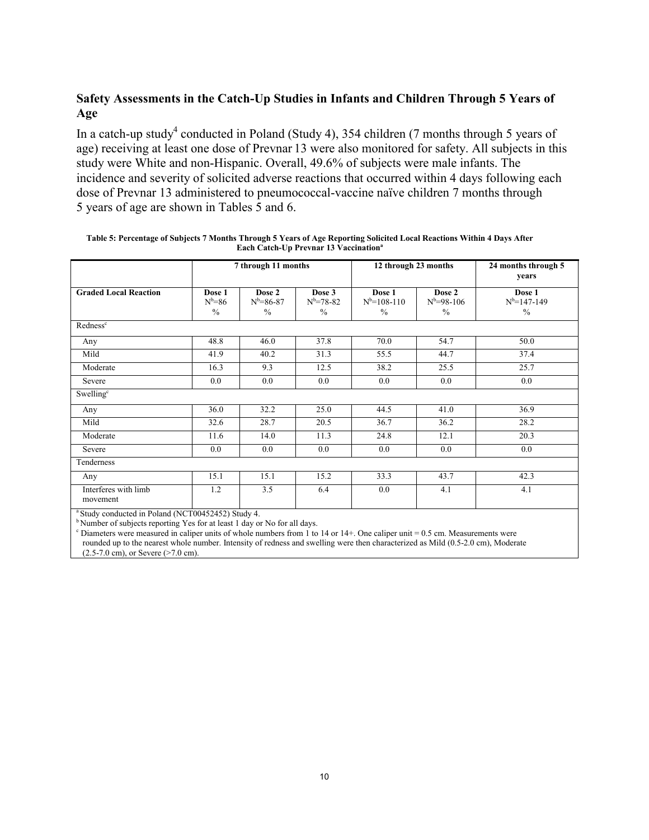# **Safety Assessments in the Catch-Up Studies in Infants and Children Through 5 Years of Age**

In a catch-up study<sup>4</sup> conducted in Poland (Study 4), 354 children (7 months through 5 years of age) receiving at least one dose of Prevnar 13 were also monitored for safety. All subjects in this study were White and non-Hispanic. Overall, 49.6% of subjects were male infants. The incidence and severity of solicited adverse reactions that occurred within 4 days following each dose of Prevnar 13 administered to pneumococcal-vaccine naïve children 7 months through 5 years of age are shown in Tables 5 and 6.

| Dose 2<br>$N^b = 86 - 87$<br>$\frac{0}{0}$<br>46.0<br>40.2<br>9.3<br>0.0 | Dose 3<br>$N^{b=78-82}$<br>$\%$<br>37.8<br>31.3<br>12.5<br>0.0 | Dose 1<br>$N^b = 108 - 110$<br>$\frac{0}{0}$<br>70.0<br>55.5<br>38.2<br>0.0 | Dose 2<br>$N^b = 98-106$<br>$\frac{0}{0}$<br>54.7<br>44.7<br>25.5<br>0.0 | Dose 1<br>$N^{b}=147-149$<br>$\frac{0}{0}$<br>50.0<br>37.4<br>25.7 |
|--------------------------------------------------------------------------|----------------------------------------------------------------|-----------------------------------------------------------------------------|--------------------------------------------------------------------------|--------------------------------------------------------------------|
|                                                                          |                                                                |                                                                             |                                                                          |                                                                    |
|                                                                          |                                                                |                                                                             |                                                                          |                                                                    |
|                                                                          |                                                                |                                                                             |                                                                          |                                                                    |
|                                                                          |                                                                |                                                                             |                                                                          |                                                                    |
|                                                                          |                                                                |                                                                             |                                                                          |                                                                    |
|                                                                          |                                                                |                                                                             |                                                                          | 0.0                                                                |
|                                                                          |                                                                |                                                                             |                                                                          |                                                                    |
| 32.2                                                                     | 25.0                                                           | 44.5                                                                        | 41.0                                                                     | 36.9                                                               |
| 28.7                                                                     | 20.5                                                           | 36.7                                                                        | 36.2                                                                     | 28.2                                                               |
| 14.0                                                                     | 11.3                                                           | 24.8                                                                        | 12.1                                                                     | 20.3                                                               |
|                                                                          |                                                                |                                                                             |                                                                          | 0.0                                                                |
|                                                                          |                                                                |                                                                             |                                                                          |                                                                    |
|                                                                          |                                                                |                                                                             |                                                                          | 42.3                                                               |
|                                                                          |                                                                |                                                                             |                                                                          | 4.1                                                                |
|                                                                          | 0.0<br>15.1<br>3.5                                             | 0.0<br>15.2<br>6.4                                                          | 0.0<br>33.3<br>0.0                                                       | 0.0<br>43.7<br>4.1                                                 |

| Table 5: Percentage of Subjects 7 Months Through 5 Years of Age Reporting Solicited Local Reactions Within 4 Days After |
|-------------------------------------------------------------------------------------------------------------------------|
| <b>Each Catch-Up Prevnar 13 Vaccination</b> <sup>a</sup>                                                                |

<sup>b</sup>Number of subjects reporting Yes for at least 1 day or No for all days.

 $c$  Diameters were measured in caliper units of whole numbers from 1 to 14 or 14+. One caliper unit = 0.5 cm. Measurements were rounded up to the nearest whole number. Intensity of redness and swelling were then characterized as Mild (0.5-2.0 cm), Moderate (2.5-7.0 cm), or Severe (>7.0 cm).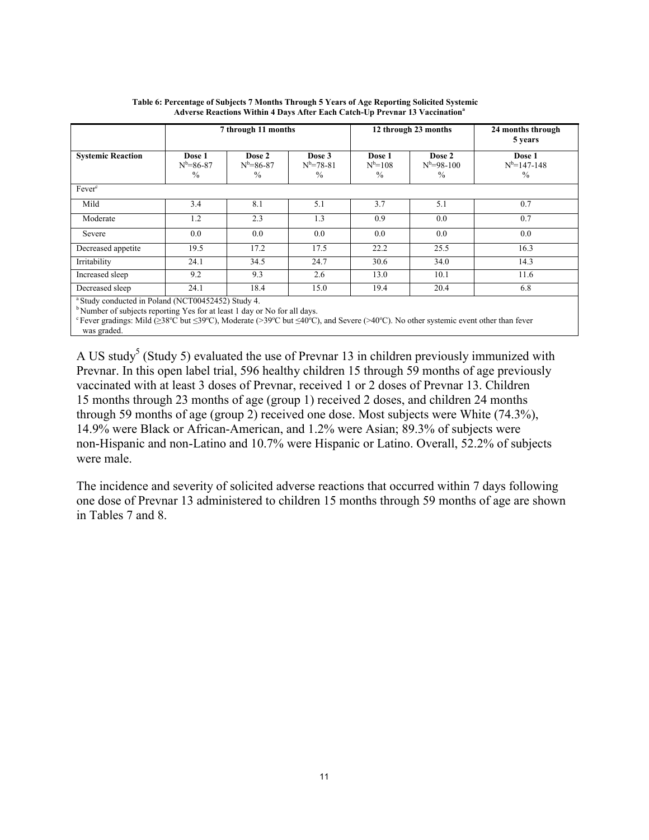|                                                                                                                                                      |                                   | 7 through 11 months               |                                          | 12 through 23 months                   |                                  | 24 months through<br>5 years               |
|------------------------------------------------------------------------------------------------------------------------------------------------------|-----------------------------------|-----------------------------------|------------------------------------------|----------------------------------------|----------------------------------|--------------------------------------------|
| <b>Systemic Reaction</b>                                                                                                                             | Dose 1<br>$N^b = 86 - 87$<br>$\%$ | Dose 2<br>$N^b = 86 - 87$<br>$\%$ | Dose 3<br>$N^{b=78-81}$<br>$\frac{0}{0}$ | Dose 1<br>$N^{b=108}$<br>$\frac{0}{0}$ | Dose 2<br>$N^b = 98-100$<br>$\%$ | Dose 1<br>$N^{b=147-148}$<br>$\frac{0}{0}$ |
| Fever <sup>c</sup>                                                                                                                                   |                                   |                                   |                                          |                                        |                                  |                                            |
| Mild                                                                                                                                                 | 3.4                               | 8.1                               | 5.1                                      | 3.7                                    | 5.1                              | 0.7                                        |
| Moderate                                                                                                                                             | 1.2                               | 2.3                               | 1.3                                      | 0.9                                    | 0.0                              | 0.7                                        |
| Severe                                                                                                                                               | 0.0                               | 0.0                               | 0.0                                      | 0.0                                    | 0.0                              | 0.0                                        |
| Decreased appetite                                                                                                                                   | 19.5                              | 17.2                              | 17.5                                     | 22.2                                   | 25.5                             | 16.3                                       |
| Irritability                                                                                                                                         | 24.1                              | 34.5                              | 24.7                                     | 30.6                                   | 34.0                             | 14.3                                       |
| Increased sleep                                                                                                                                      | 9.2                               | 9.3                               | 2.6                                      | 13.0                                   | 10.1                             | 11.6                                       |
| Decreased sleep                                                                                                                                      | 24.1                              | 18.4                              | 15.0                                     | 19.4                                   | 20.4                             | 6.8                                        |
| <sup>a</sup> Study conducted in Poland (NCT00452452) Study 4.<br><sup>b</sup> Number of subjects reporting Yes for at least 1 day or No for all days |                                   |                                   |                                          |                                        |                                  |                                            |

#### **Table 6: Percentage of Subjects 7 Months Through 5 Years of Age Reporting Solicited Systemic Adverse Reactions Within 4 Days After Each Catch-Up Prevnar 13 Vaccination<sup>a</sup>**

<sup>b</sup>Number of subjects reporting Yes for at least 1 day or No for all days.

Fever gradings: Mild ( $\geq 38^{\circ}$ C but  $\leq 39^{\circ}$ C), Moderate (>39<sup>o</sup>C but  $\leq 40^{\circ}$ C), and Severe (>40<sup>o</sup>C). No other systemic event other than fever was graded.

A US study<sup>5</sup> (Study 5) evaluated the use of Prevnar 13 in children previously immunized with Prevnar. In this open label trial, 596 healthy children 15 through 59 months of age previously vaccinated with at least 3 doses of Prevnar, received 1 or 2 doses of Prevnar 13. Children 15 months through 23 months of age (group 1) received 2 doses, and children 24 months through 59 months of age (group 2) received one dose. Most subjects were White (74.3%), 14.9% were Black or African-American, and 1.2% were Asian; 89.3% of subjects were non-Hispanic and non-Latino and 10.7% were Hispanic or Latino. Overall, 52.2% of subjects were male.

The incidence and severity of solicited adverse reactions that occurred within 7 days following one dose of Prevnar 13 administered to children 15 months through 59 months of age are shown in Tables 7 and 8.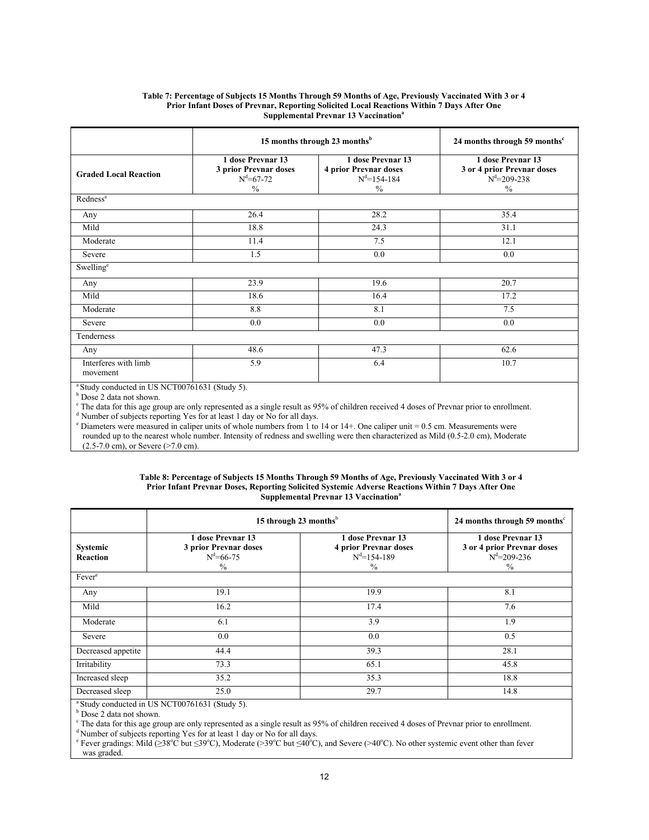#### **[Ta](#page-40-3)ble 7: Percentage of Subjects 15 Months Through 59 Months of Age, Previously Vaccinated With 3 or 4 Prior Infant Doses of Prevnar, Reporting Solicited Local Reactions Within 7 Days After One Supplemental Prevnar 13 Vaccination<sup>a</sup>**

|                                  | 15 months through 23 months <sup>b</sup>                                       | 24 months through 59 months <sup>c</sup>                                                |                                                                                       |
|----------------------------------|--------------------------------------------------------------------------------|-----------------------------------------------------------------------------------------|---------------------------------------------------------------------------------------|
| <b>Graded Local Reaction</b>     | 1 dose Prevnar 13<br>3 prior Prevnar doses<br>$N^d = 67 - 72$<br>$\frac{0}{0}$ | 1 dose Prevnar 13<br><b>4 prior Prevnar doses</b><br>$N^d = 154 - 184$<br>$\frac{0}{0}$ | 1 dose Prevnar 13<br>3 or 4 prior Prevnar doses<br>$N^d = 209 - 238$<br>$\frac{0}{0}$ |
| Redness <sup>e</sup>             |                                                                                |                                                                                         |                                                                                       |
| Any                              | 26.4                                                                           | 28.2                                                                                    | 35.4                                                                                  |
| Mild                             | 18.8                                                                           | 24.3                                                                                    | 31.1                                                                                  |
| Moderate                         | 11.4                                                                           | 7.5                                                                                     | 12.1                                                                                  |
| Severe                           | 1.5                                                                            | 0.0                                                                                     | 0.0                                                                                   |
| Swelling <sup>e</sup>            |                                                                                |                                                                                         |                                                                                       |
| Any                              | 23.9                                                                           | 19.6                                                                                    | 20.7                                                                                  |
| Mild                             | 18.6                                                                           | 16.4                                                                                    | 17.2                                                                                  |
| Moderate                         | 8.8                                                                            | 8.1                                                                                     | 7.5                                                                                   |
| Severe                           | 0.0                                                                            | 0.0                                                                                     | 0.0                                                                                   |
| Tenderness                       |                                                                                |                                                                                         |                                                                                       |
| Any                              | 48.6                                                                           | 47.3                                                                                    | 62.6                                                                                  |
| Interferes with limb<br>movement | 5.9                                                                            | 6.4                                                                                     | 10.7                                                                                  |

<sup>a</sup> Study conducted in US NCT00761631 (Study 5).

b Dose 2 data not shown.

 $c$  The data for this age group are only represented as a single result as 95% of children received 4 doses of Prevnar prior to enrollment.

<sup>d</sup> Number of subjects reporting Yes for at least 1 day or No for all days. <sup>e</sup> Diameters were measured in caliper units of whole numbers from 1 to 14 or 14+. One caliper unit = 0.5 cm. Measurements were

rounded up to the nearest whole number. Intensity of redness and swelling were then characterized as Mild (0.5-2.0 cm), Moderate  $(2.5-7.0 \text{ cm})$ , or Severe ( $>7.0 \text{ cm}$ ).

#### **Table 8: Percentage of Subjects 15 Months Through 59 Months of Age, Previously Vaccinated With 3 or 4 Prior Infant Prevnar Doses, Reporting Solicited Systemic Adverse Reactions Within 7 Days After One Supplemental Prevnar 13 Vaccination<sup>a</sup>**

|                                                                                                                                                                                   |                                                                                                                                                                           | 15 through 23 months $b$ | 24 months through 59 months $\text{c}$                                                |  |  |
|-----------------------------------------------------------------------------------------------------------------------------------------------------------------------------------|---------------------------------------------------------------------------------------------------------------------------------------------------------------------------|--------------------------|---------------------------------------------------------------------------------------|--|--|
| Systemic<br><b>Reaction</b>                                                                                                                                                       | 1 dose Prevnar 13<br>1 dose Prevnar 13<br>3 prior Prevnar doses<br><b>4 prior Prevnar doses</b><br>$N^d = 66 - 75$<br>$N^d = 154 - 189$<br>$\frac{0}{0}$<br>$\frac{0}{0}$ |                          | 1 dose Prevnar 13<br>3 or 4 prior Prevnar doses<br>$N^d = 209 - 236$<br>$\frac{0}{0}$ |  |  |
| Fever <sup>e</sup>                                                                                                                                                                |                                                                                                                                                                           |                          |                                                                                       |  |  |
| Any                                                                                                                                                                               | 19.1                                                                                                                                                                      | 19.9                     | 8.1                                                                                   |  |  |
| Mild                                                                                                                                                                              | 16.2                                                                                                                                                                      | 17.4                     | 7.6                                                                                   |  |  |
| Moderate                                                                                                                                                                          | 6.1                                                                                                                                                                       | 3.9                      | 1.9                                                                                   |  |  |
| Severe                                                                                                                                                                            | 0.0                                                                                                                                                                       | 0.0                      | 0.5                                                                                   |  |  |
| Decreased appetite                                                                                                                                                                | 44.4                                                                                                                                                                      | 39.3                     | 28.1                                                                                  |  |  |
| Irritability                                                                                                                                                                      | 73.3                                                                                                                                                                      | 65.1                     | 45.8                                                                                  |  |  |
| Increased sleep                                                                                                                                                                   | 35.2                                                                                                                                                                      | 35.3                     | 18.8                                                                                  |  |  |
| Decreased sleep<br>$\alpha \sim 1$ , $\alpha$ , $\alpha$ , $\alpha$ , $\alpha$ , $\alpha$ , $\alpha$ , $\alpha$ , $\alpha$ , $\alpha$ , $\alpha$ , $\alpha$ , $\alpha$ , $\alpha$ | 25.0                                                                                                                                                                      | 29.7                     | 14.8                                                                                  |  |  |

<sup>a</sup> Study conducted in US NCT00761631 (Study 5).

**b** Dose 2 data not shown.

<sup>c</sup> The data for this age group are only represented as a single result as 95% of children received 4 doses of Prevnar prior to enrollment.

<sup>d</sup> Number of subjects reporting Yes for at least 1 day or No for all days.

<sup>e</sup> Fever gradings: Mild (≥38<sup>o</sup>C but ≤39<sup>o</sup>C), Moderate (>39<sup>o</sup>C but ≤40<sup>o</sup>C), and Severe (>40<sup>o</sup>C). No other systemic event other than fever was graded.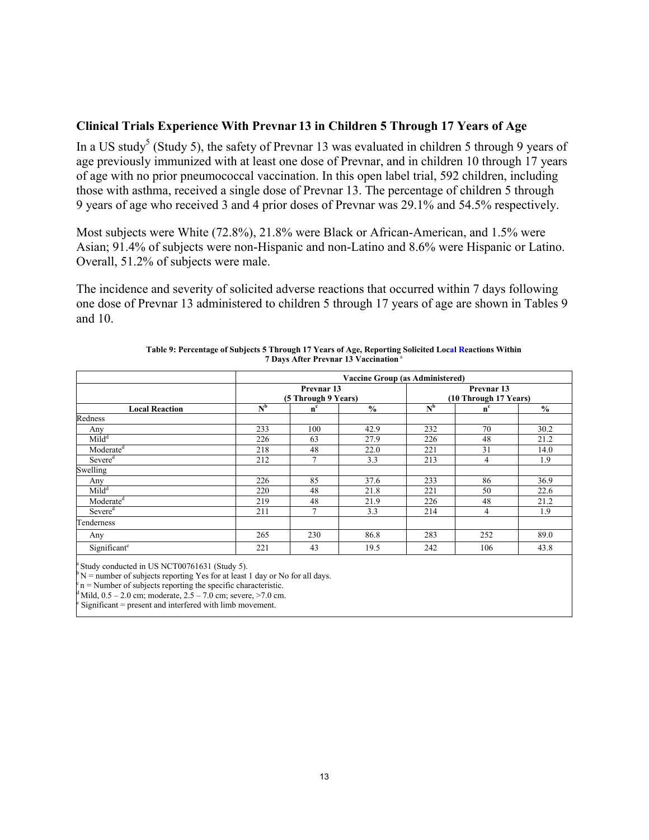### **Clinical Trials Experience With Prevnar 13 in Children 5 Through 17 Years of Age**

In a US study<sup>5</sup> (Study 5), the safety of Prevnar 13 was evaluated in children 5 through 9 years of age previously immunized with at least one dose of Prevnar, and in children 10 through 17 years of age with no prior pneumococcal vaccination. In this open label trial, 592 children, including those with asthma, received a single dose of Prevnar 13. The percentage of children 5 through 9 years of age who received 3 and 4 prior doses of Prevnar was 29.1% and 54.5% respectively.

Most subjects were White (72.8%), 21.8% were Black or African-American, and 1.5% were Asian; 91.4% of subjects were non-Hispanic and non-Latino and 8.6% were Hispanic or Latino. Overall, 51.2% of subjects were male.

The incidence and severity of solicited adverse reactions that occurred within 7 days following one dose of Prevnar 13 administered to children 5 through 17 years of age are shown in Tables 9 and 10.

|                          |                | <b>Vaccine Group (as Administered)</b> |               |                                     |         |               |  |  |  |  |
|--------------------------|----------------|----------------------------------------|---------------|-------------------------------------|---------|---------------|--|--|--|--|
| <b>Local Reaction</b>    |                | Prevnar 13<br>(5 Through 9 Years)      |               | Prevnar 13<br>(10 Through 17 Years) |         |               |  |  |  |  |
|                          | N <sub>b</sub> | $n^{c}$                                | $\frac{0}{0}$ | $N^b$                               | $n^{c}$ | $\frac{6}{9}$ |  |  |  |  |
| Redness                  |                |                                        |               |                                     |         |               |  |  |  |  |
| Any                      | 233            | 100                                    | 42.9          | 232                                 | 70      | 30.2          |  |  |  |  |
| Mid <sup>d</sup>         | 226            | 63                                     | 27.9          | 226                                 | 48      | 21.2          |  |  |  |  |
| Moderate <sup>d</sup>    | 218            | 48                                     | 22.0          | 221                                 | 31      | 14.0          |  |  |  |  |
| Severe <sup>d</sup>      | 212            | 7                                      | 3.3           | 213                                 | 4       | 1.9           |  |  |  |  |
| Swelling                 |                |                                        |               |                                     |         |               |  |  |  |  |
| Any                      | 226            | 85                                     | 37.6          | 233                                 | 86      | 36.9          |  |  |  |  |
| $Mild^d$                 | 220            | 48                                     | 21.8          | 221                                 | 50      | 22.6          |  |  |  |  |
| Moderate <sup>d</sup>    | 219            | 48                                     | 21.9          | 226                                 | 48      | 21.2          |  |  |  |  |
| Severe <sup>d</sup>      | 211            | 7                                      | 3.3           | 214                                 | 4       | 1.9           |  |  |  |  |
| Tenderness               |                |                                        |               |                                     |         |               |  |  |  |  |
| Any                      | 265            | 230                                    | 86.8          | 283                                 | 252     | 89.0          |  |  |  |  |
| Significant <sup>e</sup> | 221            | 43                                     | 19.5          | 242                                 | 106     | 43.8          |  |  |  |  |

| Table 9: Percentage of Subjects 5 Through 17 Years of Age, Reporting Solicited Local Reactions Within |
|-------------------------------------------------------------------------------------------------------|
| 7 Days After Prevnar 13 Vaccination <sup>a</sup>                                                      |

Study conducted in US NCT00761631 (Study 5).

 $N$  = number of subjects reporting Yes for at least 1 day or No for all days.

 $c_n$  = Number of subjects reporting the specific characteristic.

Mild,  $0.5 - 2.0$  cm; moderate,  $2.5 - 7.0$  cm; severe,  $>7.0$  cm.

 $\epsilon$  Significant = present and interfered with limb movement.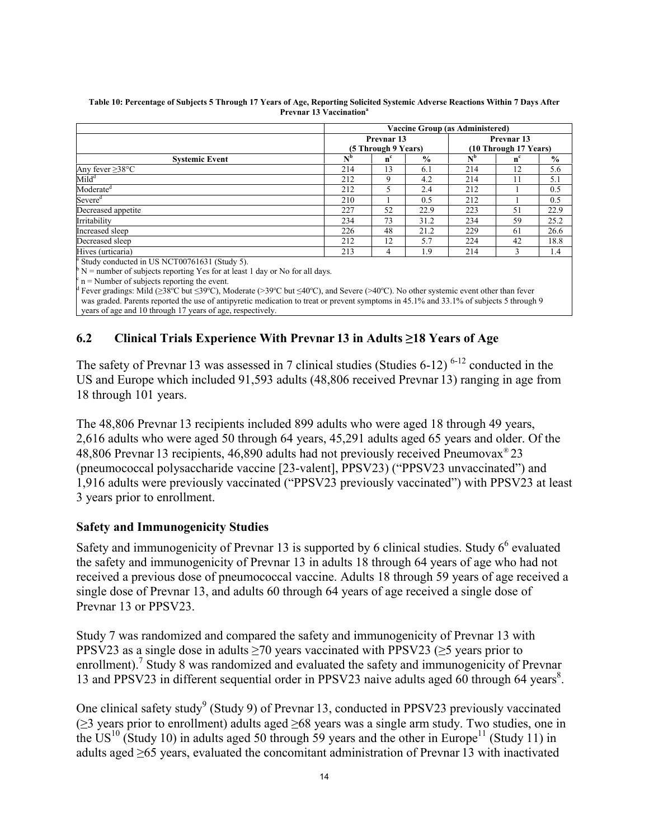| <b>Vaccine Group (as Administered)</b>                                                   |         |               |                           |            |               |  |
|------------------------------------------------------------------------------------------|---------|---------------|---------------------------|------------|---------------|--|
| Prevnar 13                                                                               |         |               |                           | Prevnar 13 |               |  |
|                                                                                          |         |               | (10 Through 17 Years)     |            |               |  |
| N <sup>b</sup>                                                                           | $n^{c}$ | $\frac{6}{9}$ | $\mathbf{N}^{\mathbf{b}}$ | $n^{c}$    | $\frac{0}{0}$ |  |
| 214                                                                                      | 13      | 6.1           | 214                       | 12         | 5.6           |  |
| 212                                                                                      | 9       | 4.2           | 214                       | 11         | 5.1           |  |
| 212                                                                                      |         | 2.4           | 212                       |            | 0.5           |  |
| 210                                                                                      |         | 0.5           | 212                       |            | 0.5           |  |
| 227                                                                                      | 52      | 22.9          | 223                       | 51         | 22.9          |  |
| 234                                                                                      | 73      | 31.2          | 234                       | 59         | 25.2          |  |
| 226                                                                                      | 48      | 21.2          | 229                       | 61         | 26.6          |  |
| 212                                                                                      | 12      | 5.7           | 224                       | 42         | 18.8          |  |
| 213                                                                                      | 4       | 1.9           | 214                       | 3          | 1.4           |  |
| <sup>a</sup> Study conducted in US NCT00761631 (Study 5).                                |         |               |                           |            |               |  |
| $\mathbb{P} N$ = number of subjects reporting Yes for at least 1 day or No for all days. |         |               |                           |            |               |  |
|                                                                                          |         |               | (5 Through 9 Years)       |            |               |  |

**Table 10: Percentage of Subjects 5 Through 17 Years of Age, Reporting Solicited Systemic Adverse Reactions Within 7 Days After Prevnar 13 Vaccination<sup>a</sup>**

 $c$  n = Number of subjects reporting the event.

<sup>d</sup> Fever gradings: Mild (≥38°C but ≤39°C), Moderate (>39°C but ≤40°C), and Severe (>40°C). No other systemic event other than fever was graded. Parents reported the use of antipyretic medication to treat or prevent symptoms in 45.1% and 33.1% of subjects 5 through 9 years of age and 10 through 17 years of age, respectively.

# **6.2 Clinical Trials Experience With Prevnar 13 in Adults ≥18 Years of Age**

The safety of Prevnar 13 was assessed in 7 clinical studies (Studies  $6-12$ ) <sup>6-12</sup> conducted in the US and Europe which included 91,593 adults (48,806 received Prevnar 13) ranging in age from 18 through 101 years.

The 48,806 Prevnar 13 recipients included 899 adults who were aged 18 through 49 years, 2,616 adults who were aged 50 through 64 years, 45,291 adults aged 65 years and older. Of the 48,806 Prevnar 13 recipients, 46,890 adults had not previously received Pneumovax® 23 (pneumococcal polysaccharide vaccine [23-valent], PPSV23) ("PPSV23 unvaccinated") and 1,916 adults were previously vaccinated ("PPSV23 previously vaccinated") with PPSV23 at least 3 years prior to enrollment.

# **Safety and Immunogenicity Studies**

Safety and immunogenicity of Prevnar 13 is supported by 6 clinical studies. Study  $6<sup>6</sup>$  evaluated the safety and immunogenicity of Prevnar 13 in adults 18 through 64 years of age who had not received a previous dose of pneumococcal vaccine. Adults 18 through 59 years of age received a single dose of Prevnar 13, and adults 60 through 64 years of age received a single dose of Prevnar 13 or PPSV23.

Study 7 was randomized and compared the safety and immunogenicity of Prevnar 13 with PPSV23 as a single dose in adults  $\geq$ 70 years vaccinated with PPSV23 ( $\geq$ 5 years prior to enrollment).<sup>7</sup> Study 8 was randomized and evaluated the safety and immunogenicity of Prevnar 13 and PPSV23 in different sequential order in PPSV23 naive adults aged 60 through 64 years<sup>8</sup>.

One clinical safety study<sup>9</sup> (Study 9) of Prevnar 13, conducted in PPSV23 previously vaccinated (≥3 years prior to enrollment) adults aged ≥68 years was a single arm study. Two studies, one in the US<sup>10</sup> (Study 10) in adults aged 50 through 59 years and the other in Europe<sup>11</sup> (Study 11) in adults aged ≥65 years, evaluated the concomitant administration of Prevnar 13 with inactivated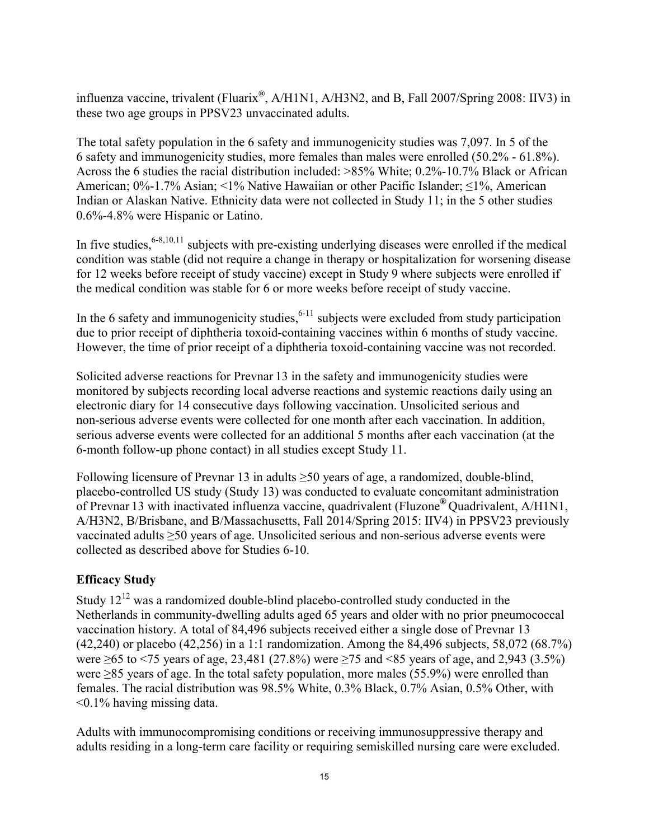influenza vaccine, trivalent (Fluarix**®** , A/H1N1, A/H3N2, and B, Fall 2007/Spring 2008: IIV3) in these two age groups in PPSV23 unvaccinated adults.

The total safety population in the 6 safety and immunogenicity studies was 7,097. In 5 of the 6 safety and immunogenicity studies, more females than males were enrolled (50.2% - 61.8%). Across the 6 studies the racial distribution included: >85% White; 0.2%-10.7% Black or African American; 0%-1.7% Asian; <1% Native Hawaiian or other Pacific Islander; ≤1%, American Indian or Alaskan Native. Ethnicity data were not collected in Study 11; in the 5 other studies 0.6%-4.8% were Hispanic or Latino.

In five studies,  $6-8,10,11$  subjects with pre-existing underlying diseases were enrolled if the medical condition was stable (did not require a change in therapy or hospitalization for worsening disease for 12 weeks before receipt of study vaccine) except in Study 9 where subjects were enrolled if the medical condition was stable for 6 or more weeks before receipt of study vaccine.

In the 6 safety and immunogenicity studies,  $6-11$  subjects were excluded from study participation due to prior receipt of diphtheria toxoid-containing vaccines within 6 months of study vaccine. However, the time of prior receipt of a diphtheria toxoid-containing vaccine was not recorded.

Solicited adverse reactions for Prevnar 13 in the safety and immunogenicity studies were monitored by subjects recording local adverse reactions and systemic reactions daily using an electronic diary for 14 consecutive days following vaccination. Unsolicited serious and non-serious adverse events were collected for one month after each vaccination. In addition, serious adverse events were collected for an additional 5 months after each vaccination (at the 6-month follow-up phone contact) in all studies except Study 11.

Following licensure of Prevnar 13 in adults  $\geq$ 50 years of age, a randomized, double-blind, placebo-controlled US study (Study 13) was conducted to evaluate concomitant administration of Prevnar 13 with inactivated influenza vaccine, quadrivalent (Fluzone**®** Quadrivalent, A/H1N1, A/H3N2, B/Brisbane, and B/Massachusetts, Fall 2014/Spring 2015: IIV4) in PPSV23 previously vaccinated adults ≥50 years of age. Unsolicited serious and non-serious adverse events were collected as described above for Studies 6-10.

# **Efficacy Study**

Study  $12^{12}$  was a randomized double-blind placebo-controlled study conducted in the Netherlands in community-dwelling adults aged 65 years and older with no prior pneumococcal vaccination history. A total of 84,496 subjects received either a single dose of Prevnar 13 (42,240) or placebo (42,256) in a 1:1 randomization. Among the 84,496 subjects, 58,072 (68.7%) were ≥65 to <75 years of age, 23,481 (27.8%) were ≥75 and <85 years of age, and 2,943 (3.5%) were ≥85 years of age. In the total safety population, more males (55.9%) were enrolled than females. The racial distribution was 98.5% White, 0.3% Black, 0.7% Asian, 0.5% Other, with <0.1% having missing data.

Adults with immunocompromising conditions or receiving immunosuppressive therapy and adults residing in a long-term care facility or requiring semiskilled nursing care were excluded.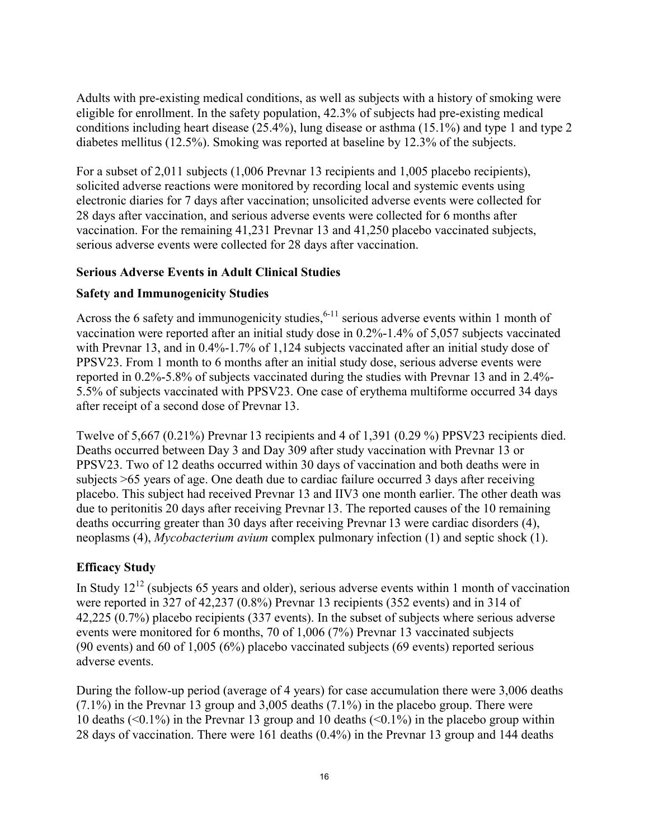Adults with pre-existing medical conditions, as well as subjects with a history of smoking were eligible for enrollment. In the safety population, 42.3% of subjects had pre-existing medical conditions including heart disease (25.4%), lung disease or asthma (15.1%) and type 1 and type 2 diabetes mellitus (12.5%). Smoking was reported at baseline by 12.3% of the subjects.

For a subset of 2,011 subjects (1,006 Prevnar 13 recipients and 1,005 placebo recipients), solicited adverse reactions were monitored by recording local and systemic events using electronic diaries for 7 days after vaccination; unsolicited adverse events were collected for 28 days after vaccination, and serious adverse events were collected for 6 months after vaccination. For the remaining 41,231 Prevnar 13 and 41,250 placebo vaccinated subjects, serious adverse events were collected for 28 days after vaccination.

# **Serious Adverse Events in Adult Clinical Studies**

# **Safety and Immunogenicity Studies**

Across the 6 safety and immunogenicity studies,  $6-11$  serious adverse events within 1 month of vaccination were reported after an initial study dose in 0.2%-1.4% of 5,057 subjects vaccinated with Prevnar 13, and in 0.4%-1.7% of 1,124 subjects vaccinated after an initial study dose of PPSV23. From 1 month to 6 months after an initial study dose, serious adverse events were reported in 0.2%-5.8% of subjects vaccinated during the studies with Prevnar 13 and in 2.4%- 5.5% of subjects vaccinated with PPSV23. One case of erythema multiforme occurred 34 days after receipt of a second dose of Prevnar 13.

Twelve of 5,667 (0.21%) Prevnar 13 recipients and 4 of 1,391 (0.29 %) PPSV23 recipients died. Deaths occurred between Day 3 and Day 309 after study vaccination with Prevnar 13 or PPSV23. Two of 12 deaths occurred within 30 days of vaccination and both deaths were in subjects >65 years of age. One death due to cardiac failure occurred 3 days after receiving placebo. This subject had received Prevnar 13 and IIV3 one month earlier. The other death was due to peritonitis 20 days after receiving Prevnar 13. The reported causes of the 10 remaining deaths occurring greater than 30 days after receiving Prevnar 13 were cardiac disorders (4), neoplasms (4), *Mycobacterium avium* complex pulmonary infection (1) and septic shock (1).

# **Efficacy Study**

In Study  $12^{12}$  (subjects 65 years and older), serious adverse events within 1 month of vaccination were reported in 327 of 42,237 (0.8%) Prevnar 13 recipients (352 events) and in 314 of 42,225 (0.7%) placebo recipients (337 events). In the subset of subjects where serious adverse events were monitored for 6 months, 70 of 1,006 (7%) Prevnar 13 vaccinated subjects (90 events) and 60 of 1,005 (6%) placebo vaccinated subjects (69 events) reported serious adverse events.

During the follow-up period (average of 4 years) for case accumulation there were 3,006 deaths (7.1%) in the Prevnar 13 group and 3,005 deaths (7.1%) in the placebo group. There were 10 deaths  $(\leq 0.1\%)$  in the Prevnar 13 group and 10 deaths  $(\leq 0.1\%)$  in the placebo group within 28 days of vaccination. There were 161 deaths (0.4%) in the Prevnar 13 group and 144 deaths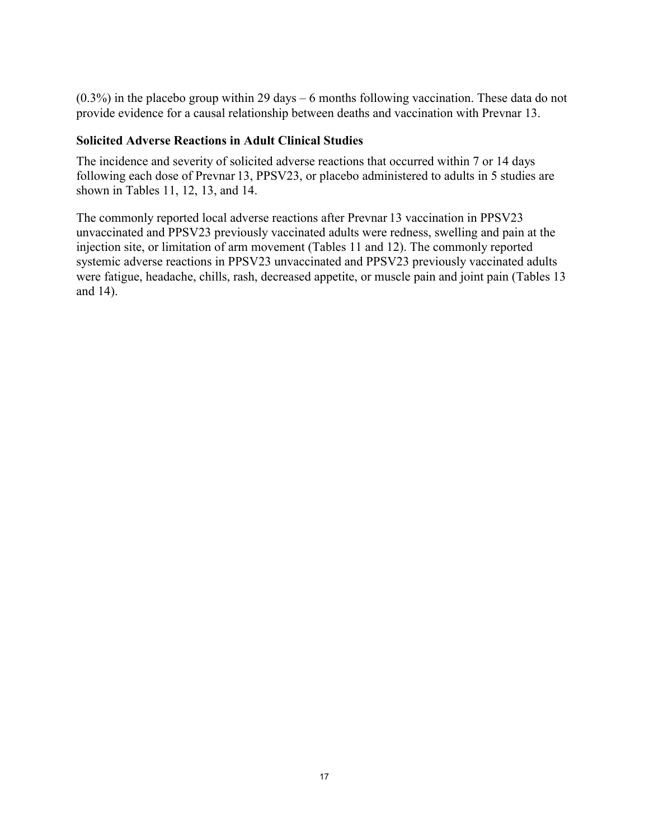(0.3%) in the placebo group within 29 days – 6 months following vaccination. These data do not provide evidence for a causal relationship between deaths and vaccination with Prevnar 13.

### **Solicited Adverse Reactions in Adult Clinical Studies**

The incidence and severity of solicited adverse reactions that occurred within 7 or 14 days following each dose of Prevnar 13, PPSV23, or placebo administered to adults in 5 studies are shown in Tables 11, 12, 13, and 14.

The commonly reported local adverse reactions after Prevnar 13 vaccination in PPSV23 unvaccinated and PPSV23 previously vaccinated adults were redness, swelling and pain at the injection site, or limitation of arm movement (Tables 11 and 12). The commonly reported systemic adverse reactions in PPSV23 unvaccinated and PPSV23 previously vaccinated adults were fatigue, headache, chills, rash, decreased appetite, or muscle pain and joint pain (Tables 13 and 14).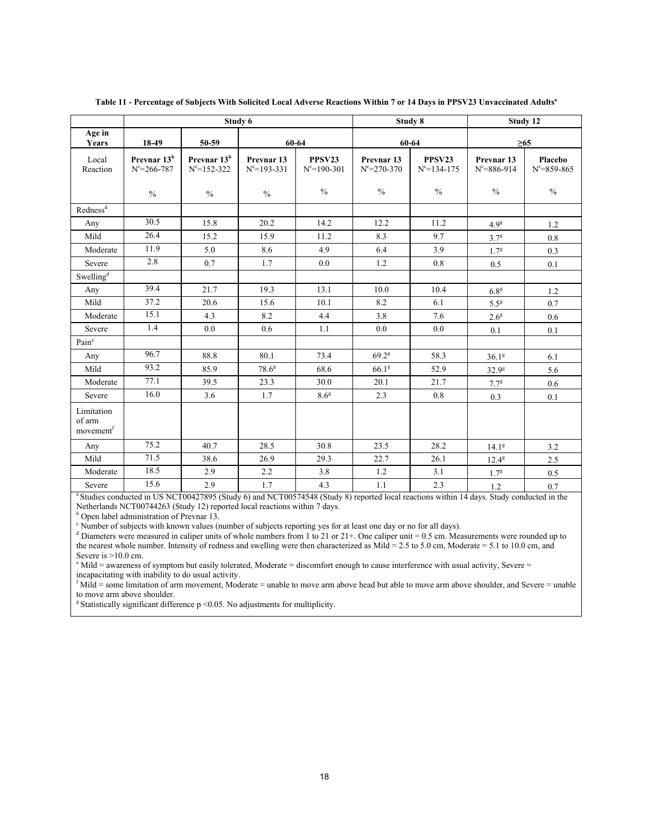|                                               |                                              |                                              | Study 6                                    |                             |                                            | Study 8                     | Study 12                                   |                              |
|-----------------------------------------------|----------------------------------------------|----------------------------------------------|--------------------------------------------|-----------------------------|--------------------------------------------|-----------------------------|--------------------------------------------|------------------------------|
| Age in<br>Years                               | 18-49                                        | 50-59                                        |                                            | 60-64                       | 60-64                                      |                             | $\geq 65$                                  |                              |
| Local<br>Reaction                             | Prevnar 13 <sup>b</sup><br>$N^c = 266 - 787$ | Prevnar 13 <sup>b</sup><br>$N^c = 152 - 322$ | Prevnar <sub>13</sub><br>$N^c = 193 - 331$ | PPSV23<br>$N^c = 190 - 301$ | Prevnar <sub>13</sub><br>$N^c = 270 - 370$ | PPSV23<br>$N^c = 134 - 175$ | Prevnar <sub>13</sub><br>$N^c = 886 - 914$ | Placebo<br>$N^c = 859 - 865$ |
|                                               | $\frac{0}{0}$                                | $\frac{0}{0}$                                | $\frac{0}{0}$                              | $\frac{0}{0}$               | $\frac{0}{0}$                              | $\frac{0}{0}$               | $\frac{0}{0}$                              | $\frac{0}{0}$                |
| Redness <sup>d</sup>                          |                                              |                                              |                                            |                             |                                            |                             |                                            |                              |
| Any                                           | 30.5                                         | 15.8                                         | 20.2                                       | 14.2                        | 12.2                                       | 11.2                        | 4.9 <sup>g</sup>                           | 1.2                          |
| Mild                                          | 26.4                                         | 15.2                                         | 15.9                                       | 11.2                        | 8.3                                        | 9.7                         | $3.7^8$                                    | 0.8                          |
| Moderate                                      | 11.9                                         | 5.0                                          | 8.6                                        | 4.9                         | 6.4                                        | 3.9                         | $1.7^{g}$                                  | 0.3                          |
| Severe                                        | 2.8                                          | 0.7                                          | 1.7                                        | 0.0                         | 1.2                                        | 0.8                         | 0.5                                        | 0.1                          |
| Swelling <sup>d</sup>                         |                                              |                                              |                                            |                             |                                            |                             |                                            |                              |
| Any                                           | 39.4                                         | 21.7                                         | 19.3                                       | 13.1                        | 10.0                                       | 10.4                        | 6.8 <sup>g</sup>                           | 1.2                          |
| Mild                                          | 37.2                                         | 20.6                                         | 15.6                                       | 10.1                        | 8.2                                        | 6.1                         | 5.5 <sup>g</sup>                           | 0.7                          |
| Moderate                                      | 15.1                                         | 4.3                                          | 8.2                                        | 4.4                         | 3.8                                        | 7.6                         | 2.6 <sup>g</sup>                           | 0.6                          |
| Severe                                        | 1.4                                          | 0.0                                          | 0.6                                        | 1.1                         | 0.0                                        | 0.0                         | 0.1                                        | 0.1                          |
| Paine                                         |                                              |                                              |                                            |                             |                                            |                             |                                            |                              |
| Any                                           | 96.7                                         | 88.8                                         | 80.1                                       | 73.4                        | $69.2^8$                                   | 58.3                        | 36.1 <sup>g</sup>                          | 6.1                          |
| Mild                                          | 93.2                                         | 85.9                                         | $78.6^8$                                   | 68.6                        | 66.1 <sup>g</sup>                          | 52.9                        | 32.9 <sup>g</sup>                          | 5.6                          |
| Moderate                                      | 77.1                                         | 39.5                                         | 23.3                                       | 30.0                        | 20.1                                       | 21.7                        | $7.7^{\rm g}$                              | 0.6                          |
| Severe                                        | 16.0                                         | 3.6                                          | 1.7                                        | 8.6 <sup>g</sup>            | 2.3                                        | 0.8                         | 0.3                                        | 0.1                          |
| Limitation<br>of arm<br>movement <sup>f</sup> |                                              |                                              |                                            |                             |                                            |                             |                                            |                              |
| Any                                           | 75.2                                         | 40.7                                         | 28.5                                       | 30.8                        | 23.5                                       | 28.2                        | 14.1 <sup>8</sup>                          | 3.2                          |
| Mild                                          | 71.5                                         | 38.6                                         | 26.9                                       | 29.3                        | 22.7                                       | 26.1                        | $12.4^{8}$                                 | 2.5                          |
| Moderate                                      | 18.5                                         | 2.9                                          | 2.2                                        | 3.8                         | 1.2                                        | 3.1                         | 1.7 <sup>g</sup>                           | 0.5                          |
| Severe                                        | 15.6                                         | 2.9                                          | 1.7                                        | 4.3                         | 1.1                                        | 2.3                         | 1.2                                        | 0.7                          |

#### **Table 11 - Percentage of Subjects With Solicited Local Adverse Reactions Within 7 or 14 Days in PPSV23 Unvaccinated Adults<sup>a</sup>**

<sup>a</sup> Studies conducted in US NCT00427895 (Study 6) and NCT00574548 (Study 8) reported local reactions within 14 days. Study conducted in the Netherlands NCT00744263 (Study 12) reported local reactions within 7 days.

**b** Open label administration of Prevnar 13.

<sup>c</sup> Number of subjects with known values (number of subjects reporting yes for at least one day or no for all days).

<sup>d</sup> Diameters were measured in caliper units of whole numbers from 1 to 21 or 21+. One caliper unit = 0.5 cm. Measurements were rounded up to the nearest whole number. Intensity of redness and swelling were then characterized as  $Mild = 2.5$  to 5.0 cm,  $Moderate = 5.1$  to 10.0 cm, and Severe is >10.0 cm.

 $e^{\theta}$  Mild = awareness of symptom but easily tolerated, Moderate = discomfort enough to cause interference with usual activity, Severe = incapacitating with inability to do usual activity.

 $<sup>f</sup>$  Mild = some limitation of arm movement, Moderate = unable to move arm above head but able to move arm above shoulder, and Severe = unable</sup> to move arm above shoulder.

 $\textdegree$ Statistically significant difference p <0.05. No adjustments for multiplicity.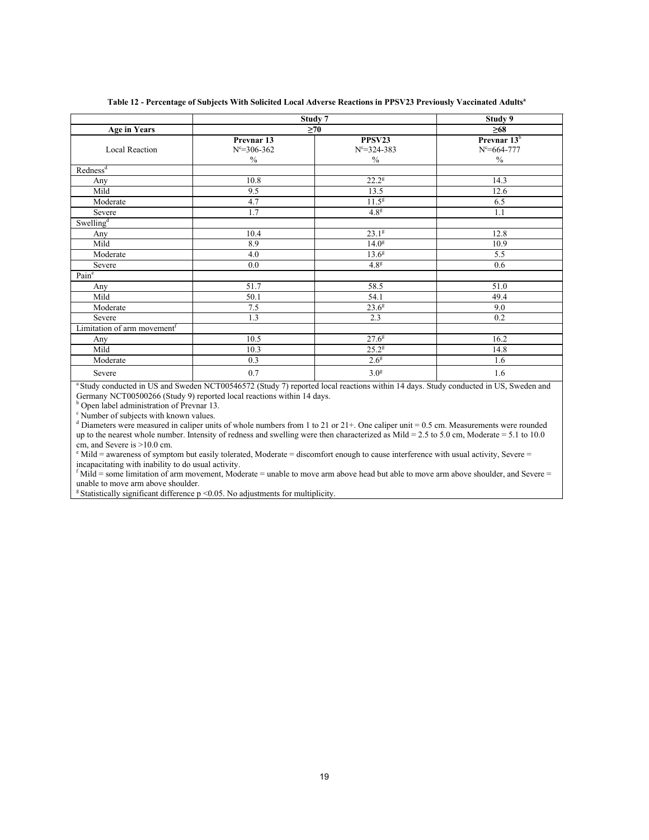|                                         |                                                  | Study 7                                      | Study 9                                              |
|-----------------------------------------|--------------------------------------------------|----------------------------------------------|------------------------------------------------------|
| <b>Age in Years</b>                     |                                                  | $\geq 70$                                    | $\geq 68$                                            |
| <b>Local Reaction</b>                   | Prevnar 13<br>$N^c = 306 - 362$<br>$\frac{0}{0}$ | PPSV23<br>$N^c = 324 - 383$<br>$\frac{0}{0}$ | Prevnar 13 <sup>b</sup><br>$N^c = 664 - 777$<br>$\%$ |
| Redness <sup>d</sup>                    |                                                  |                                              |                                                      |
| Any                                     | 10.8                                             | $22.2^8$                                     | 14.3                                                 |
| Mild                                    | 9.5                                              | 13.5                                         | 12.6                                                 |
| Moderate                                | 4.7                                              | $11.5^g$                                     | 6.5                                                  |
| Severe                                  | 1.7                                              | 4.8 <sup>g</sup>                             | 1.1                                                  |
| Swelling <sup>d</sup>                   |                                                  |                                              |                                                      |
| Any                                     | 10.4                                             | $23.1^{8}$                                   | 12.8                                                 |
| Mild                                    | 8.9                                              | 14.0 <sup>g</sup>                            | 10.9                                                 |
| Moderate                                | 4.0                                              | $13.6^{8}$                                   | 5.5                                                  |
| Severe                                  | 0.0                                              | 4.8 <sup>g</sup>                             | 0.6                                                  |
| Pain <sup>e</sup>                       |                                                  |                                              |                                                      |
| Any                                     | 51.7                                             | 58.5                                         | 51.0                                                 |
| Mild                                    | 50.1                                             | 54.1                                         | 49.4                                                 |
| Moderate                                | 7.5                                              | 23.6 <sup>g</sup>                            | 9.0                                                  |
| Severe                                  | 1.3                                              | 2.3                                          | 0.2                                                  |
| Limitation of arm movement <sup>f</sup> |                                                  |                                              |                                                      |
| Any                                     | 10.5                                             | $27.6^g$                                     | 16.2                                                 |
| Mild                                    | 10.3                                             | $25.2^{\rm g}$                               | 14.8                                                 |
| Moderate                                | 0.3                                              | $2.6^{\circ}$                                | 1.6                                                  |
| Severe                                  | 0.7                                              | 3.0 <sup>g</sup>                             | 1.6                                                  |

#### **Table 12 - Percentage of Subjects With Solicited Local Adverse Reactions in PPSV23 Previously Vaccinated Adults<sup>a</sup>**

<sup>a</sup> Study conducted in US and Sweden NCT00546572 (Study 7) reported local reactions within 14 days. Study conducted in US, Sweden and Germany NCT00500266 (Study 9) reported local reactions within 14 days.

<sup>b</sup> Open label administration of Prevnar 13.

<sup>c</sup> Number of subjects with known values.

d Diameters were measured in caliper units of whole numbers from 1 to 21 or 21+. One caliper unit = 0.5 cm. Measurements were rounded up to the nearest whole number. Intensity of redness and swelling were then characterized as Mild = 2.5 to 5.0 cm, Moderate = 5.1 to 10.0 cm, and Severe is >10.0 cm.

 $\text{e}^{\text{e}}$  Mild = awareness of symptom but easily tolerated, Moderate = discomfort enough to cause interference with usual activity, Severe = incapacitating with inability to do usual activity.

 $<sup>f</sup>$  Mild = some limitation of arm movement, Moderate = unable to move arm above head but able to move arm above shoulder, and Severe =</sup> unable to move arm above shoulder.

 $\textdegree$ Statistically significant difference p <0.05. No adjustments for multiplicity.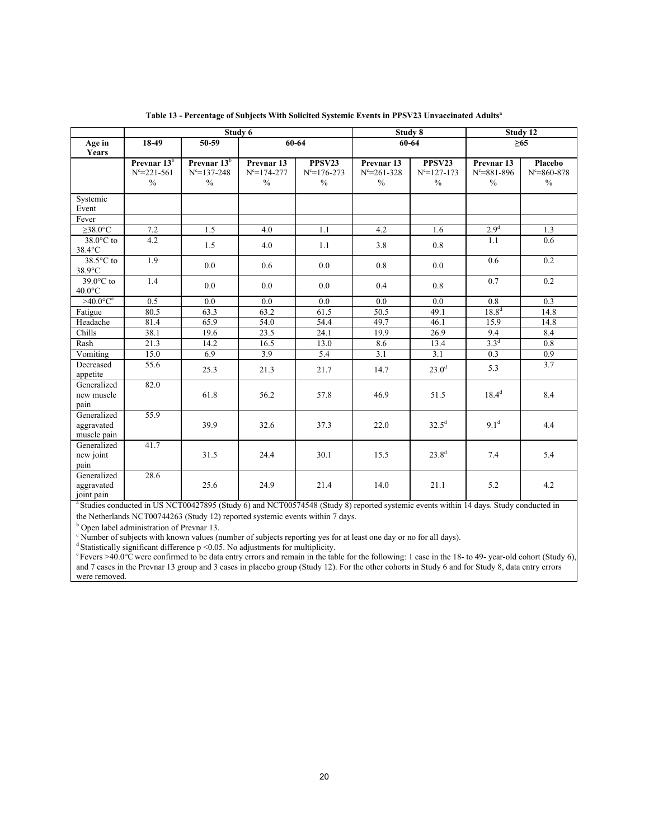|                                          |                         |                         | Study 6               |                   | Study 8           |                   |                       | Study 12          |  |
|------------------------------------------|-------------------------|-------------------------|-----------------------|-------------------|-------------------|-------------------|-----------------------|-------------------|--|
| Age in                                   | 18-49                   | 50-59                   |                       | 60-64             | 60-64             |                   | $\geq 65$             |                   |  |
| Years                                    |                         |                         |                       |                   |                   |                   |                       |                   |  |
|                                          | Prevnar 13 <sup>b</sup> | Prevnar 13 <sup>b</sup> | Prevnar <sub>13</sub> | PPSV23            | Prevnar 13        | PPSV23            | Prevnar <sub>13</sub> | Placebo           |  |
|                                          | $N^c = 221 - 561$       | $N^c = 137 - 248$       | $N^c = 174 - 277$     | $N^c = 176 - 273$ | $N^c = 261 - 328$ | $N^c = 127 - 173$ | $N^c = 881 - 896$     | $N^c = 860 - 878$ |  |
|                                          | $\frac{0}{0}$           | $\frac{0}{0}$           | $\%$                  | $\frac{0}{0}$     | $\frac{0}{0}$     | $\frac{0}{0}$     | $\frac{0}{0}$         | $\%$              |  |
| Systemic                                 |                         |                         |                       |                   |                   |                   |                       |                   |  |
| Event                                    |                         |                         |                       |                   |                   |                   |                       |                   |  |
| Fever                                    |                         |                         |                       |                   |                   |                   |                       |                   |  |
| $\geq 38.0$ <sup>o</sup> C               | 7.2                     | 1.5                     | 4.0                   | 1.1               | 4.2               | 1.6               | 2.9 <sup>d</sup>      | 1.3               |  |
| 38.0°C to<br>38.4°C                      | $\overline{4.2}$        | 1.5                     | 4.0                   | 1.1               | 3.8               | 0.8               | 1.1                   | 0.6               |  |
| $38.5^{\circ}$ C to<br>38.9°C            | 1.9                     | 0.0                     | 0.6                   | 0.0               | 0.8               | 0.0               | 0.6                   | 0.2               |  |
| $39.0^{\circ}$ C to<br>$40.0$ °C         | $\overline{1.4}$        | 0.0                     | 0.0                   | 0.0               | 0.4               | 0.8               | $\overline{0.7}$      | $\overline{0.2}$  |  |
| $>40.0$ °C <sup>e</sup>                  | $\overline{0.5}$        | 0.0                     | 0.0                   | 0.0               | 0.0               | 0.0               | $\overline{0.8}$      | $\overline{0.3}$  |  |
| Fatigue                                  | 80.5                    | 63.3                    | 63.2                  | 61.5              | 50.5              | 49.1              | $18.8^{d}$            | 14.8              |  |
| Headache                                 | 81.4                    | 65.9                    | 54.0                  | 54.4              | 49.7              | 46.1              | 15.9                  | 14.8              |  |
| Chills                                   | 38.1                    | 19.6                    | 23.5                  | 24.1              | 19.9              | 26.9              | 9.4                   | 8.4               |  |
| Rash                                     | 21.3                    | 14.2                    | 16.5                  | 13.0              | 8.6               | 13.4              | $3.3^{d}$             | 0.8               |  |
| Vomiting                                 | 15.0                    | 6.9                     | 3.9                   | 5.4               | 3.1               | 3.1               | 0.3                   | 0.9               |  |
| Decreased<br>appetite                    | 55.6                    | 25.3                    | 21.3                  | 21.7              | 14.7              | 23.0 <sup>d</sup> | 5.3                   | $\overline{3.7}$  |  |
| Generalized<br>new muscle<br>pain        | 82.0                    | 61.8                    | 56.2                  | 57.8              | 46.9              | 51.5              | $18.4^{d}$            | 8.4               |  |
| Generalized<br>aggravated<br>muscle pain | 55.9                    | 39.9                    | 32.6                  | 37.3              | 22.0              | $32.5^d$          | 9.1 <sup>d</sup>      | 4.4               |  |
| Generalized<br>new joint<br>pain         | 41.7                    | 31.5                    | 24.4                  | 30.1              | 15.5              | $23.8^{d}$        | 7.4                   | 5.4               |  |
| Generalized<br>aggravated<br>joint pain  | 28.6                    | 25.6                    | 24.9                  | 21.4              | 14.0              | 21.1              | 5.2                   | 4.2               |  |

**Table 13 - Percentage of Subjects With Solicited Systemic Events in PPSV23 Unvaccinated Adults<sup>a</sup>**

<sup>a</sup> Studies conducted in US NCT00427895 (Study 6) and NCT00574548 (Study 8) reported systemic events within 14 days. Study conducted in the Netherlands NCT00744263 (Study 12) reported systemic events within 7 days.

**b** Open label administration of Prevnar 13.

<sup>c</sup> Number of subjects with known values (number of subjects reporting yes for at least one day or no for all days).

 $^{\rm d}$  Statistically significant difference p <0.05. No adjustments for multiplicity.

exercis >40.0°C were confirmed to be data entry errors and remain in the table for the following: 1 case in the 18- to 49- year-old cohort (Study 6), and 7 cases in the Prevnar 13 group and 3 cases in placebo group (Study 12). For the other cohorts in Study 6 and for Study 8, data entry errors were removed.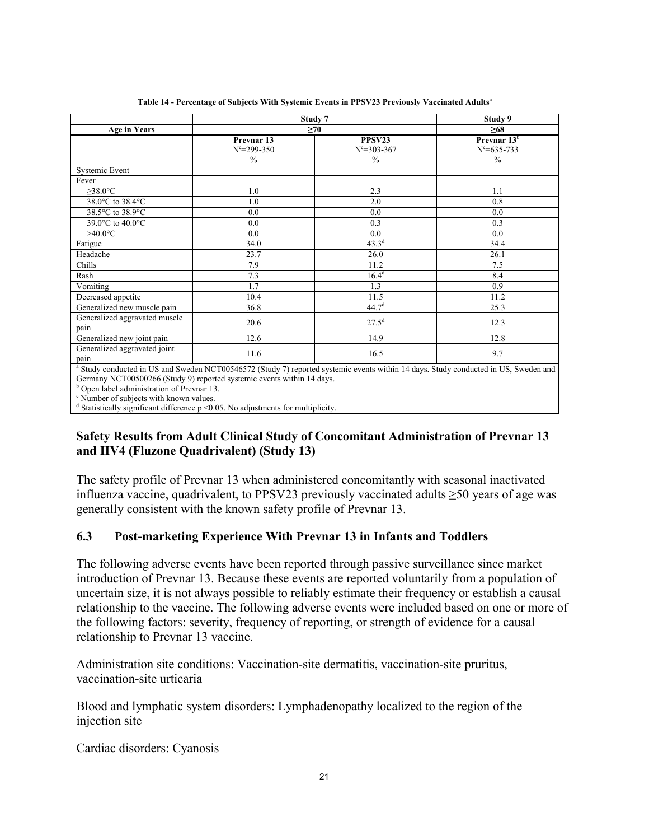|                                                                                                                                                | Study 7               |                   | Study 9           |
|------------------------------------------------------------------------------------------------------------------------------------------------|-----------------------|-------------------|-------------------|
| <b>Age in Years</b>                                                                                                                            |                       | $\geq 70$         | $\geq 68$         |
|                                                                                                                                                | Prevnar <sub>13</sub> | PPSV23            | Prevnar $13b$     |
|                                                                                                                                                | $N^c = 299 - 350$     | $N^c = 303 - 367$ | $N^c = 635 - 733$ |
|                                                                                                                                                | $\frac{0}{0}$         | $\frac{0}{0}$     | $\%$              |
| Systemic Event                                                                                                                                 |                       |                   |                   |
| Fever                                                                                                                                          |                       |                   |                   |
| $\geq 38.0$ °C                                                                                                                                 | 1.0                   | 2.3               | 1.1               |
| 38.0°C to 38.4°C                                                                                                                               | 1.0                   | 2.0               | 0.8               |
| 38.5°C to 38.9°C                                                                                                                               | 0.0                   | 0.0               | 0.0               |
| 39.0°C to 40.0°C                                                                                                                               | 0.0                   | 0.3               | 0.3               |
| $>40.0$ °C                                                                                                                                     | 0.0                   | 0.0               | $0.0\,$           |
| Fatigue                                                                                                                                        | 34.0                  | $43.3^{d}$        | 34.4              |
| Headache                                                                                                                                       | 23.7                  | 26.0              | 26.1              |
| Chills                                                                                                                                         | 7.9                   | 11.2              | 7.5               |
| Rash                                                                                                                                           | 7.3                   | $16.4^d$          | 8.4               |
| Vomiting                                                                                                                                       | 1.7                   | 1.3               | 0.9               |
| Decreased appetite                                                                                                                             | 10.4                  | 11.5              | 11.2              |
| Generalized new muscle pain                                                                                                                    | 36.8                  | 44.7 <sup>d</sup> | 25.3              |
| Generalized aggravated muscle                                                                                                                  | 20.6                  | $27.5^d$          | 12.3              |
| pain                                                                                                                                           |                       |                   |                   |
| Generalized new joint pain                                                                                                                     | 12.6                  | 14.9              | 12.8              |
| Generalized aggravated joint                                                                                                                   | 11.6                  | 16.5              | 9.7               |
| pain                                                                                                                                           |                       |                   |                   |
| <sup>a</sup> Study conducted in US and Sweden NCT00546572 (Study 7) reported systemic events within 14 days. Study conducted in US, Sweden and |                       |                   |                   |

**Table 14 - Percentage of Subjects With Systemic Events in PPSV23 Previously Vaccinated Adults<sup>a</sup>**

Germany NCT00500266 (Study 9) reported systemic events within 14 days.

<sup>b</sup> Open label administration of Prevnar 13.

<sup>c</sup> Number of subjects with known values.

<sup>d</sup> Statistically significant difference p <0.05. No adjustments for multiplicity.

# **Safety Results from Adult Clinical Study of Concomitant Administration of Prevnar 13 and IIV4 (Fluzone Quadrivalent) (Study 13)**

The safety profile of Prevnar 13 when administered concomitantly with seasonal inactivated influenza vaccine, quadrivalent, to PPSV23 previously vaccinated adults ≥50 years of age was generally consistent with the known safety profile of Prevnar 13.

# **6.3 Post-marketing Experience With Prevnar 13 in Infants and Toddlers**

The following adverse events have been reported through passive surveillance since market introduction of Prevnar 13. Because these events are reported voluntarily from a population of uncertain size, it is not always possible to reliably estimate their frequency or establish a causal relationship to the vaccine. The following adverse events were included based on one or more of the following factors: severity, frequency of reporting, or strength of evidence for a causal relationship to Prevnar 13 vaccine.

Administration site conditions: Vaccination-site dermatitis, vaccination-site pruritus, vaccination-site urticaria

Blood and lymphatic system disorders: Lymphadenopathy localized to the region of the injection site

Cardiac disorders: Cyanosis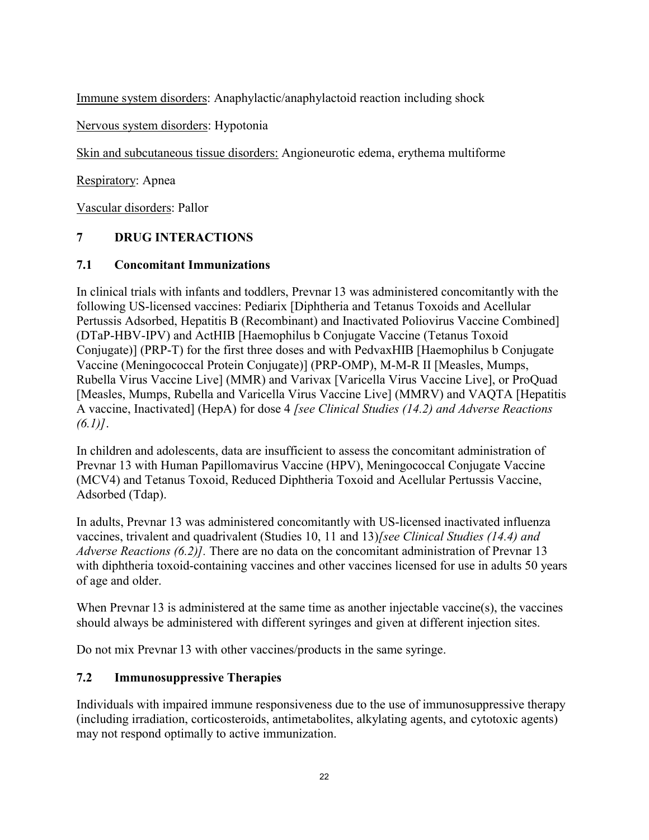Immune system disorders: Anaphylactic/anaphylactoid reaction including shock

Nervous system disorders: Hypotonia

Skin and subcutaneous tissue disorders: Angioneurotic edema, erythema multiforme

Respiratory: Apnea

Vascular disorders: Pallor

# **7 DRUG INTERACTIONS**

## **7.1 Concomitant Immunizations**

In clinical trials with infants and toddlers, Prevnar 13 was administered concomitantly with the following US-licensed vaccines: Pediarix [Diphtheria and Tetanus Toxoids and Acellular Pertussis Adsorbed, Hepatitis B (Recombinant) and Inactivated Poliovirus Vaccine Combined] (DTaP-HBV-IPV) and ActHIB [Haemophilus b Conjugate Vaccine (Tetanus Toxoid Conjugate)] (PRP-T) for the first three doses and with PedvaxHIB [Haemophilus b Conjugate Vaccine (Meningococcal Protein Conjugate)] (PRP-OMP), M-M-R II [Measles, Mumps, Rubella Virus Vaccine Live] (MMR) and Varivax [Varicella Virus Vaccine Live], or ProQuad [Measles, Mumps, Rubella and Varicella Virus Vaccine Live] (MMRV) and VAQTA [Hepatitis A vaccine, Inactivated] (HepA) for dose 4 *[see Clinical Studies (14.2) and Adverse Reactions (6.1)]*.

In children and adolescents, data are insufficient to assess the concomitant administration of Prevnar 13 with Human Papillomavirus Vaccine (HPV), Meningococcal Conjugate Vaccine (MCV4) and Tetanus Toxoid, Reduced Diphtheria Toxoid and Acellular Pertussis Vaccine, Adsorbed (Tdap).

In adults, Prevnar 13 was administered concomitantly with US-licensed inactivated influenza vaccines, trivalent and quadrivalent (Studies 10, 11 and 13)*[see Clinical Studies (14.4) and Adverse Reactions (6.2)].* There are no data on the concomitant administration of Prevnar 13 with diphtheria toxoid-containing vaccines and other vaccines licensed for use in adults 50 years of age and older.

When Prevnar 13 is administered at the same time as another injectable vaccine(s), the vaccines should always be administered with different syringes and given at different injection sites.

Do not mix Prevnar 13 with other vaccines/products in the same syringe.

# **7.2 Immunosuppressive Therapies**

Individuals with impaired immune responsiveness due to the use of immunosuppressive therapy (including irradiation, corticosteroids, antimetabolites, alkylating agents, and cytotoxic agents) may not respond optimally to active immunization.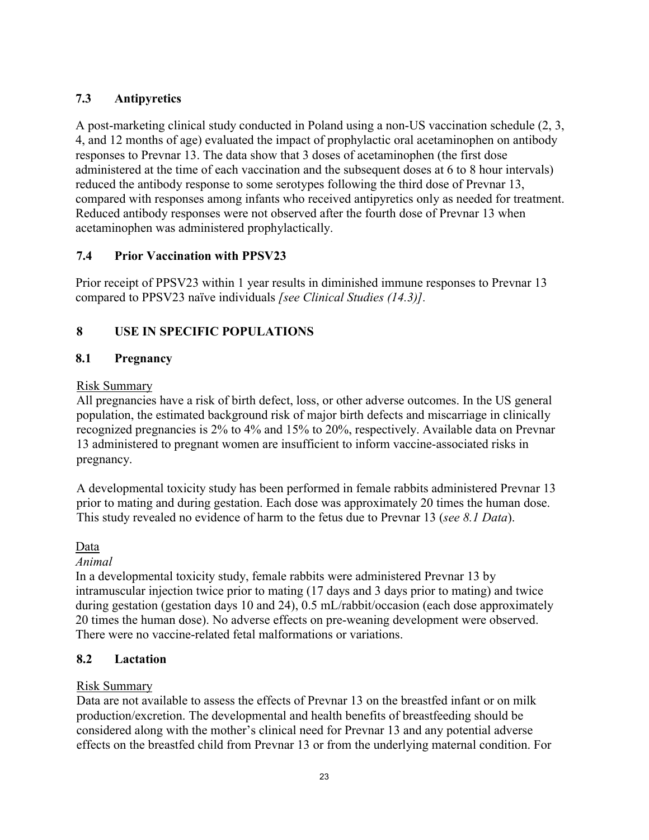# **7.3 Antipyretics**

A post-marketing clinical study conducted in Poland using a non-US vaccination schedule (2, 3, 4, and 12 months of age) evaluated the impact of prophylactic oral acetaminophen on antibody responses to Prevnar 13. The data show that 3 doses of acetaminophen (the first dose administered at the time of each vaccination and the subsequent doses at 6 to 8 hour intervals) reduced the antibody response to some serotypes following the third dose of Prevnar 13, compared with responses among infants who received antipyretics only as needed for treatment. Reduced antibody responses were not observed after the fourth dose of Prevnar 13 when acetaminophen was administered prophylactically.

# **7.4 Prior Vaccination with PPSV23**

Prior receipt of PPSV23 within 1 year results in diminished immune responses to Prevnar 13 compared to PPSV23 naïve individuals *[see Clinical Studies (14.3)].*

# **8 USE IN SPECIFIC POPULATIONS**

# **8.1 Pregnancy**

# Risk Summary

All pregnancies have a risk of birth defect, loss, or other adverse outcomes. In the US general population, the estimated background risk of major birth defects and miscarriage in clinically recognized pregnancies is 2% to 4% and 15% to 20%, respectively. Available data on Prevnar 13 administered to pregnant women are insufficient to inform vaccine-associated risks in pregnancy.

A developmental toxicity study has been performed in female rabbits administered Prevnar 13 prior to mating and during gestation. Each dose was approximately 20 times the human dose. This study revealed no evidence of harm to the fetus due to Prevnar 13 (*see 8.1 Data*).

# Data

# *Animal*

In a developmental toxicity study, female rabbits were administered Prevnar 13 by intramuscular injection twice prior to mating (17 days and 3 days prior to mating) and twice during gestation (gestation days 10 and 24), 0.5 mL/rabbit/occasion (each dose approximately 20 times the human dose). No adverse effects on pre-weaning development were observed. There were no vaccine-related fetal malformations or variations.

# **8.2 Lactation**

# Risk Summary

Data are not available to assess the effects of Prevnar 13 on the breastfed infant or on milk production/excretion. The developmental and health benefits of breastfeeding should be considered along with the mother's clinical need for Prevnar 13 and any potential adverse effects on the breastfed child from Prevnar 13 or from the underlying maternal condition. For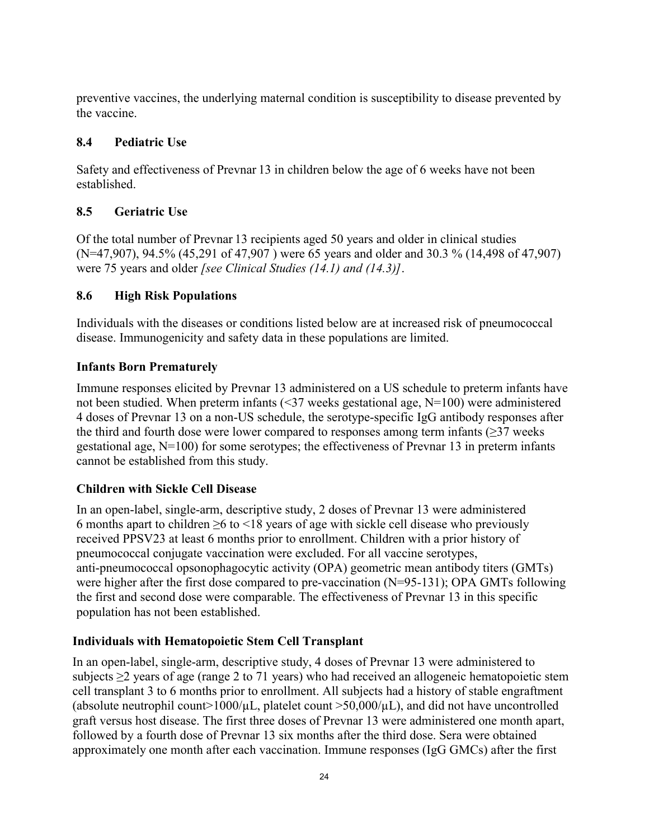preventive vaccines, the underlying maternal condition is susceptibility to disease prevented by the vaccine.

# **8.4 Pediatric Use**

Safety and effectiveness of Prevnar 13 in children below the age of 6 weeks have not been established.

# **8.5 Geriatric Use**

Of the total number of Prevnar 13 recipients aged 50 years and older in clinical studies (N=47,907), 94.5% (45,291 of 47,907 ) were 65 years and older and 30.3 % (14,498 of 47,907) were 75 years and older *[see Clinical Studies (14.1) and (14.3)]*.

# **8.6 High Risk Populations**

Individuals with the diseases or conditions listed below are at increased risk of pneumococcal disease. Immunogenicity and safety data in these populations are limited.

# **Infants Born Prematurely**

Immune responses elicited by Prevnar 13 administered on a US schedule to preterm infants have not been studied. When preterm infants (<37 weeks gestational age, N=100) were administered 4 doses of Prevnar 13 on a non-US schedule, the serotype-specific IgG antibody responses after the third and fourth dose were lower compared to responses among term infants  $(\geq)37$  weeks gestational age, N=100) for some serotypes; the effectiveness of Prevnar 13 in preterm infants cannot be established from this study.

# **Children with Sickle Cell Disease**

In an open-label, single-arm, descriptive study, 2 doses of Prevnar 13 were administered 6 months apart to children ≥6 to <18 years of age with sickle cell disease who previously received PPSV23 at least 6 months prior to enrollment. Children with a prior history of pneumococcal conjugate vaccination were excluded. For all vaccine serotypes, anti-pneumococcal opsonophagocytic activity (OPA) geometric mean antibody titers (GMTs) were higher after the first dose compared to pre-vaccination (N=95-131); OPA GMTs following the first and second dose were comparable. The effectiveness of Prevnar 13 in this specific population has not been established.

# **Individuals with Hematopoietic Stem Cell Transplant**

In an open-label, single-arm, descriptive study, 4 doses of Prevnar 13 were administered to subjects ≥2 years of age (range 2 to 71 years) who had received an allogeneic hematopoietic stem cell transplant 3 to 6 months prior to enrollment. All subjects had a history of stable engraftment (absolute neutrophil count>1000/ $\mu$ L, platelet count >50,000/ $\mu$ L), and did not have uncontrolled graft versus host disease. The first three doses of Prevnar 13 were administered one month apart, followed by a fourth dose of Prevnar 13 six months after the third dose. Sera were obtained approximately one month after each vaccination. Immune responses (IgG GMCs) after the first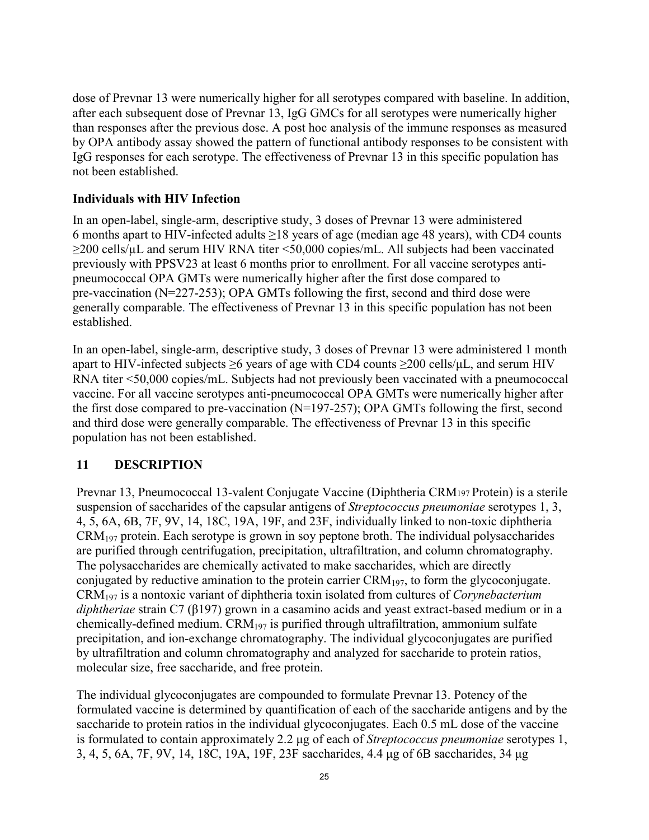dose of Prevnar 13 were numerically higher for all serotypes compared with baseline. In addition, after each subsequent dose of Prevnar 13, IgG GMCs for all serotypes were numerically higher than responses after the previous dose. A post hoc analysis of the immune responses as measured by OPA antibody assay showed the pattern of functional antibody responses to be consistent with IgG responses for each serotype. The effectiveness of Prevnar 13 in this specific population has not been established.

### **Individuals with HIV Infection**

In an open-label, single-arm, descriptive study, 3 doses of Prevnar 13 were administered 6 months apart to HIV-infected adults  $\geq$ 18 years of age (median age 48 years), with CD4 counts ≥200 cells/µL and serum HIV RNA titer <50,000 copies/mL. All subjects had been vaccinated previously with PPSV23 at least 6 months prior to enrollment. For all vaccine serotypes antipneumococcal OPA GMTs were numerically higher after the first dose compared to pre-vaccination (N=227-253); OPA GMTs following the first, second and third dose were generally comparable. The effectiveness of Prevnar 13 in this specific population has not been established.

In an open-label, single-arm, descriptive study, 3 doses of Prevnar 13 were administered 1 month apart to HIV-infected subjects  $\geq$ 6 years of age with CD4 counts  $\geq$ 200 cells/ $\mu$ L, and serum HIV RNA titer <50,000 copies/mL. Subjects had not previously been vaccinated with a pneumococcal vaccine. For all vaccine serotypes anti-pneumococcal OPA GMTs were numerically higher after the first dose compared to pre-vaccination (N=197-257); OPA GMTs following the first, second and third dose were generally comparable. The effectiveness of Prevnar 13 in this specific population has not been established.

### **11 DESCRIPTION**

Prevnar 13, Pneumococcal 13-valent Conjugate Vaccine (Diphtheria CRM197 Protein) is a sterile suspension of saccharides of the capsular antigens of *Streptococcus pneumoniae* serotypes 1, 3, 4, 5, 6A, 6B, 7F, 9V, 14, 18C, 19A, 19F, and 23F, individually linked to non-toxic diphtheria  $CRM<sub>197</sub>$  protein. Each serotype is grown in soy peptone broth. The individual polysaccharides are purified through centrifugation, precipitation, ultrafiltration, and column chromatography. The polysaccharides are chemically activated to make saccharides, which are directly conjugated by reductive amination to the protein carrier  $\text{CRM}_{197}$ , to form the glycoconjugate. CRM<sup>197</sup> is a nontoxic variant of diphtheria toxin isolated from cultures of *Corynebacterium diphtheriae* strain C7 (β197) grown in a casamino acids and yeast extract-based medium or in a chemically-defined medium.  $\text{CRM}_{197}$  is purified through ultrafiltration, ammonium sulfate precipitation, and ion-exchange chromatography. The individual glycoconjugates are purified by ultrafiltration and column chromatography and analyzed for saccharide to protein ratios, molecular size, free saccharide, and free protein.

The individual glycoconjugates are compounded to formulate Prevnar 13. Potency of the formulated vaccine is determined by quantification of each of the saccharide antigens and by the saccharide to protein ratios in the individual glycoconjugates. Each 0.5 mL dose of the vaccine is formulated to contain approximately 2.2 μg of each of *Streptococcus pneumoniae* serotypes 1, 3, 4, 5, 6A, 7F, 9V, 14, 18C, 19A, 19F, 23F saccharides, 4.4 μg of 6B saccharides, 34 μg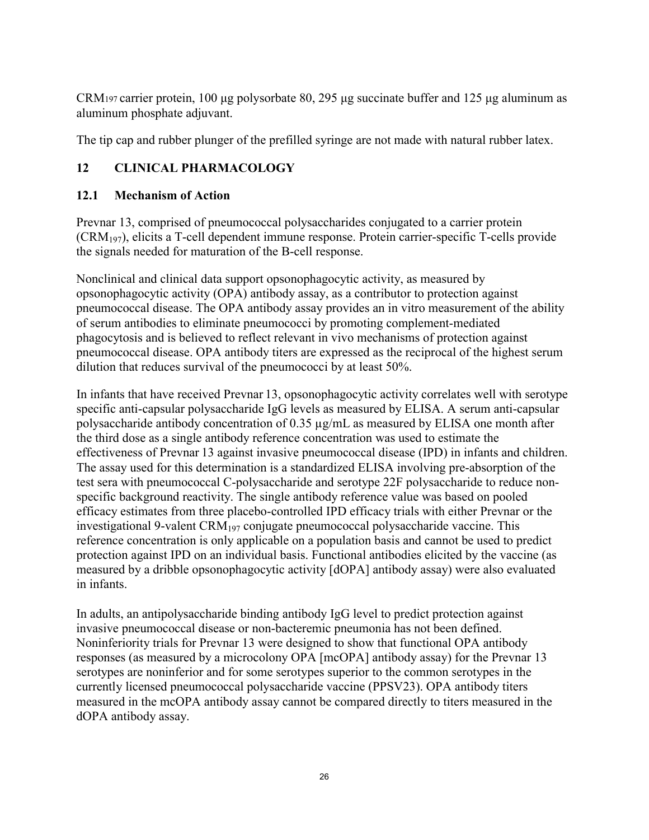CRM197 carrier protein, 100 μg polysorbate 80, 295 μg succinate buffer and 125 μg aluminum as aluminum phosphate adjuvant.

The tip cap and rubber plunger of the prefilled syringe are not made with natural rubber latex.

# **12 CLINICAL PHARMACOLOGY**

# **12.1 Mechanism of Action**

Prevnar 13, comprised of pneumococcal polysaccharides conjugated to a carrier protein (CRM197), elicits a T-cell dependent immune response. Protein carrier-specific T-cells provide the signals needed for maturation of the B-cell response.

Nonclinical and clinical data support opsonophagocytic activity, as measured by opsonophagocytic activity (OPA) antibody assay, as a contributor to protection against pneumococcal disease. The OPA antibody assay provides an in vitro measurement of the ability of serum antibodies to eliminate pneumococci by promoting complement-mediated phagocytosis and is believed to reflect relevant in vivo mechanisms of protection against pneumococcal disease. OPA antibody titers are expressed as the reciprocal of the highest serum dilution that reduces survival of the pneumococci by at least 50%.

In infants that have received Prevnar 13, opsonophagocytic activity correlates well with serotype specific anti-capsular polysaccharide IgG levels as measured by ELISA. A serum anti-capsular polysaccharide antibody concentration of 0.35 µg/mL as measured by ELISA one month after the third dose as a single antibody reference concentration was used to estimate the effectiveness of Prevnar 13 against invasive pneumococcal disease (IPD) in infants and children. The assay used for this determination is a standardized ELISA involving pre-absorption of the test sera with pneumococcal C-polysaccharide and serotype 22F polysaccharide to reduce nonspecific background reactivity. The single antibody reference value was based on pooled efficacy estimates from three placebo-controlled IPD efficacy trials with either Prevnar or the investigational 9-valent  $\text{CRM}_{197}$  conjugate pneumococcal polysaccharide vaccine. This reference concentration is only applicable on a population basis and cannot be used to predict protection against IPD on an individual basis. Functional antibodies elicited by the vaccine (as measured by a dribble opsonophagocytic activity [dOPA] antibody assay) were also evaluated in infants.

In adults, an antipolysaccharide binding antibody IgG level to predict protection against invasive pneumococcal disease or non-bacteremic pneumonia has not been defined. Noninferiority trials for Prevnar 13 were designed to show that functional OPA antibody responses (as measured by a microcolony OPA [mcOPA] antibody assay) for the Prevnar 13 serotypes are noninferior and for some serotypes superior to the common serotypes in the currently licensed pneumococcal polysaccharide vaccine (PPSV23). OPA antibody titers measured in the mcOPA antibody assay cannot be compared directly to titers measured in the dOPA antibody assay.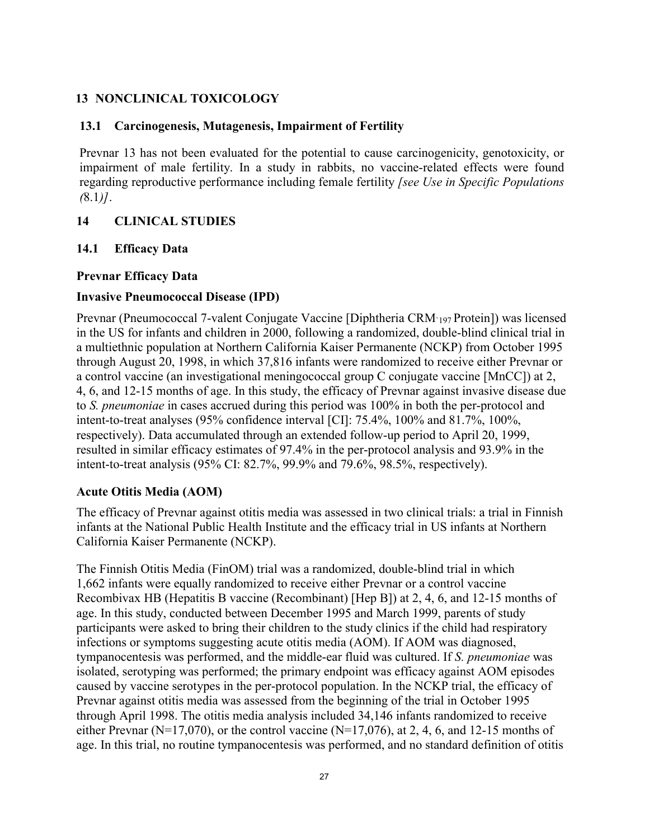# **13 NONCLINICAL TOXICOLOGY**

## **13.1 Carcinogenesis, Mutagenesis, Impairment of Fertility**

Prevnar 13 has not been evaluated for the potential to cause carcinogenicity, genotoxicity, or impairment of male fertility. In a study in rabbits, no vaccine-related effects were found regarding reproductive performance including female fertility *[see Use in Specific Populations (*8.1*)]*.

# **14 CLINICAL STUDIES**

## **14.1 Efficacy Data**

### **Prevnar Efficacy Data**

## **Invasive Pneumococcal Disease (IPD)**

Prevnar (Pneumococcal 7-valent Conjugate Vaccine [Diphtheria CRM`197 Protein]) was licensed in the US for infants and children in 2000, following a randomized, double-blind clinical trial in a multiethnic population at Northern California Kaiser Permanente (NCKP) from October 1995 through August 20, 1998, in which 37,816 infants were randomized to receive either Prevnar or a control vaccine (an investigational meningococcal group C conjugate vaccine [MnCC]) at 2, 4, 6, and 12-15 months of age. In this study, the efficacy of Prevnar against invasive disease due to *S. pneumoniae* in cases accrued during this period was 100% in both the per-protocol and intent-to-treat analyses (95% confidence interval [CI]: 75.4%, 100% and 81.7%, 100%, respectively). Data accumulated through an extended follow-up period to April 20, 1999, resulted in similar efficacy estimates of 97.4% in the per-protocol analysis and 93.9% in the intent-to-treat analysis (95% CI: 82.7%, 99.9% and 79.6%, 98.5%, respectively).

# **Acute Otitis Media (AOM)**

The efficacy of Prevnar against otitis media was assessed in two clinical trials: a trial in Finnish infants at the National Public Health Institute and the efficacy trial in US infants at Northern California Kaiser Permanente (NCKP).

The Finnish Otitis Media (FinOM) trial was a randomized, double-blind trial in which 1,662 infants were equally randomized to receive either Prevnar or a control vaccine Recombivax HB (Hepatitis B vaccine (Recombinant) [Hep B]) at 2, 4, 6, and 12-15 months of age. In this study, conducted between December 1995 and March 1999, parents of study participants were asked to bring their children to the study clinics if the child had respiratory infections or symptoms suggesting acute otitis media (AOM). If AOM was diagnosed, tympanocentesis was performed, and the middle-ear fluid was cultured. If *S. pneumoniae* was isolated, serotyping was performed; the primary endpoint was efficacy against AOM episodes caused by vaccine serotypes in the per-protocol population. In the NCKP trial, the efficacy of Prevnar against otitis media was assessed from the beginning of the trial in October 1995 through April 1998. The otitis media analysis included 34,146 infants randomized to receive either Prevnar ( $N=17,070$ ), or the control vaccine ( $N=17,076$ ), at 2, 4, 6, and 12-15 months of age. In this trial, no routine tympanocentesis was performed, and no standard definition of otitis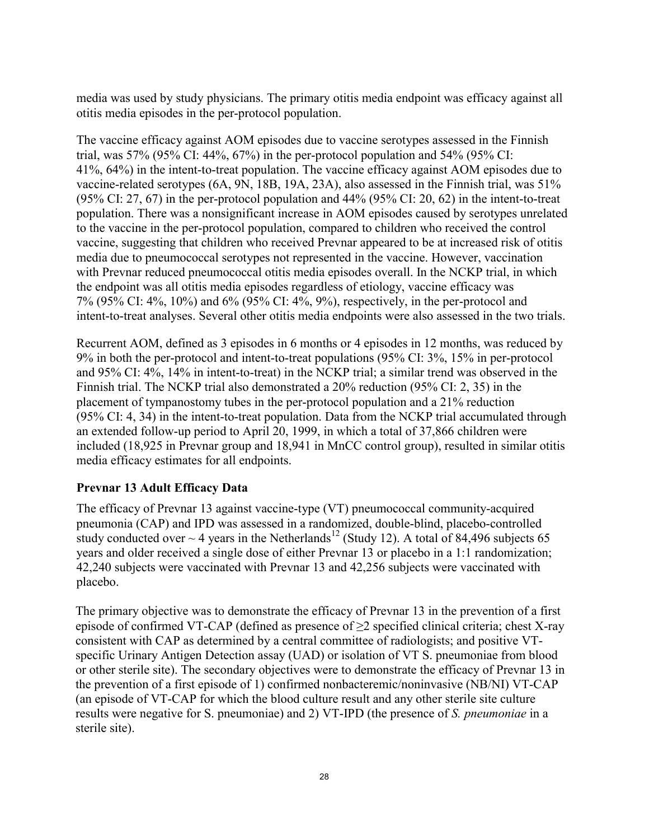media was used by study physicians. The primary otitis media endpoint was efficacy against all otitis media episodes in the per-protocol population.

The vaccine efficacy against AOM episodes due to vaccine serotypes assessed in the Finnish trial, was 57% (95% CI: 44%, 67%) in the per-protocol population and 54% (95% CI: 41%, 64%) in the intent-to-treat population. The vaccine efficacy against AOM episodes due to vaccine-related serotypes (6A, 9N, 18B, 19A, 23A), also assessed in the Finnish trial, was 51% (95% CI: 27, 67) in the per-protocol population and 44% (95% CI: 20, 62) in the intent-to-treat population. There was a nonsignificant increase in AOM episodes caused by serotypes unrelated to the vaccine in the per-protocol population, compared to children who received the control vaccine, suggesting that children who received Prevnar appeared to be at increased risk of otitis media due to pneumococcal serotypes not represented in the vaccine. However, vaccination with Prevnar reduced pneumococcal otitis media episodes overall. In the NCKP trial, in which the endpoint was all otitis media episodes regardless of etiology, vaccine efficacy was 7% (95% CI: 4%, 10%) and 6% (95% CI: 4%, 9%), respectively, in the per-protocol and intent-to-treat analyses. Several other otitis media endpoints were also assessed in the two trials.

Recurrent AOM, defined as 3 episodes in 6 months or 4 episodes in 12 months, was reduced by 9% in both the per-protocol and intent-to-treat populations (95% CI: 3%, 15% in per-protocol and 95% CI: 4%, 14% in intent-to-treat) in the NCKP trial; a similar trend was observed in the Finnish trial. The NCKP trial also demonstrated a 20% reduction (95% CI: 2, 35) in the placement of tympanostomy tubes in the per-protocol population and a 21% reduction (95% CI: 4, 34) in the intent-to-treat population. Data from the NCKP trial accumulated through an extended follow-up period to April 20, 1999, in which a total of 37,866 children were included (18,925 in Prevnar group and 18,941 in MnCC control group), resulted in similar otitis media efficacy estimates for all endpoints.

# **Prevnar 13 Adult Efficacy Data**

The efficacy of Prevnar 13 against vaccine-type (VT) pneumococcal community-acquired pneumonia (CAP) and IPD was assessed in a randomized, double-blind, placebo-controlled study conducted over  $\sim$  4 years in the Netherlands<sup>12</sup> (Study 12). A total of 84,496 subjects 65 years and older received a single dose of either Prevnar 13 or placebo in a 1:1 randomization; 42,240 subjects were vaccinated with Prevnar 13 and 42,256 subjects were vaccinated with placebo.

The primary objective was to demonstrate the efficacy of Prevnar 13 in the prevention of a first episode of confirmed VT-CAP (defined as presence of  $\geq$ 2 specified clinical criteria; chest X-ray consistent with CAP as determined by a central committee of radiologists; and positive VTspecific Urinary Antigen Detection assay (UAD) or isolation of VT S. pneumoniae from blood or other sterile site). The secondary objectives were to demonstrate the efficacy of Prevnar 13 in the prevention of a first episode of 1) confirmed nonbacteremic/noninvasive (NB/NI) VT-CAP (an episode of VT-CAP for which the blood culture result and any other sterile site culture results were negative for S. pneumoniae) and 2) VT-IPD (the presence of *S. pneumoniae* in a sterile site).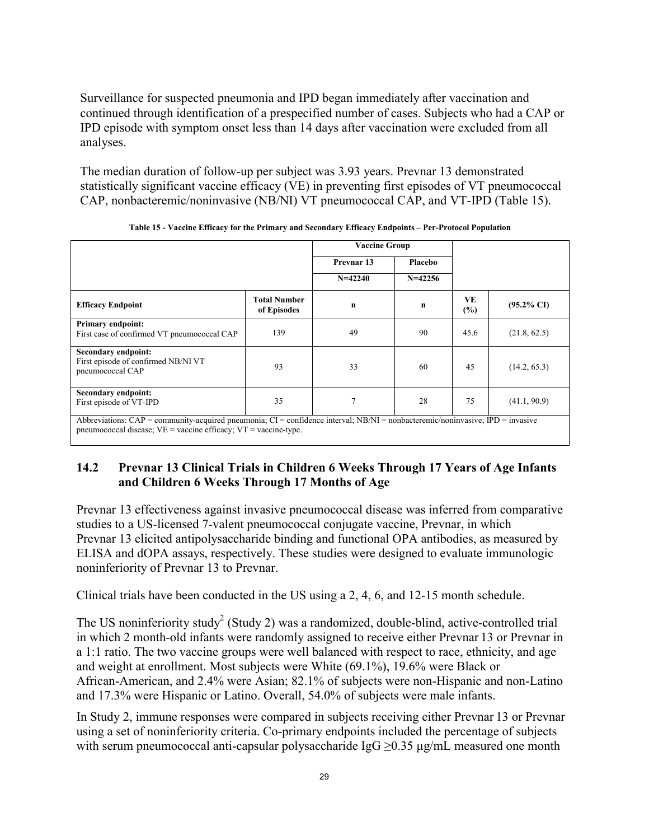Surveillance for suspected pneumonia and IPD began immediately after vaccination and continued through identification of a prespecified number of cases. Subjects who had a CAP or IPD episode with symptom onset less than 14 days after vaccination were excluded from all analyses.

The median duration of follow-up per subject was 3.93 years. Prevnar 13 demonstrated statistically significant vaccine efficacy (VE) in preventing first episodes of VT pneumococcal CAP, nonbacteremic/noninvasive (NB/NI) VT pneumococcal CAP, and VT-IPD (Table 15).

|                                                                                                                                                                                                        |                             | <b>Vaccine Group</b>  |             |           |                       |
|--------------------------------------------------------------------------------------------------------------------------------------------------------------------------------------------------------|-----------------------------|-----------------------|-------------|-----------|-----------------------|
|                                                                                                                                                                                                        |                             | Prevnar <sub>13</sub> | Placebo     |           |                       |
|                                                                                                                                                                                                        |                             | $N=42240$             | $N = 42256$ |           |                       |
| <b>Efficacy Endpoint</b>                                                                                                                                                                               | Total Number<br>of Episodes | $\mathbf n$           | n           | VE<br>(%) | $(95.2\% \text{ CI})$ |
| <b>Primary endpoint:</b><br>First case of confirmed VT pneumococcal CAP                                                                                                                                | 139                         | 49                    | 90          | 45.6      | (21.8, 62.5)          |
| Secondary endpoint:<br>First episode of confirmed NB/NI VT<br>pneumococcal CAP                                                                                                                         | 93                          | 33                    | 60          | 45        | (14.2, 65.3)          |
| Secondary endpoint:<br>First episode of VT-IPD                                                                                                                                                         | 35                          | 7                     | 28          | 75        | (41.1, 90.9)          |
| Abbreviations: CAP = community-acquired pneumonia; CI = confidence interval; NB/NI = nonbacteremic/noninvasive; IPD = invasive<br>pneumococcal disease; $VE = vaccine$ efficacy; $VT = vaccine-type$ . |                             |                       |             |           |                       |

**Table 15 - Vaccine Efficacy for the Primary and Secondary Efficacy Endpoints – Per-Protocol Population**

# **14.2 Prevnar 13 Clinical Trials in Children 6 Weeks Through 17 Years of Age Infants and Children 6 Weeks Through 17 Months of Age**

Prevnar 13 effectiveness against invasive pneumococcal disease was inferred from comparative studies to a US-licensed 7-valent pneumococcal conjugate vaccine, Prevnar, in which Prevnar 13 elicited antipolysaccharide binding and functional OPA antibodies, as measured by ELISA and dOPA assays, respectively. These studies were designed to evaluate immunologic noninferiority of Prevnar 13 to Prevnar.

Clinical trials have been conducted in the US using a 2, 4, 6, and 12-15 month schedule.

The US noninferiority study<sup>2</sup> (Study 2) was a randomized, double-blind, active-controlled trial in which 2 month-old infants were randomly assigned to receive either Prevnar 13 or Prevnar in a 1:1 ratio. The two vaccine groups were well balanced with respect to race, ethnicity, and age and weight at enrollment. Most subjects were White (69.1%), 19.6% were Black or African-American, and 2.4% were Asian; 82.1% of subjects were non-Hispanic and non-Latino and 17.3% were Hispanic or Latino. Overall, 54.0% of subjects were male infants.

In Study 2, immune responses were compared in subjects receiving either Prevnar 13 or Prevnar using a set of noninferiority criteria. Co-primary endpoints included the percentage of subjects with serum pneumococcal anti-capsular polysaccharide IgG  $\geq$ 0.35 μg/mL measured one month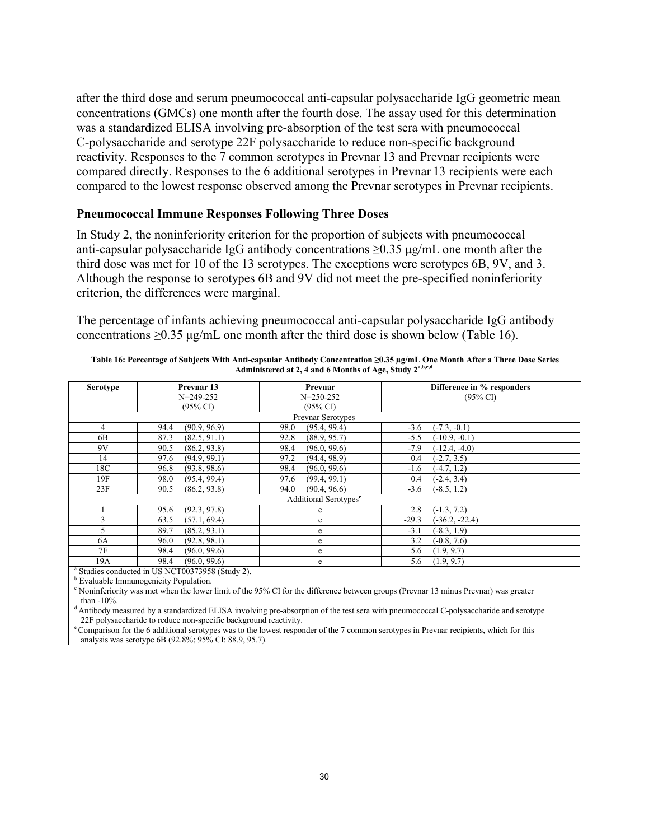after the third dose and serum pneumococcal anti-capsular polysaccharide IgG geometric mean concentrations (GMCs) one month after the fourth dose. The assay used for this determination was a standardized ELISA involving pre-absorption of the test sera with pneumococcal C-polysaccharide and serotype 22F polysaccharide to reduce non-specific background reactivity. Responses to the 7 common serotypes in Prevnar 13 and Prevnar recipients were compared directly. Responses to the 6 additional serotypes in Prevnar 13 recipients were each compared to the lowest response observed among the Prevnar serotypes in Prevnar recipients.

#### **Pneumococcal Immune Responses Following Three Doses**

In Study 2, the noninferiority criterion for the proportion of subjects with pneumococcal anti-capsular polysaccharide IgG antibody concentrations ≥0.35 μg/mL one month after the third dose was met for 10 of the 13 serotypes. The exceptions were serotypes 6B, 9V, and 3. Although the response to serotypes 6B and 9V did not meet the pre-specified noninferiority criterion, the differences were marginal.

The percentage of infants achieving pneumococcal anti-capsular polysaccharide IgG antibody concentrations  $>0.35$  μg/mL one month after the third dose is shown below (Table 16).

| Serotype                           | Prevnar 13           | Prevnar                           | Difference in % responders  |
|------------------------------------|----------------------|-----------------------------------|-----------------------------|
|                                    | $N = 249 - 252$      | $N = 250 - 252$                   | $(95\% \text{ CI})$         |
|                                    | $(95\% \text{ C}I)$  | $(95\% \text{ CI})$               |                             |
|                                    |                      | Prevnar Serotypes                 |                             |
| 4                                  | (90.9, 96.9)<br>94.4 | (95.4, 99.4)<br>98.0              | $(-7.3, -0.1)$<br>$-3.6$    |
| 6B                                 | (82.5, 91.1)<br>87.3 | 92.8<br>(88.9, 95.7)              | $(-10.9, -0.1)$<br>$-5.5$   |
| 9V                                 | (86.2, 93.8)<br>90.5 | 98.4<br>(96.0, 99.6)              | $-7.9$<br>$(-12.4, -4.0)$   |
| 14                                 | 97.6<br>(94.9, 99.1) | 97.2<br>(94.4, 98.9)              | $(-2.7, 3.5)$<br>0.4        |
| 18C                                | 96.8<br>(93.8, 98.6) | 98.4<br>(96.0, 99.6)              | $(-4.7, 1.2)$<br>$-1.6$     |
| 19F                                | (95.4, 99.4)<br>98.0 | (99.4, 99.1)<br>97.6              | 0.4<br>$(-2.4, 3.4)$        |
| 23F                                | (86.2, 93.8)<br>90.5 | (90.4, 96.6)<br>94.0              | $-3.6$<br>$(-8.5, 1.2)$     |
|                                    |                      | Additional Serotypes <sup>e</sup> |                             |
|                                    | 95.6<br>(92.3, 97.8) | e                                 | 2.8<br>$(-1.3, 7.2)$        |
| 3                                  | (57.1, 69.4)<br>63.5 | e                                 | $-29.3$<br>$(-36.2, -22.4)$ |
| 5                                  | 89.7<br>(85.2, 93.1) | e                                 | $-3.1$<br>$(-8.3, 1.9)$     |
| 6A                                 | (92.8, 98.1)<br>96.0 | e                                 | 3.2<br>$(-0.8, 7.6)$        |
| 7F                                 | (96.0, 99.6)<br>98.4 | e                                 | 5.6<br>(1.9, 9.7)           |
| 19A<br>$\sim$ $\sim$ $\sim$ $\sim$ | (96.0, 99.6)<br>98.4 | e                                 | (1.9, 9.7)<br>5.6           |

**Table 16: Percentage of Subjects With Anti-capsular Antibody Concentration ≥0.35 µg/mL One Month After a Three Dose Series Administered at 2, 4 and 6 Months of Age, Study 2 a,b,c,d**

a Studies conducted in US NCT00373958 (Study 2).

**b** Evaluable Immunogenicity Population.

<sup>c</sup> Noninferiority was met when the lower limit of the 95% CI for the difference between groups (Prevnar 13 minus Prevnar) was greater than -10%.

<sup>d</sup> Antibody measured by a standardized ELISA involving pre-absorption of the test sera with pneumococcal C-polysaccharide and serotype 22F polysaccharide to reduce non-specific background reactivity.

<sup>e</sup>Comparison for the 6 additional serotypes was to the lowest responder of the 7 common serotypes in Prevnar recipients, which for this analysis was serotype 6B (92.8%; 95% CI: 88.9, 95.7).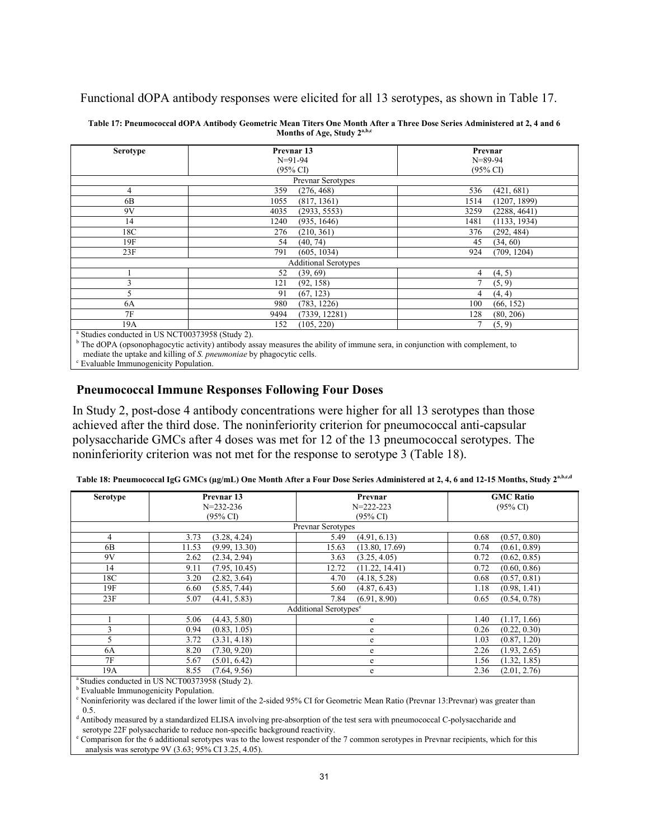Functional dOPA antibody responses were elicited for all 13 serotypes, as shown in Table 17.

| $N=91-94$                   | $N = 89 - 94$                                                           |
|-----------------------------|-------------------------------------------------------------------------|
| $(95\% \text{ C}I)$         | $(95\% \text{ C}I)$                                                     |
|                             |                                                                         |
|                             |                                                                         |
|                             |                                                                         |
| 359                         | (421, 681)                                                              |
| (276, 468)                  | 536                                                                     |
| (817, 1361)                 | (1207, 1899)                                                            |
| 1055                        | 1514                                                                    |
| 4035                        | 3259                                                                    |
| (2933, 5553)                | (2288, 4641)                                                            |
| 1240                        | (1133, 1934)                                                            |
| (935, 1646)                 | 1481                                                                    |
| 276                         | 376                                                                     |
| (210, 361)                  | (292, 484)                                                              |
| (40, 74)                    | 45                                                                      |
| 54                          | (34, 60)                                                                |
| 791                         | 924                                                                     |
| (605, 1034)                 | (709, 1204)                                                             |
| <b>Additional Serotypes</b> |                                                                         |
| (39, 69)                    | (4, 5)                                                                  |
| 52                          | 4                                                                       |
| 121                         | 7                                                                       |
| (92, 158)                   | (5, 9)                                                                  |
| 91                          | (4, 4)                                                                  |
| (67, 123)                   | 4                                                                       |
| 980                         | 100                                                                     |
| (783, 1226)                 | (66, 152)                                                               |
| (7339, 12281)               | 128                                                                     |
| 9494                        | (80, 206)                                                               |
| (105, 220)<br>152           | (5, 9)                                                                  |
|                             | Prevnar Serotypes<br>$^8$ Studies conducted in HS NCT00373958 (Study 2) |

**Table 17: Pneumococcal dOPA Antibody Geometric Mean Titers One Month After a Three Dose Series Administered at 2, 4 and 6 Months of Age, Study 2 a,b,c**

US NCT00373958 (Study 2).

b The dOPA (opsonophagocytic activity) antibody assay measures the ability of immune sera, in conjunction with complement, to

mediate the uptake and killing of *S. pneumoniae* by phagocytic cells.

<sup>c</sup> Evaluable Immunogenicity Population.

#### **Pneumococcal Immune Responses Following Four Doses**

In Study 2, post-dose 4 antibody concentrations were higher for all 13 serotypes than those achieved after the third dose. The noninferiority criterion for pneumococcal anti-capsular polysaccharide GMCs after 4 doses was met for 12 of the 13 pneumococcal serotypes. The noninferiority criterion was not met for the response to serotype 3 (Table 18).

| <b>Serotype</b> | Prevnar 13             | Prevnar                           | <b>GMC Ratio</b>     |
|-----------------|------------------------|-----------------------------------|----------------------|
|                 | $N=232-236$            | $N = 222 - 223$                   | $(95\% \text{ CI})$  |
|                 | $(95\% \text{ C}I)$    | $(95\% \text{ CI})$               |                      |
|                 |                        | <b>Prevnar Serotypes</b>          |                      |
| 4               | (3.28, 4.24)<br>3.73   | (4.91, 6.13)<br>5.49              | (0.57, 0.80)<br>0.68 |
| 6B              | (9.99, 13.30)<br>11.53 | 15.63<br>(13.80, 17.69)           | 0.74<br>(0.61, 0.89) |
| 9V              | (2.34, 2.94)<br>2.62   | 3.63<br>(3.25, 4.05)              | 0.72<br>(0.62, 0.85) |
| 14              | (7.95, 10.45)<br>9.11  | (11.22, 14.41)<br>12.72           | 0.72<br>(0.60, 0.86) |
| 18C             | 3.20<br>(2.82, 3.64)   | 4.70<br>(4.18, 5.28)              | (0.57, 0.81)<br>0.68 |
| 19F             | (5.85, 7.44)<br>6.60   | 5.60<br>(4.87, 6.43)              | (0.98, 1.41)<br>1.18 |
| 23F             | 5.07<br>(4.41, 5.83)   | 7.84<br>(6.91, 8.90)              | 0.65<br>(0.54, 0.78) |
|                 |                        | Additional Serotypes <sup>e</sup> |                      |
|                 | 5.06<br>(4.43, 5.80)   | e                                 | 1.40<br>(1.17, 1.66) |
| 3               | 0.94<br>(0.83, 1.05)   | e                                 | 0.26<br>(0.22, 0.30) |
| 5               | 3.72<br>(3.31, 4.18)   | e                                 | (0.87, 1.20)<br>1.03 |
| 6A              | (7.30, 9.20)<br>8.20   | e                                 | 2.26<br>(1.93, 2.65) |
| 7F              | (5.01, 6.42)<br>5.67   | e                                 | (1.32, 1.85)<br>1.56 |
| 19A<br>30.11    | (7.64, 9.56)<br>8.55   | e                                 | (2.01, 2.76)<br>2.36 |

|  | Table 18: Pneumococcal IgG GMCs (µg/mL) One Month After a Four Dose Series Administered at 2, 4, 6 and 12-15 Months, Study 2 <sup>a,b,c,d</sup> |  |
|--|-------------------------------------------------------------------------------------------------------------------------------------------------|--|
|  |                                                                                                                                                 |  |

Studies conducted in US NCT00373958 (Study 2).

**b** Evaluable Immunogenicity Population.

<sup>c</sup> Noninferiority was declared if the lower limit of the 2-sided 95% CI for Geometric Mean Ratio (Prevnar 13:Prevnar) was greater than 0.5.

<sup>d</sup> Antibody measured by a standardized ELISA involving pre-absorption of the test sera with pneumococcal C-polysaccharide and serotype 22F polysaccharide to reduce non-specific background reactivity.

<sup>e</sup> Comparison for the 6 additional serotypes was to the lowest responder of the 7 common serotypes in Prevnar recipients, which for this analysis was serotype 9V (3.63; 95% CI 3.25, 4.05).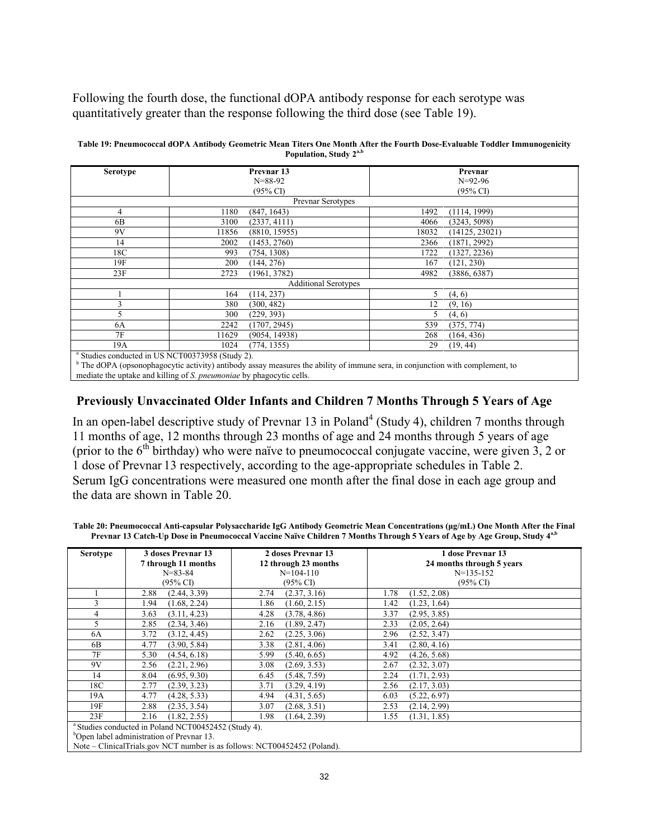Following the fourth dose, the functional dOPA antibody response for each serotype was quantitatively greater than the response following the third dose (see Table 19).

| <b>Serotype</b>                                            |       | Prevnar 13                  |       | Prevnar             |
|------------------------------------------------------------|-------|-----------------------------|-------|---------------------|
|                                                            |       | $N = 88 - 92$               |       | $N=92-96$           |
|                                                            |       | $(95\% \text{ CI})$         |       | $(95\% \text{ CI})$ |
|                                                            |       | Prevnar Serotypes           |       |                     |
| 4                                                          | 1180  | (847, 1643)                 | 1492  | (1114, 1999)        |
| 6 <sub>B</sub>                                             | 3100  | (2337, 4111)                | 4066  | (3243, 5098)        |
| 9V                                                         | 11856 | (8810, 15955)               | 18032 | (14125, 23021)      |
| 14                                                         | 2002  | (1453, 2760)                | 2366  | (1871, 2992)        |
| 18C                                                        | 993   | (754, 1308)                 | 1722  | (1327, 2236)        |
| 19F                                                        | 200   | (144, 276)                  | 167   | (121, 230)          |
| 23F                                                        | 2723  | (1961, 3782)                | 4982  | (3886, 6387)        |
|                                                            |       | <b>Additional Serotypes</b> |       |                     |
|                                                            | 164   | (114, 237)                  | 5.    | (4, 6)              |
| 3                                                          | 380   | (300, 482)                  | 12    | (9, 16)             |
| 5                                                          | 300   | (229, 393)                  | 5.    | (4, 6)              |
| 6A                                                         | 2242  | (1707, 2945)                | 539   | (375, 774)          |
| 7F                                                         | 11629 | (9054, 14938)               | 268   | (164, 436)          |
| 19A                                                        | 1024  | (774, 1355)                 | 29    | (19, 44)            |
| <sup>a</sup> Studies conducted in US NCT00373958 (Study 2) |       |                             |       |                     |

| Table 19: Pneumococcal dOPA Antibody Geometric Mean Titers One Month After the Fourth Dose-Evaluable Toddler Immunogenicity |
|-----------------------------------------------------------------------------------------------------------------------------|
| Population, Study 2 <sup>a,b</sup>                                                                                          |

Studies conducted in US NCT00373958 (Study 2).

<sup>b</sup> The dOPA (opsonophagocytic activity) antibody assay measures the ability of immune sera, in conjunction with complement, to mediate the uptake and killing of *S. pneumoniae* by phagocytic cells.

### **Previously Unvaccinated Older Infants and Children 7 Months Through 5 Years of Age**

In an open-label descriptive study of Prevnar 13 in Poland<sup>4</sup> (Study 4), children 7 months through 11 months of age, 12 months through 23 months of age and 24 months through 5 years of age (prior to the  $6<sup>th</sup>$  birthday) who were naïve to pneumococcal conjugate vaccine, were given 3, 2 or 1 dose of Prevnar 13 respectively, according to the age-appropriate schedules in Table 2. Serum IgG concentrations were measured one month after the final dose in each age group and the data are shown in Table 20.

**Table 20: Pneumococcal Anti-capsular Polysaccharide IgG Antibody Geometric Mean Concentrations (μg/mL) One Month After the Final Prevnar 13 Catch-Up Dose in Pneumococcal Vaccine Naïve Children 7 Months Through 5 Years of Age by Age Group, Study 4 a,b**

| <b>Serotype</b> | 3 doses Prevnar 13<br>7 through 11 months                       | 2 doses Prevnar 13<br>12 through 23 months | 1 dose Prevnar 13<br>24 months through 5 years |  |
|-----------------|-----------------------------------------------------------------|--------------------------------------------|------------------------------------------------|--|
|                 |                                                                 |                                            |                                                |  |
|                 | $N = 83 - 84$                                                   | $N=104-110$                                | $N=135-152$                                    |  |
|                 | $(95\% \text{ C}I)$                                             | $(95\% \text{ CI})$                        | $(95\% \text{ C}I)$                            |  |
|                 | 2.88<br>(2.44, 3.39)                                            | (2.37, 3.16)<br>2.74                       | 1.78<br>(1.52, 2.08)                           |  |
| 3               | 1.94<br>(1.68, 2.24)                                            | (1.60, 2.15)<br>1.86                       | 1.42<br>(1.23, 1.64)                           |  |
| 4               | 3.63<br>(3.11, 4.23)                                            | 4.28<br>(3.78, 4.86)                       | (2.95, 3.85)<br>3.37                           |  |
| 5               | 2.85<br>(2.34, 3.46)                                            | 2.16<br>(1.89, 2.47)                       | 2.33<br>(2.05, 2.64)                           |  |
| 6A              | 3.72<br>(3.12, 4.45)                                            | (2.25, 3.06)<br>2.62                       | 2.96<br>(2.52, 3.47)                           |  |
| 6B              | 4.77<br>(3.90, 5.84)                                            | 3.38<br>(2.81, 4.06)                       | 3.41<br>(2.80, 4.16)                           |  |
| 7F              | 5.30<br>(4.54, 6.18)                                            | 5.99<br>(5.40, 6.65)                       | 4.92<br>(4.26, 5.68)                           |  |
| 9V              | 2.56<br>(2.21, 2.96)                                            | 3.08<br>(2.69, 3.53)                       | 2.67<br>(2.32, 3.07)                           |  |
| 14              | 8.04<br>(6.95, 9.30)                                            | 6.45<br>(5.48, 7.59)                       | 2.24<br>(1.71, 2.93)                           |  |
| 18C             | 2.77<br>(2.39, 3.23)                                            | 3.71<br>(3.29, 4.19)                       | (2.17, 3.03)<br>2.56                           |  |
| 19A             | 4.77<br>(4.28, 5.33)                                            | 4.94<br>(4.31, 5.65)                       | (5.22, 6.97)<br>6.03                           |  |
| 19F             | 2.88<br>(2.35, 3.54)                                            | 3.07<br>(2.68, 3.51)                       | 2.53<br>(2.14, 2.99)                           |  |
| 23F             | 2.16<br>(1.82, 2.55)                                            | 1.98<br>(1.64, 2.39)                       | (1.31, 1.85)<br>1.55                           |  |
|                 | <sup>a</sup> Studies conducted in Poland NCT00452452 (Study 4). |                                            |                                                |  |
|                 | $b$ Onen label administration of Drewner 12                     |                                            |                                                |  |

<sup>b</sup>Open label administration of Prevnar 13.

Note – ClinicalTrials.gov NCT number is as follows: NCT00452452 (Poland).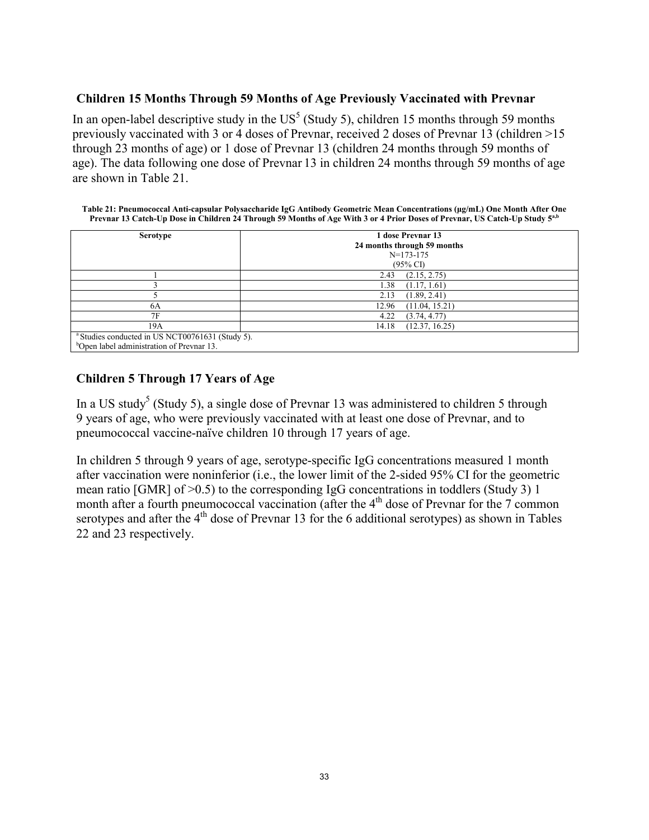### **Children 15 Months Through 59 Months of Age Previously Vaccinated with Prevnar**

In an open-label descriptive study in the  $US^5$  (Study 5), children 15 months through 59 months previously vaccinated with 3 or 4 doses of Prevnar, received 2 doses of Prevnar 13 (children >15 through 23 months of age) or 1 dose of Prevnar 13 (children 24 months through 59 months of age). The data following one dose of Prevnar 13 in children 24 months through 59 months of age are shown in Table 21.

**Table 21: Pneumococcal Anti-capsular Polysaccharide IgG Antibody Geometric Mean Concentrations (μg/mL) One Month After One Prevnar 13 Catch-Up Dose in Children 24 Through 59 Months of Age With 3 or 4 Prior Doses of Prevnar, US Catch-Up Study 5 a,b**

| <b>Serotype</b>                                             | 1 dose Prevnar 13<br>24 months through 59 months<br>$N=173-175$ |
|-------------------------------------------------------------|-----------------------------------------------------------------|
|                                                             | (95% CI)                                                        |
|                                                             | (2.15, 2.75)<br>2.43                                            |
|                                                             | (1.17, 1.61)<br>1.38                                            |
|                                                             | (1.89, 2.41)<br>2.13                                            |
| 6A                                                          | (11.04, 15.21)<br>12.96                                         |
| 7F                                                          | (3.74, 4.77)<br>4.22                                            |
| 19A                                                         | (12.37, 16.25)<br>14.18                                         |
| <sup>a</sup> Studies conducted in US NCT00761631 (Study 5). |                                                                 |
| <sup>b</sup> Open label administration of Prevnar 13.       |                                                                 |

# **Children 5 Through 17 Years of Age**

In a US study<sup>5</sup> (Study 5), a single dose of Prevnar 13 was administered to children 5 through 9 years of age, who were previously vaccinated with at least one dose of Prevnar, and to pneumococcal vaccine-naïve children 10 through 17 years of age.

In children 5 through 9 years of age, serotype-specific IgG concentrations measured 1 month after vaccination were noninferior (i.e., the lower limit of the 2-sided 95% CI for the geometric mean ratio [GMR] of >0.5) to the corresponding IgG concentrations in toddlers (Study 3) 1 month after a fourth pneumococcal vaccination (after the  $4<sup>th</sup>$  dose of Prevnar for the 7 common serotypes and after the  $4<sup>th</sup>$  dose of Prevnar 13 for the 6 additional serotypes) as shown in Tables 22 and 23 respectively.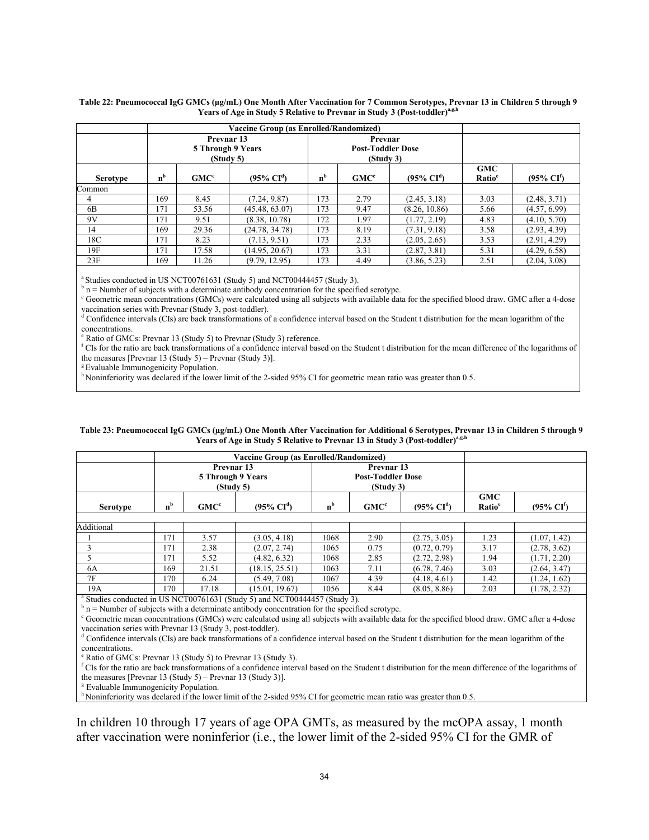|                 |                                              |         | Vaccine Group (as Enrolled/Randomized) |                                                  |                  |                       |                                  |                               |
|-----------------|----------------------------------------------|---------|----------------------------------------|--------------------------------------------------|------------------|-----------------------|----------------------------------|-------------------------------|
|                 | Prevnar 13<br>5 Through 9 Years<br>(Study 5) |         |                                        | Prevnar<br><b>Post-Toddler Dose</b><br>(Study 3) |                  |                       |                                  |                               |
| <b>Serotype</b> | n <sup>b</sup>                               | $GMC^c$ | $(95\% \text{ CI}^d)$                  | n <sup>b</sup>                                   | GMC <sup>c</sup> | $(95\% \text{ CI}^d)$ | <b>GMC</b><br>Ratio <sup>e</sup> | $(95\% \text{ CI}^{\dagger})$ |
| Common          |                                              |         |                                        |                                                  |                  |                       |                                  |                               |
| 4               | 169                                          | 8.45    | (7.24, 9.87)                           | 173                                              | 2.79             | (2.45, 3.18)          | 3.03                             | (2.48, 3.71)                  |
| 6 <sub>B</sub>  | 171                                          | 53.56   | (45.48, 63.07)                         | 173                                              | 9.47             | (8.26, 10.86)         | 5.66                             | (4.57, 6.99)                  |
| 9V              | 171                                          | 9.51    | (8.38, 10.78)                          | 172                                              | 1.97             | (1.77, 2.19)          | 4.83                             | (4.10, 5.70)                  |
| 14              | 169                                          | 29.36   | (24.78, 34.78)                         | 173                                              | 8.19             | (7.31, 9.18)          | 3.58                             | (2.93, 4.39)                  |
| 18C             | 171                                          | 8.23    | (7.13, 9.51)                           | 173                                              | 2.33             | (2.05, 2.65)          | 3.53                             | (2.91, 4.29)                  |
| 19F             | 171                                          | 17.58   | (14.95, 20.67)                         | 173                                              | 3.31             | (2.87, 3.81)          | 5.31                             | (4.29, 6.58)                  |
| 23F             | 169                                          | 11.26   | (9.79, 12.95)                          | 173                                              | 4.49             | (3.86, 5.23)          | 2.51                             | (2.04, 3.08)                  |

#### **Table 22: Pneumococcal IgG GMCs (µg/mL) One Month After Vaccination for 7 Common Serotypes, Prevnar 13 in Children 5 through 9**  Years of Age in Study 5 Relative to Prevnar in Study 3 (Post-toddler)<sup>a,g,h</sup>

<sup>a</sup> Studies conducted in US NCT00761631 (Study 5) and NCT00444457 (Study 3).

 $b$  n = Number of subjects with a determinate antibody concentration for the specified serotype.

<sup>c</sup> Geometric mean concentrations (GMCs) were calculated using all subjects with available data for the specified blood draw. GMC after a 4-dose vaccination series with Prevnar (Study 3, post-toddler).

<sup>d</sup> Confidence intervals (CIs) are back transformations of a confidence interval based on the Student t distribution for the mean logarithm of the concentrations.

<sup>e</sup> Ratio of GMCs: Prevnar 13 (Study 5) to Prevnar (Study 3) reference.

**<sup>f</sup>** CIs for the ratio are back transformations of a confidence interval based on the Student t distribution for the mean difference of the logarithms of the measures [Prevnar 13 (Study 5) – Prevnar (Study 3)].

<sup>g</sup> Evaluable Immunogenicity Population.

h Noninferiority was declared if the lower limit of the 2-sided 95% CI for geometric mean ratio was greater than 0.5.

#### **Table 23: Pneumococcal IgG GMCs (µg/mL) One Month After Vaccination for Additional 6 Serotypes, Prevnar 13 in Children 5 through 9 Years of Age in Study 5 Relative to Prevnar 13 in Study 3 (Post-toddler)<sup>a</sup>**,**g.h**

| Vaccine Group (as Enrolled/Randomized) |                                              |                  |                       |                                                     |                  |                       |                                  |                                |
|----------------------------------------|----------------------------------------------|------------------|-----------------------|-----------------------------------------------------|------------------|-----------------------|----------------------------------|--------------------------------|
|                                        | Prevnar 13<br>5 Through 9 Years<br>(Study 5) |                  |                       | Prevnar 13<br><b>Post-Toddler Dose</b><br>(Study 3) |                  |                       |                                  |                                |
| Serotype                               | n <sub>b</sub>                               | GMC <sup>c</sup> | $(95\% \text{ CI}^d)$ | n <sup>b</sup>                                      | GMC <sup>c</sup> | $(95\% \text{ CI}^d)$ | <b>GMC</b><br>Ratio <sup>e</sup> | $(95\% \text{ CI}^{\text{f}})$ |
|                                        |                                              |                  |                       |                                                     |                  |                       |                                  |                                |
| Additional                             |                                              |                  |                       |                                                     |                  |                       |                                  |                                |
|                                        | 171                                          | 3.57             | (3.05, 4.18)          | 1068                                                | 2.90             | (2.75, 3.05)          | 1.23                             | (1.07, 1.42)                   |
|                                        | 171                                          | 2.38             | (2.07, 2.74)          | 1065                                                | 0.75             | (0.72, 0.79)          | 3.17                             | (2.78, 3.62)                   |
|                                        | 171                                          | 5.52             | (4.82, 6.32)          | 1068                                                | 2.85             | (2.72, 2.98)          | 1.94                             | (1.71, 2.20)                   |
| 6A                                     | 169                                          | 21.51            | (18.15, 25.51)        | 1063                                                | 7.11             | (6.78, 7.46)          | 3.03                             | (2.64, 3.47)                   |
| 7F                                     | 170                                          | 6.24             | (5.49, 7.08)          | 1067                                                | 4.39             | (4.18, 4.61)          | 1.42                             | (1.24, 1.62)                   |
| 19A                                    | 170                                          | 17.18            | (15.01, 19.67)        | 1056                                                | 8.44             | (8.05, 8.86)          | 2.03                             | (1.78, 2.32)                   |

<sup>a</sup> Studies conducted in US NCT00761631 (Study 5) and NCT00444457 (Study 3).

 $h$ <sup>b</sup> n = Number of subjects with a determinate antibody concentration for the specified serotype.

<sup>c</sup> Geometric mean concentrations (GMCs) were calculated using all subjects with available data for the specified blood draw. GMC after a 4-dose vaccination series with Prevnar 13 (Study 3, post-toddler).

<sup>d</sup> Confidence intervals (CIs) are back transformations of a confidence interval based on the Student t distribution for the mean logarithm of the concentrations.

<sup>e</sup> Ratio of GMCs: Prevnar 13 (Study 5) to Prevnar 13 (Study 3).

<sup>f</sup> CIs for the ratio are back transformations of a confidence interval based on the Student t distribution for the mean difference of the logarithms of the measures [Prevnar 13 (Study 5) – Prevnar 13 (Study 3)].

<sup>g</sup> Evaluable Immunogenicity Population.

h Noninferiority was declared if the lower limit of the 2-sided 95% CI for geometric mean ratio was greater than 0.5.

In children 10 through 17 years of age OPA GMTs, as measured by the mcOPA assay, 1 month after vaccination were noninferior (i.e., the lower limit of the 2-sided 95% CI for the GMR of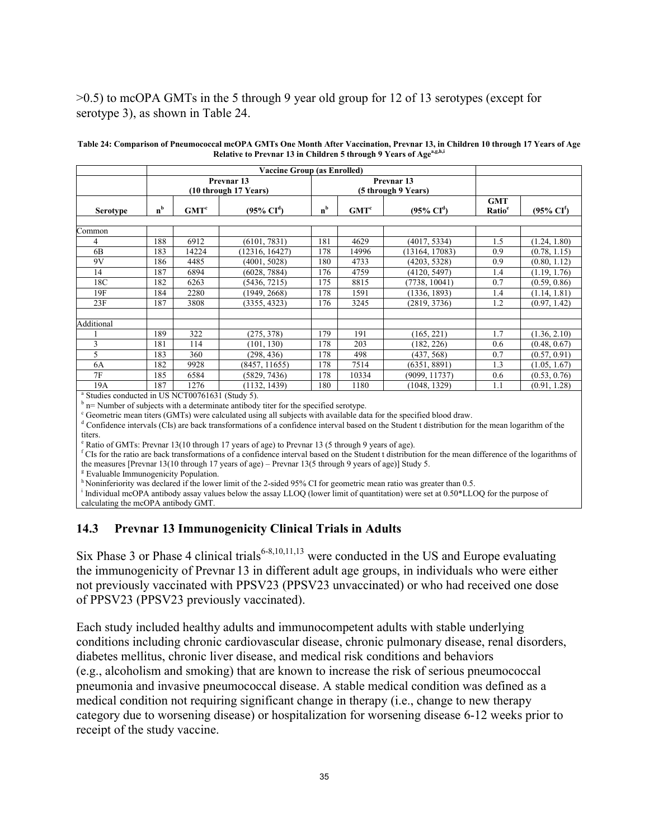### >0.5) to mcOPA GMTs in the 5 through 9 year old group for 12 of 13 serotypes (except for serotype 3), as shown in Table 24.

|                 |                                                |                  | <b>Vaccine Group (as Enrolled)</b> |       |                                              |                       |                                  |                                |
|-----------------|------------------------------------------------|------------------|------------------------------------|-------|----------------------------------------------|-----------------------|----------------------------------|--------------------------------|
|                 | Prevnar <sub>13</sub><br>(10 through 17 Years) |                  |                                    |       | Prevnar <sub>13</sub><br>(5 through 9 Years) |                       |                                  |                                |
| <b>Serotype</b> | n <sup>b</sup>                                 | GMT <sup>c</sup> | $(95\% \text{ CI}^d)$              | $n^b$ | GMT <sup>c</sup>                             | $(95\% \text{ CI}^d)$ | <b>GMT</b><br>Ratio <sup>e</sup> | $(95\% \text{ CI}^{\text{f}})$ |
|                 |                                                |                  |                                    |       |                                              |                       |                                  |                                |
| Common          |                                                |                  |                                    |       |                                              |                       |                                  |                                |
| 4               | 188                                            | 6912             | (6101, 7831)                       | 181   | 4629                                         | (4017, 5334)          | 1.5                              | (1.24, 1.80)                   |
| 6 <sub>B</sub>  | 183                                            | 14224            | 12316, 16427)                      | 178   | 14996                                        | (13164, 17083)        | 0.9                              | (0.78, 1.15)                   |
| 9V              | 186                                            | 4485             | (4001, 5028)                       | 180   | 4733                                         | (4203, 5328)          | 0.9                              | (0.80, 1.12)                   |
| 14              | 187                                            | 6894             | (6028, 7884)                       | 176   | 4759                                         | (4120, 5497)          | 1.4                              | (1.19, 1.76)                   |
| 18C             | 182                                            | 6263             | (5436, 7215)                       | 175   | 8815                                         | (7738, 10041)         | 0.7                              | (0.59, 0.86)                   |
| 19F             | 184                                            | 2280             | (1949, 2668)                       | 178   | 1591                                         | (1336, 1893)          | 1.4                              | (1.14, 1.81)                   |
| 23F             | 187                                            | 3808             | (3355, 4323)                       | 176   | 3245                                         | (2819, 3736)          | 1.2                              | (0.97, 1.42)                   |
|                 |                                                |                  |                                    |       |                                              |                       |                                  |                                |
| Additional      |                                                |                  |                                    |       |                                              |                       |                                  |                                |
|                 | 189                                            | 322              | (275, 378)                         | 179   | 191                                          | (165, 221)            | 1.7                              | (1.36, 2.10)                   |
| 3               | 181                                            | 114              | (101, 130)                         | 178   | 203                                          | (182, 226)            | 0.6                              | (0.48, 0.67)                   |
| 5               | 183                                            | 360              | (298, 436)                         | 178   | 498                                          | (437, 568)            | 0.7                              | (0.57, 0.91)                   |
| 6A              | 182                                            | 9928             | (8457, 11655)                      | 178   | 7514                                         | (6351, 8891)          | 1.3                              | (1.05, 1.67)                   |
| 7F              | 185                                            | 6584             | (5829, 7436)                       | 178   | 10334                                        | (9099, 11737)         | 0.6                              | (0.53, 0.76)                   |
| 19A             | 187                                            | 1276             | (1132, 1439)                       | 180   | 1180                                         | (1048, 1329)          | 1.1                              | (0.91, 1.28)                   |

**Table 24: Comparison of Pneumococcal mcOPA GMTs One Month After Vaccination, Prevnar 13, in Children 10 through 17 Years of Age Relative to Prevnar 13 in Children 5 through 9 Years of Agea,g,h,i**

a Studies conducted in US NCT00761631 (Study 5).

 $b$  n= Number of subjects with a determinate antibody titer for the specified serotype.

<sup>c</sup> Geometric mean titers (GMTs) were calculated using all subjects with available data for the specified blood draw.

<sup>d</sup> Confidence intervals (CIs) are back transformations of a confidence interval based on the Student t distribution for the mean logarithm of the titers.

<sup>e</sup> Ratio of GMTs: Prevnar 13(10 through 17 years of age) to Prevnar 13 (5 through 9 years of age).

<sup>f</sup> CIs for the ratio are back transformations of a confidence interval based on the Student t distribution for the mean difference of the logarithms of the measures [Prevnar 13(10 through 17 years of age) – Prevnar 13(5 through 9 years of age)] Study 5.

<sup>g</sup> Evaluable Immunogenicity Population.

h Noninferiority was declared if the lower limit of the 2-sided 95% CI for geometric mean ratio was greater than 0.5.

<sup>i</sup> Individual mcOPA antibody assay values below the assay LLOQ (lower limit of quantitation) were set at 0.50\*LLOQ for the purpose of

calculating the mcOPA antibody GMT.

### **14.3 Prevnar 13 Immunoge[ni](#page-34-0)city Clinical Trials in Adults**

Six Phase 3 or Phase 4 clinical trials<sup>6-8,10,11,13</sup> were conducted in the US and Europe evaluating the immunogenicity of Prevnar 13 in different adult age groups, in individuals who were either not previously vaccinated with PPSV23 (PPSV23 unvaccinated) or who had received one dose of PPSV23 (PPSV23 previously vaccinated).

<span id="page-34-0"></span>Each study included healthy adults and immunocompetent adults with stable underlying conditions including chronic cardiovascular disease, chronic pulmonary disease, renal disorders, diabetes mellitus, chronic liver disease, and medical risk conditions and behaviors (e.g., alcoholism and smoking) that are known to increase the risk of serious pneumococcal pneumonia and invasive pneumococcal disease. A stable medical condition was defined as a medical condition not requiring significant change in therapy (i.e., change to new therapy category due to worsening disease) or hospitalization for worsening disease 6-12 weeks prior to receipt of the study vaccine.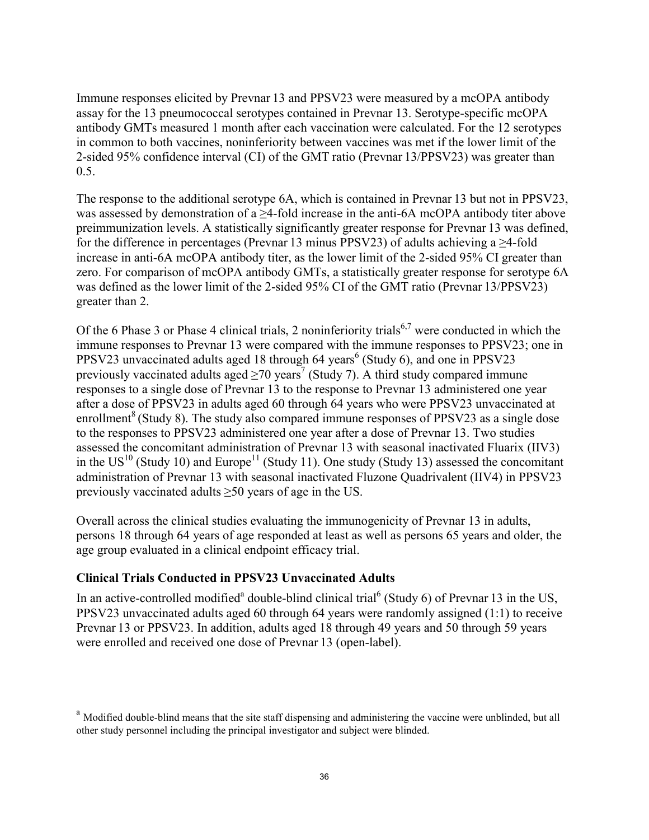Immune responses elicited by Prevnar 13 and PPSV23 were measured by a mcOPA antibody assay for the 13 pneumococcal serotypes contained in Prevnar 13. Serotype-specific mcOPA antibody GMTs measured 1 month after each vaccination were calculated. For the 12 serotypes in common to both vaccines, noninferiority between vaccines was met if the lower limit of the 2-sided 95% confidence interval (CI) of the GMT ratio (Prevnar 13/PPSV23) was greater than 0.5.

The response to the additional serotype 6A, which is contained in Prevnar 13 but not in PPSV23, was assessed by demonstration of a ≥4-fold increase in the anti-6A mcOPA antibody titer above preimmunization levels. A statistically significantly greater response for Prevnar 13 was defined, for the difference in percentages (Prevnar 13 minus PPSV23) of adults achieving a ≥4-fold increase in anti-6A mcOPA antibody titer, as the lower limit of the 2-sided 95% CI greater than zero. For comparison of mcOPA antibody GMTs, a statistically greater response for serotype 6A was defined as the lower limit of the 2-sided 95% CI of the GMT ratio (Prevnar 13/PPSV23) greater than 2.

Of the 6 Phase 3 or Phase 4 clinical trials, 2 noninferiority trials<sup>6,7</sup> were conducted in which the immune responses to Prevnar 13 were compared with the immune responses to PPSV23; one in PPSV23 unvaccinated adults aged 18 through 64 years<sup>6</sup> (Study 6), and one in PPSV23 previously vaccinated adults aged  $\geq$ 70 years<sup>7</sup> (Study 7). A third study compared immune responses to a single dose of Prevnar 13 to the response to Prevnar 13 administered one year after a dose of PPSV23 in adults aged 60 through 64 years who were PPSV23 unvaccinated at enrollment<sup>8</sup> (Study 8). The study also compared immune responses of PPSV23 as a single dose to the responses to PPSV23 administered one year after a dose of Prevnar 13. Two studies assessed the concomitant administration of Prevnar 13 with seasonal inactivated Fluarix (IIV3) in the  $US^{10}$  (Study 10) and Europe<sup>11</sup> (Study 11). One study (Study 13) assessed the concomitant administration of Prevnar 13 with seasonal inactivated Fluzone Quadrivalent (IIV4) in PPSV23 previously vaccinated adults  $\geq 50$  years of age in the US.

Overall across the clinical studies evaluating the immunogenicity of Prevnar 13 in adults, persons 18 through 64 years of age responded at least as well as persons 65 years and older, the age group evaluated in a clinical endpoint efficacy trial.

### **Clinical Trials Conducted in PPSV23 Unvaccinated Adults**

In an active-controlled modified<sup>a</sup> double-blind clinical trial<sup>6</sup> (Study 6) of Prevnar 13 in the US, PPSV23 unvaccinated adults aged 60 through 64 years were randomly assigned (1:1) to receive Prevnar 13 or PPSV23. In addition, adults aged 18 through 49 years and 50 through 59 years were enrolled and received one dose of Prevnar 13 (open-label).

<sup>&</sup>lt;sup>a</sup> Modified double-blind means that the site staff dispensing and administering the vaccine were unblinded, but all other study personnel including the principal investigator and subject were blinded.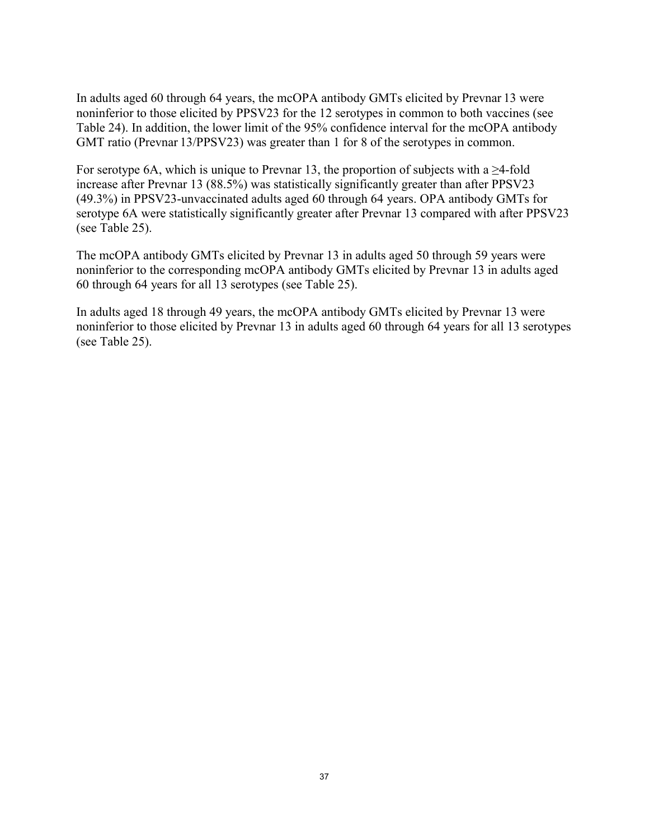In adults aged 60 through 64 years, the mcOPA antibody GMTs elicited by Prevnar 13 were noninferior to those elicited by PPSV23 for the 12 serotypes in common to both vaccines (see Table 24). In addition, the lower limit of the 95% confidence interval for the mcOPA antibody GMT ratio (Prevnar 13/PPSV23) was greater than 1 for 8 of the serotypes in common.

For serotype 6A, which is unique to Prevnar 13, the proportion of subjects with a  $\geq$ 4-fold increase after Prevnar 13 (88.5%) was statistically significantly greater than after PPSV23 (49.3%) in PPSV23-unvaccinated adults aged 60 through 64 years. OPA antibody GMTs for serotype 6A were statistically significantly greater after Prevnar 13 compared with after PPSV23 (see Table 25).

The mcOPA antibody GMTs elicited by Prevnar 13 in adults aged 50 through 59 years were noninferior to the corresponding mcOPA antibody GMTs elicited by Prevnar 13 in adults aged 60 through 64 years for all 13 serotypes (see Table 25).

In adults aged 18 through 49 years, the mcOPA antibody GMTs elicited by Prevnar 13 were noninferior to those elicited by Prevnar 13 in adults aged 60 through 64 years for all 13 serotypes (see Table 25).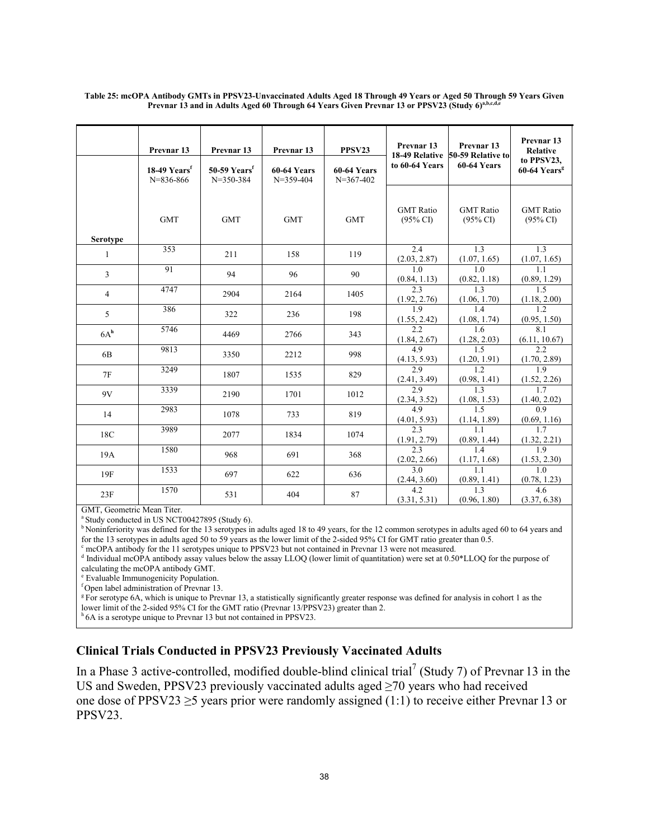|                 | Prevnar <sub>13</sub><br>18-49 Yearsf<br>$N = 836 - 866$ | Prevnar <sub>13</sub><br>$50-59$ Years <sup>f</sup><br>$N = 350 - 384$ | Prevnar 13<br>60-64 Years<br>$N = 359 - 404$ | PPSV23<br><b>60-64 Years</b><br>$N=367-402$ | Prevnar <sub>13</sub><br>to 60-64 Years                  | Prevnar <sub>13</sub><br>18-49 Relative 50-59 Relative to<br>60-64 Years | Prevnar <sub>13</sub><br><b>Relative</b><br>to PPSV23,<br>$60-64$ Years <sup>g</sup> |
|-----------------|----------------------------------------------------------|------------------------------------------------------------------------|----------------------------------------------|---------------------------------------------|----------------------------------------------------------|--------------------------------------------------------------------------|--------------------------------------------------------------------------------------|
| <b>Serotype</b> | <b>GMT</b>                                               | <b>GMT</b>                                                             | <b>GMT</b>                                   | <b>GMT</b>                                  | <b>GMT</b> Ratio<br>$(95\% \text{ CI})$                  | <b>GMT</b> Ratio<br>$(95\% \text{ CI})$                                  | <b>GMT</b> Ratio<br>$(95\% \text{ CI})$                                              |
| 1               | 353                                                      | 211                                                                    | 158                                          | 119                                         | 2.4                                                      | 1.3                                                                      | 1.3                                                                                  |
| 3               | 91                                                       | 94                                                                     | 96                                           | 90                                          | $\frac{(2.03, 2.87)}{1.0}$<br>$\frac{(0.84, 1.13)}{2.3}$ | $\frac{(1.07, 1.65)}{1.0}$<br>$\frac{(0.82, 1.18)}{1.3}$                 | $\frac{(1.07, 1.65)}{1.1}$<br>$\frac{(0.89, 1.29)}{1.5}$                             |
| $\overline{4}$  | 4747                                                     | 2904                                                                   | 2164                                         | 1405                                        | (1.92, 2.76)                                             | (1.06, 1.70)                                                             | (1.18, 2.00)                                                                         |
| 5               | 386                                                      | 322                                                                    | 236                                          | 198                                         | $\overline{1.9}$                                         | 1.4                                                                      | 1.2<br>(0.95, 1.50)                                                                  |
| 6A <sup>h</sup> | 5746                                                     | 4469                                                                   | 2766                                         | 343                                         | $\frac{(1.55, 2.42)}{2.2}$<br>(1.84, 2.67)               | $\frac{(1.08, 1.74)}{1.6}$                                               | $\overline{8.1}$<br>(6.11, 10.67)                                                    |
| 6 <sub>B</sub>  | 9813                                                     | 3350                                                                   | 2212                                         | 998                                         | 4.9                                                      | $\frac{(1.28, 2.03)}{1.5}$                                               | 2.2<br>(1.70, 2.89)                                                                  |
| 7F              | 3249                                                     | 1807                                                                   | 1535                                         | 829                                         | $\frac{(4.13, 5.93)}{2.9}$                               | $\frac{(1.20, 1.91)}{1.2}$                                               | 1.9                                                                                  |
| 9V              | 3339                                                     | 2190                                                                   | 1701                                         | 1012                                        | $\frac{(2.41, 3.49)}{2.9}$<br>$\frac{(2.34, 3.52)}{4.9}$ | $\frac{(0.98, 1.41)}{1.3}$<br>$\frac{(1.08, 1.53)}{1.5}$                 | $\frac{(1.52, 2.26)}{1.7}$<br>$\frac{(1.40, 2.02)}{0.9}$                             |
| 14              | 2983                                                     | 1078                                                                   | 733                                          | 819                                         | (4.01, 5.93)                                             |                                                                          |                                                                                      |
| 18C             | 3989                                                     | 2077                                                                   | 1834                                         | 1074                                        | 2.3<br>(1.91, 2.79)                                      | $\frac{(1.14, 1.89)}{1.1}$                                               | $\frac{(0.69, 1.16)}{1.7}$<br>(1.32, 2.21)                                           |
| 19A             | 1580                                                     | 968                                                                    | 691                                          | 368                                         | 2.3<br>(2.02, 2.66)                                      | $\frac{(0.89, 1.44)}{1.4}$                                               | $\overline{1.9}$<br>(1.53, 2.30)                                                     |
| 19F             | 1533                                                     | 697                                                                    | 622                                          | 636                                         | 3.0<br>(2.44, 3.60)                                      | $\frac{(1.17, 1.68)}{1.1}$                                               | 1.0<br>(0.78, 1.23)                                                                  |
| 23F             | 1570                                                     | 531                                                                    | 404                                          | 87                                          | $\overline{4.2}$<br>(3.31, 5.31)                         | $\frac{(0.89, 1.41)}{1.3}$<br>(0.96, 1.80)                               | $\overline{4.6}$<br>(3.37, 6.38)                                                     |

**Table 25: mcOPA Antibody GMTs in PPSV23-Unvaccinated Adults Aged 18 Through 49 Years or Aged 50 Through 59 Years Given Prevnar 13 and in Adults Aged 60 Through 64 Years Given Prevnar 13 or PPSV23 (Study 6)a,b,c,d,e**

GMT, Geometric Mean Titer.

<sup>a</sup> Study conducted in US NCT00427895 (Study 6).

<sup>b</sup> Noninferiority was defined for the 13 serotypes in adults aged 18 to 49 years, for the 12 common serotypes in adults aged 60 to 64 years and for the 13 serotypes in adults aged 50 to 59 years as the lower limit of the 2-sided 95% CI for GMT ratio greater than 0.5.

<sup>c</sup> mcOPA antibody for the 11 serotypes unique to PPSV23 but not contained in Prevnar 13 were not measured.

<sup>d</sup> Individual mcOPA antibody assay values below the assay LLOQ (lower limit of quantitation) were set at 0.50\*LLOQ for the purpose of calculating the mcOPA antibody GMT.

<sup>e</sup> Evaluable Immunogenicity Population.

<sup>f</sup> Open label administration of Prevnar 13.

<sup>g</sup> For serotype 6A, which is unique to Prevnar 13, a statistically significantly greater response was defined for analysis in cohort 1 as the lower limit of the 2-sided 95% CI for the GMT ratio (Prevnar 13/PPSV23) greater than 2.

<sup>h</sup> 6A is a serotype unique to Prevnar 13 but not contained in PPSV23.

# **Clinical Trials Conducted in PPSV23 Previously Vaccinated Adults**

In a Phase 3 active-controlled, modified double-blind clinical trial<sup>7</sup> (Study 7) of Prevnar 13 in the US and Sweden, PPSV23 previously vaccinated adults aged ≥70 years who had received one dose of PPSV23  $\geq$ 5 years prior were randomly assigned (1:1) to receive either Prevnar 13 or PPSV23.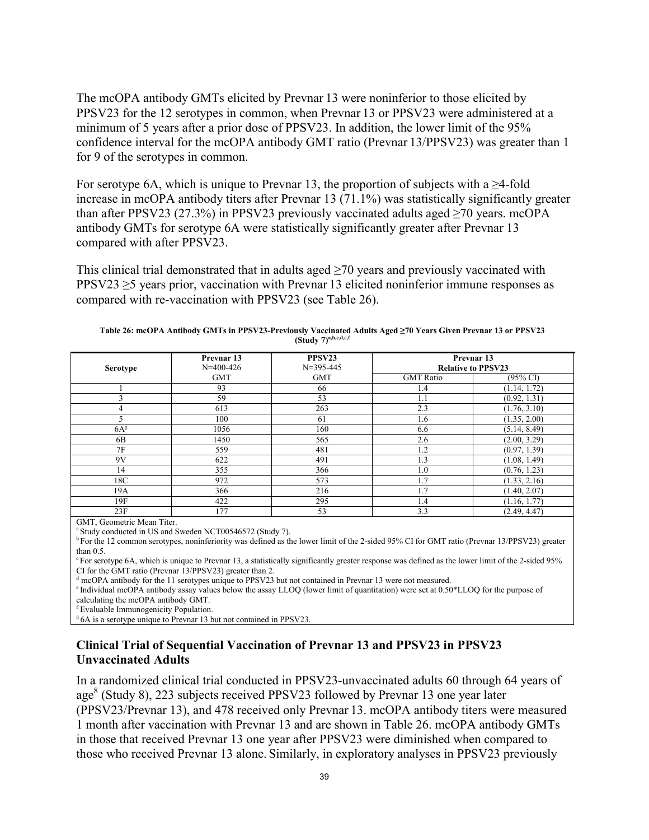The mcOPA antibody GMTs elicited by Prevnar 13 were noninferior to those elicited by PPSV23 for the 12 serotypes in common, when Prevnar 13 or PPSV23 were administered at a minimum of 5 years after a prior dose of PPSV23. In addition, the lower limit of the 95% confidence interval for the mcOPA antibody GMT ratio (Prevnar 13/PPSV23) was greater than 1 for 9 of the serotypes in common.

For serotype 6A, which is unique to Prevnar 13, the proportion of subjects with a  $\geq$ 4-fold increase in mcOPA antibody titers after Prevnar 13 (71.1%) was statistically significantly greater than after PPSV23 (27.3%) in PPSV23 previously vaccinated adults aged  $\geq$ 70 years. mcOPA antibody GMTs for serotype 6A were statistically significantly greater after Prevnar 13 compared with after PPSV23.

This clinical trial demonstrated that in adults aged  $\geq$ 70 years and previously vaccinated with PPSV23 ≥5 years prior, vaccination with Prevnar 13 elicited noninferior immune responses as compared with re-vaccination with PPSV23 (see Table 26).

| <b>Serotype</b> | Prevnar <sub>13</sub><br>$N=400-426$ | PPSV23<br>$N=395-445$ | Prevnar <sub>13</sub><br><b>Relative to PPSV23</b> |                     |  |
|-----------------|--------------------------------------|-----------------------|----------------------------------------------------|---------------------|--|
|                 | <b>GMT</b>                           | <b>GMT</b>            | <b>GMT</b> Ratio                                   | $(95\% \text{ CI})$ |  |
|                 | 93                                   | 66                    | 1.4                                                | (1.14, 1.72)        |  |
|                 | 59                                   | 53                    | 1.1                                                | (0.92, 1.31)        |  |
|                 | 613                                  | 263                   | 2.3                                                | (1.76, 3.10)        |  |
|                 | 100                                  | 61                    | 1.6                                                | (1.35, 2.00)        |  |
| 6A <sup>g</sup> | 1056                                 | 160                   | 6.6                                                | (5.14, 8.49)        |  |
| 6 <sub>B</sub>  | 1450                                 | 565                   | 2.6                                                | (2.00, 3.29)        |  |
| 7F              | 559                                  | 481                   | 1.2                                                | (0.97, 1.39)        |  |
| 9V              | 622                                  | 491                   | 1.3                                                | (1.08, 1.49)        |  |
| 14              | 355                                  | 366                   | 1.0                                                | (0.76, 1.23)        |  |
| 18C             | 972                                  | 573                   | 1.7                                                | (1.33, 2.16)        |  |
| 19A             | 366                                  | 216                   | 1.7                                                | (1.40, 2.07)        |  |
| 19F             | 422                                  | 295                   | 1.4                                                | (1.16, 1.77)        |  |
| 23F             | 177                                  | 53                    | 3.3                                                | (2.49, 4.47)        |  |

**Table 26: mcOPA Antibody GMTs in PPSV23-Previously Vaccinated Adults Aged ≥70 Years Given Prevnar 13 or PPSV23 (Study 7) a,b,c,d,e,f**

GMT, Geometric Mean Titer.

<sup>a</sup> Study conducted in US and Sweden NCT00546572 (Study 7).

<sup>b</sup> For the 12 common serotypes, noninferiority was defined as the lower limit of the 2-sided 95% CI for GMT ratio (Prevnar 13/PPSV23) greater than 0.5.

c For serotype 6A, which is unique to Prevnar 13, a statistically significantly greater response was defined as the lower limit of the 2-sided 95% CI for the GMT ratio (Prevnar 13/PPSV23) greater than 2.

<sup>d</sup> mcOPA antibody for the 11 serotypes unique to PPSV23 but not contained in Prevnar 13 were not measured.

e Individual mcOPA antibody assay values below the assay LLOQ (lower limit of quantitation) were set at 0.50\*LLOQ for the purpose of calculating the mcOPA antibody GMT.

<sup>f</sup> Evaluable Immunogenicity Population.

<sup>g</sup> 6A is a serotype unique to Prevnar 13 but not contained in PPSV23.

## **Clinical Trial of Sequential Vaccination of Prevnar 13 and PPSV23 in PPSV23 Unvaccinated Adults**

In a randomized clinical trial conducted in PPSV23-unvaccinated adults 60 through 64 years of age<sup>8</sup> (Study 8), 223 subjects received PPSV23 followed by Prevnar 13 one year later (PPSV23/Prevnar 13), and 478 received only Prevnar 13. mcOPA antibody titers were measured 1 month after vaccination with Prevnar 13 and are shown in Table 26. mcOPA antibody GMTs in those that received Prevnar 13 one year after PPSV23 were diminished when compared to those who received Prevnar 13 alone. Similarly, in exploratory analyses in PPSV23 previously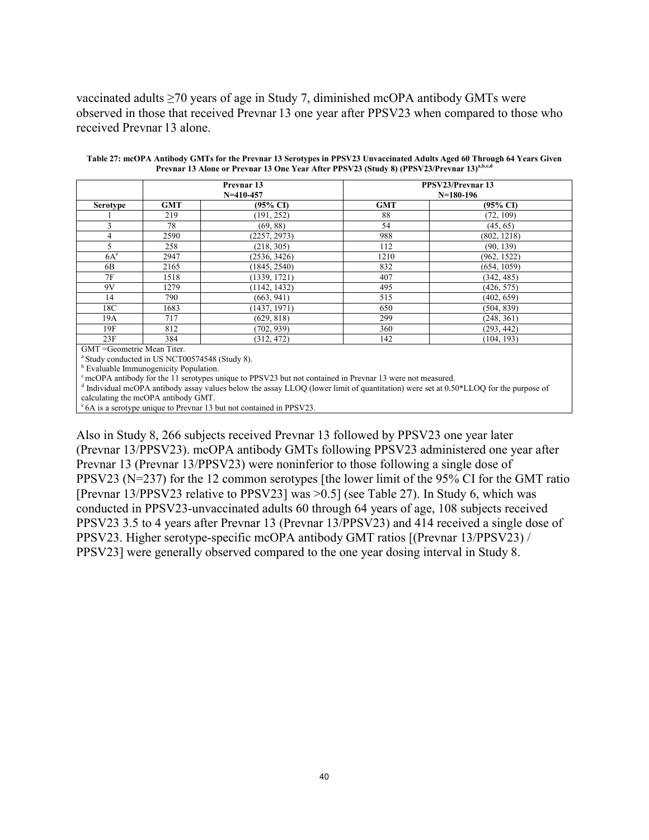vaccinated adults ≥70 years of age in Study 7, diminished mcOPA antibody GMTs were observed in those that received Prevnar 13 one year after PPSV23 when compared to those who received Prevnar 13 alone.

|                 |            | Prevnar 13<br>$N=410-457$ | PPSV23/Prevnar 13<br>$N=180-196$ |                     |  |  |
|-----------------|------------|---------------------------|----------------------------------|---------------------|--|--|
| <b>Serotype</b> | <b>GMT</b> | $(95\% \text{ C}I)$       | <b>GMT</b>                       | $(95\% \text{ CI})$ |  |  |
|                 | 219        | (191, 252)                | 88                               | (72, 109)           |  |  |
|                 | 78         | (69, 88)                  | 54                               | (45, 65)            |  |  |
| 4               | 2590       | (2257, 2973)              | 988                              | (802, 1218)         |  |  |
| $\varsigma$     | 258        | (218, 305)                | 112                              | (90, 139)           |  |  |
| $6A^e$          | 2947       | (2536, 3426)              | 1210                             | (962, 1522)         |  |  |
| 6B              | 2165       | (1845, 2540)              | 832                              | (654, 1059)         |  |  |
| 7F              | 1518       | (1339, 1721)              | 407                              | (342, 485)          |  |  |
| 9V              | 1279       | (1142, 1432)              | 495                              | (426, 575)          |  |  |
| 14              | 790        | (663, 941)                | 515                              | (402, 659)          |  |  |
| 18C             | 1683       | (1437, 1971)              | 650                              | (504, 839)          |  |  |
| 19A             | 717        | (629, 818)                | 299                              | (248, 361)          |  |  |
| 19F             | 812        | (702, 939)                | 360                              | (293, 442)          |  |  |
| 23F             | 384        | (312, 472)                | 142                              | (104, 193)          |  |  |

**Table 27: mcOPA Antibody GMTs for the Prevnar 13 Serotypes in PPSV23 Unvaccinated Adults Aged 60 Through 64 Years Given Prevnar 13 Alone or Prevnar 13 One Year After PPSV23 (Study 8) (PPSV23/Prevnar 13)a,b,c,d**

<sup>a</sup> Study conducted in US NCT00574548 (Study 8).

**b** Evaluable Immunogenicity Population.

 $\degree$  mcOPA antibody for the 11 serotypes unique to PPSV23 but not contained in Prevnar 13 were not measured.

<sup>d</sup> Individual mcOPA antibody assay values below the assay LLOQ (lower limit of quantitation) were set at 0.50\*LLOQ for the purpose of calculating the mcOPA antibody GMT.

e 6A is a serotype unique to Prevnar 13 but not contained in PPSV23.

Also in Study 8, 266 subjects received Prevnar 13 followed by PPSV23 one year later (Prevnar 13/PPSV23). mcOPA antibody GMTs following PPSV23 administered one year after Prevnar 13 (Prevnar 13/PPSV23) were noninferior to those following a single dose of PPSV23 (N=237) for the 12 common serotypes [the lower limit of the 95% CI for the GMT ratio [Prevnar 13/PPSV23 relative to PPSV23] was >0.5] (see Table 27). In Study 6, which was conducted in PPSV23-unvaccinated adults 60 through 64 years of age, 108 subjects received PPSV23 3.5 to 4 years after Prevnar 13 (Prevnar 13/PPSV23) and 414 received a single dose of PPSV23. Higher serotype-specific mcOPA antibody GMT ratios [(Prevnar 13/PPSV23) / PPSV23] were generally observed compared to the one year dosing interval in Study 8.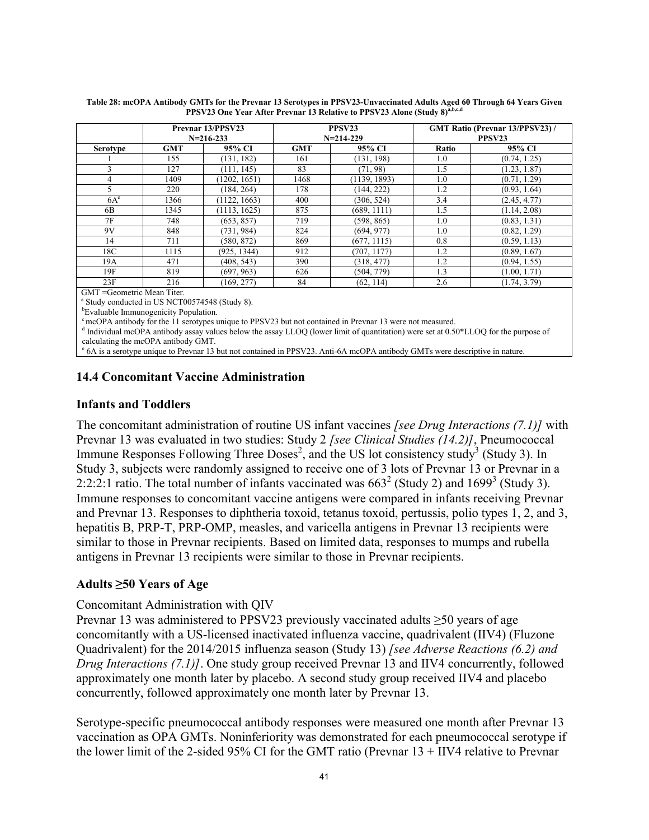|                                    |            | Prevnar 13/PPSV23<br>$N = 216 - 233$ |            | PPSV <sub>23</sub><br>$N=214-229$ | <b>GMT Ratio (Prevnar 13/PPSV23)/</b><br>PPSV <sub>23</sub> |              |
|------------------------------------|------------|--------------------------------------|------------|-----------------------------------|-------------------------------------------------------------|--------------|
| <b>Serotype</b>                    | <b>GMT</b> | 95% CI                               | <b>GMT</b> | 95% CI                            | Ratio                                                       | 95% CI       |
|                                    | 155        | (131, 182)                           | 161        | (131, 198)                        | 1.0                                                         | (0.74, 1.25) |
|                                    | 127        | (111, 145)                           | 83         | (71, 98)                          | 1.5                                                         | (1.23, 1.87) |
| 4                                  | 1409       | (1202, 1651)                         | 1468       | (1139, 1893)                      | 1.0                                                         | (0.71, 1.29) |
|                                    | 220        | (184, 264)                           | 178        | (144, 222)                        | 1.2                                                         | (0.93, 1.64) |
| $6A^e$                             | 1366       | (1122, 1663)                         | 400        | (306, 524)                        | 3.4                                                         | (2.45, 4.77) |
| 6B                                 | 1345       | (1113, 1625)                         | 875        | (689, 1111)                       | 1.5                                                         | (1.14, 2.08) |
| 7F                                 | 748        | (653, 857)                           | 719        | (598, 865)                        | 1.0                                                         | (0.83, 1.31) |
| 9V                                 | 848        | (731, 984)                           | 824        | (694, 977)                        | 1.0                                                         | (0.82, 1.29) |
| 14                                 | 711        | (580, 872)                           | 869        | (677, 1115)                       | 0.8                                                         | (0.59, 1.13) |
| 18C                                | 1115       | (925, 1344)                          | 912        | (707, 1177)                       | 1.2                                                         | (0.89, 1.67) |
| 19A                                | 471        | (408, 543)                           | 390        | (318, 477)                        | 1.2                                                         | (0.94, 1.55) |
| 19F                                | 819        | (697, 963)                           | 626        | (504, 779)                        | 1.3                                                         | (1.00, 1.71) |
| 23F<br>$CMT - Cdomatrio Man Titar$ | 216        | (169, 277)                           | 84         | (62, 114)                         | 2.6                                                         | (1.74, 3.79) |

**Table 28: mcOPA Antibody GMTs for the Prevnar 13 Serotypes in PPSV23-Unvaccinated Adults Aged 60 Through 64 Years Given PPSV23 One Year After Prevnar 13 Relative to PPSV23 Alone (Study 8) a,b,c,d**

GMT =Geometric Mean Titer.

a Study conducted in US NCT00574548 (Study 8).

<sup>b</sup>Evaluable Immunogenicity Population.

<sup>c</sup> mcOPA antibody for the 11 serotypes unique to PPSV23 but not contained in Prevnar 13 were not measured.

<sup>d</sup> Individual mcOPA antibody assay values below the assay LLOQ (lower limit of quantitation) were set at 0.50\*LLOQ for the purpose of calculating the mcOPA antibody GMT.

<sup>e</sup> 6A is a serotype unique to Prevnar 13 but not contained in PPSV23. Anti-6A mcOPA antibody GMTs were descriptive in nature.

## **14.4 Concomitant Vaccine Administration**

### <span id="page-40-2"></span>**Infants and Toddlers**

<span id="page-40-1"></span><span id="page-40-0"></span>The concomitant administration of routine US infant vaccines *[see Drug Interactions (7.1)]* with Prevnar 13 was evaluated in two studies: Study 2 *[see Clinical Studies (14.2)]*, Pneumococcal Immune Responses Following Three Doses<sup>2</sup>, and the US lot consistency study<sup>3</sup> (Study 3). In Study 3, subjects were randomly assigned to receive one of 3 lots of Prevnar 13 or Prevnar in a 2:2:2:1 ratio. The total number of infants vaccinated was  $663^2$  (Study 2) and  $1699^3$  (Study 3). Immune responses to concomitant vaccine antigens were compared in infants receiving Prevnar and Prevnar 13. Responses to diphtheria toxoid, tetanus toxoid, pertussis, polio types 1, 2, and 3, hepatitis B, PRP-T, PRP-OMP, measles, and varicella antigens in Prevnar 13 recipients were similar to those in Prevnar recipients. Based on limited data, responses to mumps and rubella antigens in Prevnar 13 recipients were similar to those in Prevnar recipients.

### <span id="page-40-5"></span><span id="page-40-3"></span>**Adults ≥50 Years of Age**

### Concomitant Administration with QIV

Prevnar 13 was administered to PPSV23 previously vaccinated adults ≥50 years of age concomitantly with a US-licensed inactivated influenza vaccine, quadrivalent (IIV4) (Fluzone Quadrivalent) for the 2014/2015 influenza season (Study 13) *[see Adverse Reactions (6.2) and Drug Interactions (7.1)]*. One study group received Prevnar 13 and IIV4 concurrently, followed approximately one month later by placebo. A second study group received IIV4 and placebo concurrently, followed approximately one month later by Prevnar 13.

<span id="page-40-4"></span>Serotype-specific pneumococcal antibody responses were measured one month after Prevnar 13 vaccination as OPA GMTs. Noninferiority was demonstrated for each pneumococcal serotype if the lower limit of the 2-sided 95% CI for the GMT ratio (Prevnar 13 + IIV4 relative to Prevnar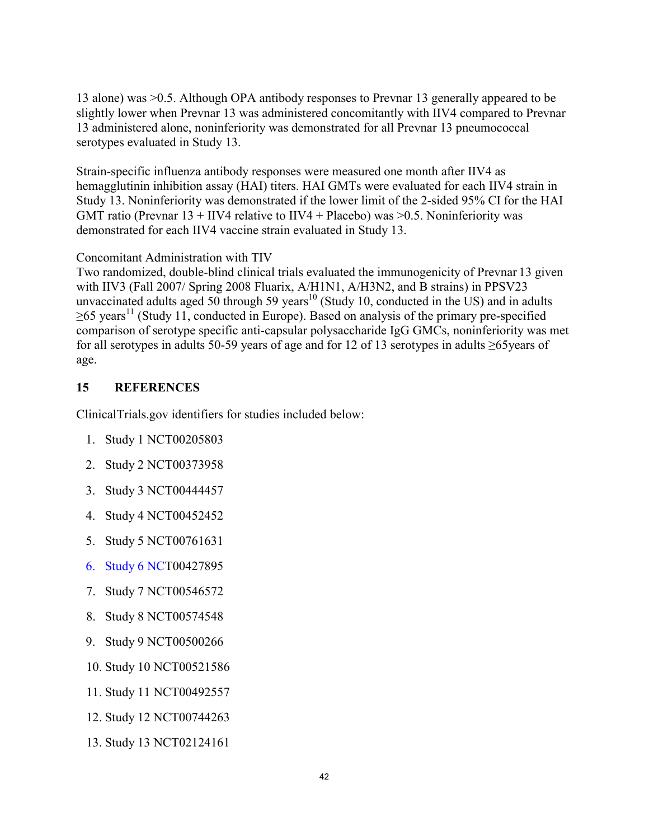13 alone) was >0.5. Although OPA antibody responses to Prevnar 13 generally appeared to be slightly lower when Prevnar 13 was administered concomitantly with IIV4 compared to Prevnar 13 administered alone, noninferiority was demonstrated for all Prevnar 13 pneumococcal serotypes evaluated in Study 13.

Strain-specific influenza antibody responses were measured one month after IIV4 as hemagglutinin inhibition assay (HAI) titers. HAI GMTs were evaluated for each IIV4 strain in Study 13. Noninferiority was demonstrated if the lower limit of the 2-sided 95% CI for the HAI GMT ratio (Prevnar  $13 + IV4$  relative to IIV4 + Placebo) was  $> 0.5$ . Noninferiority was demonstrated for each IIV4 vaccine strain evaluated in Study 13.

Concomitant Administration with TIV

Two randomized, double-blind clinical trials evaluated the immunogenicity of Prevnar 13 given with IIV3 (Fall 2007/ Spring 2008 Fluarix, A/H1N1, A/H3N2, and B strains) in PPSV23 unvaccinated adults aged 50 through 59 years<sup>10</sup> (Study 10, conducted in the US) and in adults  $>65$  years<sup>11</sup> (Study 11, conducted in Europe). Based on analysis of the primary pre-specified comparison of serotype specific anti-capsular polysaccharide IgG GMCs, noninferiority was met for all serotypes in adults 50-59 years of age and for 12 of 13 serotypes in adults ≥65years of age.

# **15 REFERENCES**

ClinicalTrials.gov identifiers for studies included below:

- 1. Study 1 NCT00205803
- 2. Study 2 NCT00373958
- 3. Study 3 NCT00444457
- 4. Study 4 NCT00452452
- 5. Study 5 NCT00761631
- 6. [Study 6 NC](http://www.pfizer.com/)T00427895
- 7. Study 7 NCT00546572
- 8. Study 8 NCT00574548
- 9. Study 9 NCT00500266
- 10. Study 10 NCT00521586
- 11. Study 11 NCT00492557
- 12. Study 12 NCT00744263
- 13. Study 13 NCT02124161